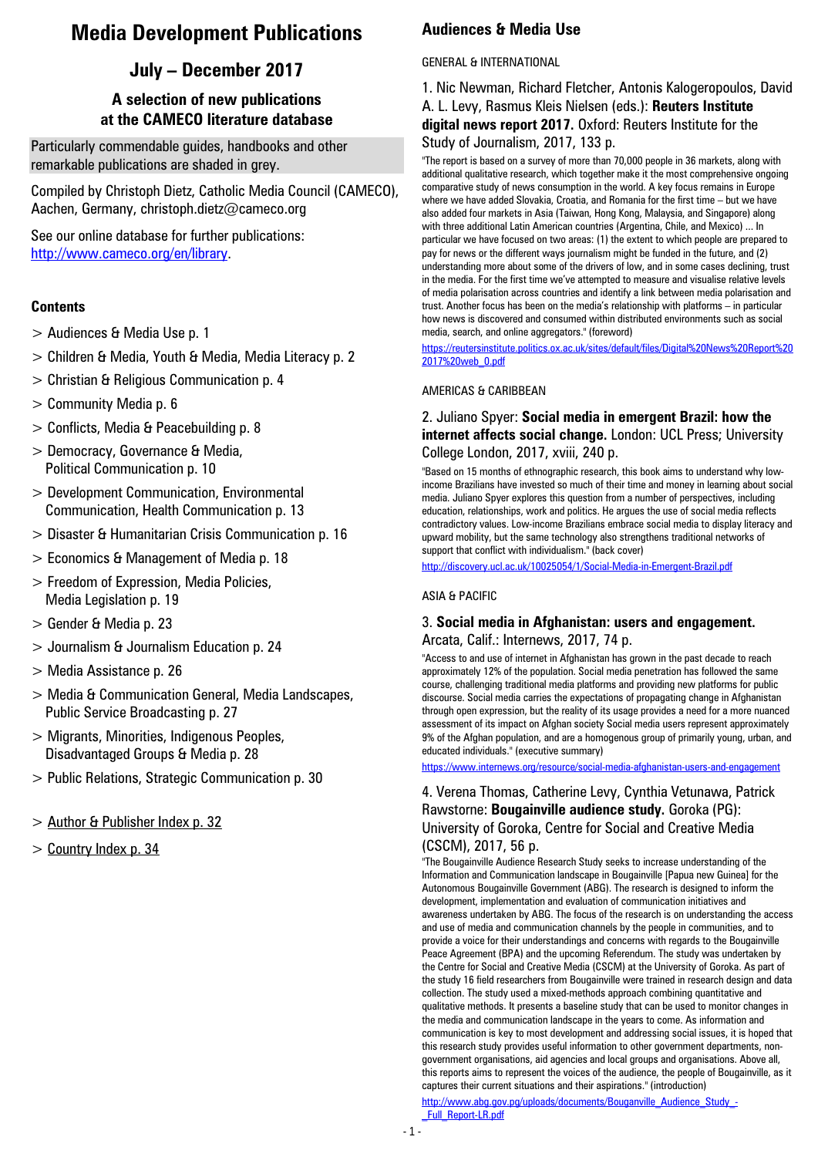# **Media Development Publications**

# **July – December 2017**

# **A selection of new publications at the CAMECO literature database**

Particularly commendable guides, handbooks and other remarkable publications are shaded in grey.

Compiled by Christoph Dietz, Catholic Media Council (CAMECO), Aachen, Germany, christoph.dietz@cameco.org

See our online database for further publications: [http://www.cameco.org/en/library.](http://www.cameco.org/en/library)

# **Contents**

- > Audiences & Media Use p. 1
- > Children & Media, Youth & Media, Media Literacy p. 2
- > Christian & Religious Communication p. 4
- > Community Media p. 6
- > Conflicts, Media & Peacebuilding p. 8
- > Democracy, Governance & Media, Political Communication p. 10
- > Development Communication, Environmental Communication, Health Communication p. 13
- > Disaster & Humanitarian Crisis Communication p. 16
- > Economics & Management of Media p. 18
- > Freedom of Expression, Media Policies, Media Legislation p. 19
- > Gender & Media p. 23
- > Journalism & Journalism Education p. 24
- > Media Assistance p. 26
- > Media & Communication General, Media Landscapes, Public Service Broadcasting p. 27
- > Migrants, Minorities, Indigenous Peoples, Disadvantaged Groups & Media p. 28
- > Public Relations, Strategic Communication p. 30
- > Author & Publisher Index p. 32
- > Country Index p. 34

# **Audiences & Media Use**

GENERAL & INTERNATIONAL

1. Nic Newman, Richard Fletcher, Antonis Kalogeropoulos, David A. L. Levy, Rasmus Kleis Nielsen (eds.): **Reuters Institute digital news report 2017.** Oxford: Reuters Institute for the Study of Journalism, 2017, 133 p.

"The report is based on a survey of more than 70,000 people in 36 markets, along with additional qualitative research, which together make it the most comprehensive ongoing comparative study of news consumption in the world. A key focus remains in Europe where we have added Slovakia, Croatia, and Romania for the first time – but we have also added four markets in Asia (Taiwan, Hong Kong, Malaysia, and Singapore) along with three additional Latin American countries (Argentina, Chile, and Mexico) ... In particular we have focused on two areas: (1) the extent to which people are prepared to pay for news or the different ways journalism might be funded in the future, and (2) understanding more about some of the drivers of low, and in some cases declining, trust in the media. For the first time we've attempted to measure and visualise relative levels of media polarisation across countries and identify a link between media polarisation and trust. Another focus has been on the media's relationship with platforms – in particular how news is discovered and consumed within distributed environments such as social media, search, and online aggregators." (foreword)

[https://reutersinstitute.politics.ox.ac.uk/sites/default/files/Digital%20News%20Report%20](https://reutersinstitute.politics.ox.ac.uk/sites/default/files/Digital%20News%20Report%202017%20web_0.pdf) [2017%20web\\_0.pdf](https://reutersinstitute.politics.ox.ac.uk/sites/default/files/Digital%20News%20Report%202017%20web_0.pdf)

### AMERICAS & CARIBBEAN

## 2. Juliano Spyer: **Social media in emergent Brazil: how the internet affects social change.** London: UCL Press; University College London, 2017, xviii, 240 p.

"Based on 15 months of ethnographic research, this book aims to understand why lowincome Brazilians have invested so much of their time and money in learning about social media. Juliano Spyer explores this question from a number of perspectives, including education, relationships, work and politics. He argues the use of social media reflects contradictory values. Low-income Brazilians embrace social media to display literacy and upward mobility, but the same technology also strengthens traditional networks of support that conflict with individualism." (back cover)

<http://discovery.ucl.ac.uk/10025054/1/Social-Media-in-Emergent-Brazil.pdf>

### ASIA & PACIFIC

### 3. **Social media in Afghanistan: users and engagement.**  Arcata, Calif.: Internews, 2017, 74 p.

"Access to and use of internet in Afghanistan has grown in the past decade to reach approximately 12% of the population. Social media penetration has followed the same course, challenging traditional media platforms and providing new platforms for public discourse. Social media carries the expectations of propagating change in Afghanistan through open expression, but the reality of its usage provides a need for a more nuanced assessment of its impact on Afghan society Social media users represent approximately 9% of the Afghan population, and are a homogenous group of primarily young, urban, and educated individuals." (executive summary)

<https://www.internews.org/resource/social-media-afghanistan-users-and-engagement>

4. Verena Thomas, Catherine Levy, Cynthia Vetunawa, Patrick Rawstorne: **Bougainville audience study.** Goroka (PG): University of Goroka, Centre for Social and Creative Media (CSCM), 2017, 56 p.

"The Bougainville Audience Research Study seeks to increase understanding of the Information and Communication landscape in Bougainville [Papua new Guinea] for the Autonomous Bougainville Government (ABG). The research is designed to inform the development, implementation and evaluation of communication initiatives and awareness undertaken by ABG. The focus of the research is on understanding the access and use of media and communication channels by the people in communities, and to provide a voice for their understandings and concerns with regards to the Bougainville Peace Agreement (BPA) and the upcoming Referendum. The study was undertaken by the Centre for Social and Creative Media (CSCM) at the University of Goroka. As part of the study 16 field researchers from Bougainville were trained in research design and data collection. The study used a mixed-methods approach combining quantitative and qualitative methods. It presents a baseline study that can be used to monitor changes in the media and communication landscape in the years to come. As information and communication is key to most development and addressing social issues, it is hoped that this research study provides useful information to other government departments, nongovernment organisations, aid agencies and local groups and organisations. Above all, this reports aims to represent the voices of the audience, the people of Bougainville, as it captures their current situations and their aspirations." (introduction)

[http://www.abg.gov.pg/uploads/documents/Bouganville\\_Audience\\_Study\\_-](http://www.abg.gov.pg/uploads/documents/Bouganville_Audience_Study_-_Full_Report-LR.pdf) Full\_Report-LR.pdf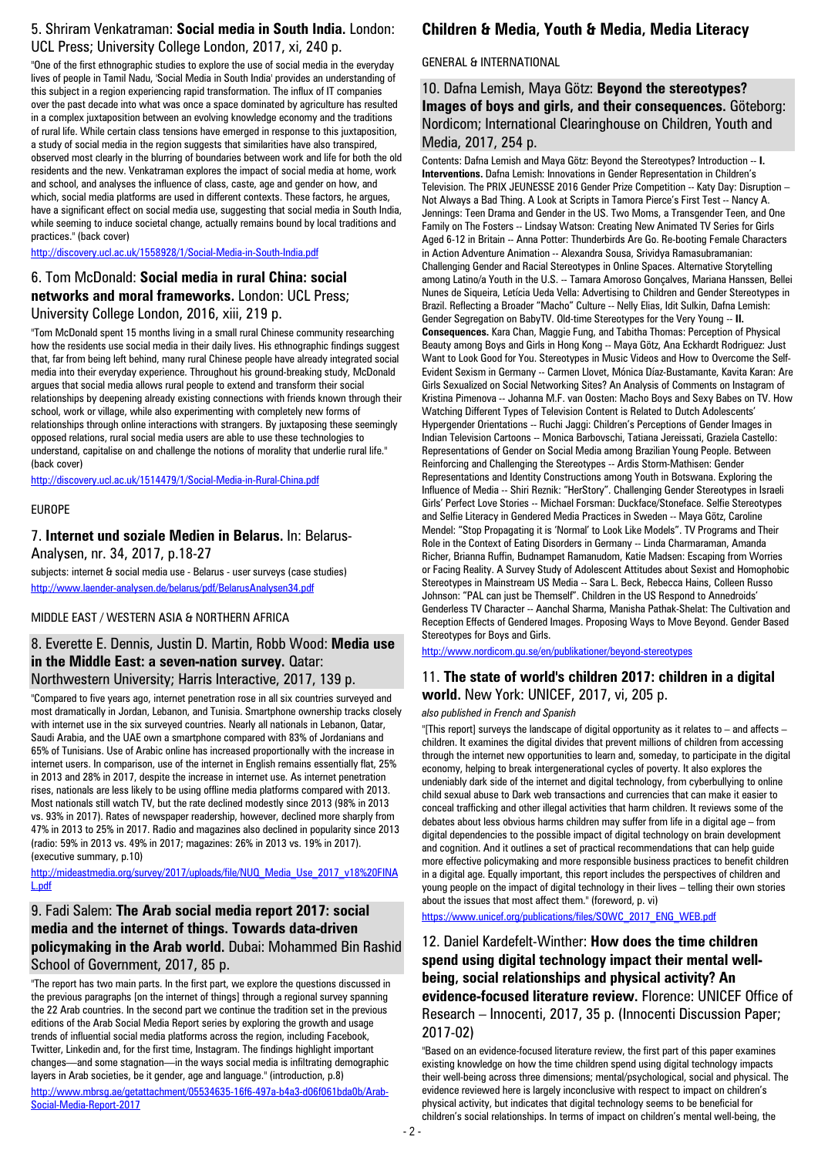# 5. Shriram Venkatraman: **Social media in South India.** London: UCL Press; University College London, 2017, xi, 240 p.

"One of the first ethnographic studies to explore the use of social media in the everyday lives of people in Tamil Nadu, 'Social Media in South India' provides an understanding of this subject in a region experiencing rapid transformation. The influx of IT companies over the past decade into what was once a space dominated by agriculture has resulted in a complex juxtaposition between an evolving knowledge economy and the traditions of rural life. While certain class tensions have emerged in response to this juxtaposition, a study of social media in the region suggests that similarities have also transpired, observed most clearly in the blurring of boundaries between work and life for both the old residents and the new. Venkatraman explores the impact of social media at home, work and school, and analyses the influence of class, caste, age and gender on how, and which, social media platforms are used in different contexts. These factors, he argues, have a significant effect on social media use, suggesting that social media in South India, while seeming to induce societal change, actually remains bound by local traditions and practices." (back cover)

<http://discovery.ucl.ac.uk/1558928/1/Social-Media-in-South-India.pdf>

# 6. Tom McDonald: **Social media in rural China: social networks and moral frameworks.** London: UCL Press; University College London, 2016, xiii, 219 p.

"Tom McDonald spent 15 months living in a small rural Chinese community researching how the residents use social media in their daily lives. His ethnographic findings suggest that, far from being left behind, many rural Chinese people have already integrated social media into their everyday experience. Throughout his ground-breaking study, McDonald argues that social media allows rural people to extend and transform their social relationships by deepening already existing connections with friends known through their school, work or village, while also experimenting with completely new forms of relationships through online interactions with strangers. By juxtaposing these seemingly opposed relations, rural social media users are able to use these technologies to understand, capitalise on and challenge the notions of morality that underlie rural life." (back cover)

<http://discovery.ucl.ac.uk/1514479/1/Social-Media-in-Rural-China.pdf>

#### EUROPE

# 7. **Internet und soziale Medien in Belarus.** In: Belarus-

Analysen, nr. 34, 2017, p.18-27

subjects: internet & social media use - Belarus - user surveys (case studies) <http://www.laender-analysen.de/belarus/pdf/BelarusAnalysen34.pdf>

#### MIDDLE EAST / WESTERN ASIA & NORTHERN AFRICA

# 8. Everette E. Dennis, Justin D. Martin, Robb Wood: **Media use in the Middle East: a seven-nation survey.** Qatar: Northwestern University; Harris Interactive, 2017, 139 p.

"Compared to five years ago, internet penetration rose in all six countries surveyed and most dramatically in Jordan, Lebanon, and Tunisia. Smartphone ownership tracks closely with internet use in the six surveyed countries. Nearly all nationals in Lebanon, Qatar, Saudi Arabia, and the UAE own a smartphone compared with 83% of Jordanians and 65% of Tunisians. Use of Arabic online has increased proportionally with the increase in internet users. In comparison, use of the internet in English remains essentially flat, 25% in 2013 and 28% in 2017, despite the increase in internet use. As internet penetration rises, nationals are less likely to be using offline media platforms compared with 2013. Most nationals still watch TV, but the rate declined modestly since 2013 (98% in 2013 vs. 93% in 2017). Rates of newspaper readership, however, declined more sharply from 47% in 2013 to 25% in 2017. Radio and magazines also declined in popularity since 2013 (radio: 59% in 2013 vs. 49% in 2017; magazines: 26% in 2013 vs. 19% in 2017). (executive summary, p.10)

[http://mideastmedia.org/survey/2017/uploads/file/NUQ\\_Media\\_Use\\_2017\\_v18%20FINA](http://mideastmedia.org/survey/2017/uploads/file/NUQ_Media_Use_2017_v18%20FINAL.pdf) [L.pdf](http://mideastmedia.org/survey/2017/uploads/file/NUQ_Media_Use_2017_v18%20FINAL.pdf)

# 9. Fadi Salem: **The Arab social media report 2017: social media and the internet of things. Towards data-driven policymaking in the Arab world.** Dubai: Mohammed Bin Rashid School of Government, 2017, 85 p.

"The report has two main parts. In the first part, we explore the questions discussed in the previous paragraphs [on the internet of things] through a regional survey spanning the 22 Arab countries. In the second part we continue the tradition set in the previous editions of the Arab Social Media Report series by exploring the growth and usage trends of influential social media platforms across the region, including Facebook, Twitter, Linkedin and, for the first time, Instagram. The findings highlight important changes—and some stagnation—in the ways social media is infiltrating demographic layers in Arab societies, be it gender, age and language." (introduction, p.8) [http://www.mbrsg.ae/getattachment/05534635-16f6-497a-b4a3-d06f061bda0b/Arab-](http://www.mbrsg.ae/getattachment/05534635-16f6-497a-b4a3-d06f061bda0b/Arab-Social-Media-Report-2017)[Social-Media-Report-2017](http://www.mbrsg.ae/getattachment/05534635-16f6-497a-b4a3-d06f061bda0b/Arab-Social-Media-Report-2017)

# **Children & Media, Youth & Media, Media Literacy**

#### GENERAL & INTERNATIONAL

# 10. Dafna Lemish, Maya Götz: **Beyond the stereotypes? Images of boys and girls, and their consequences.** Göteborg: Nordicom; International Clearinghouse on Children, Youth and Media, 2017, 254 p.

Contents: Dafna Lemish and Maya Götz: Beyond the Stereotypes? Introduction -- **I. Interventions.** Dafna Lemish: Innovations in Gender Representation in Children's Television. The PRIX JEUNESSE 2016 Gender Prize Competition -- Katy Day: Disruption – Not Always a Bad Thing. A Look at Scripts in Tamora Pierce's First Test -- Nancy A. Jennings: Teen Drama and Gender in the US. Two Moms, a Transgender Teen, and One Family on The Fosters -- Lindsay Watson: Creating New Animated TV Series for Girls Aged 6-12 in Britain -- Anna Potter: Thunderbirds Are Go. Re-booting Female Characters in Action Adventure Animation -- Alexandra Sousa, Srividya Ramasubramanian: Challenging Gender and Racial Stereotypes in Online Spaces. Alternative Storytelling among Latino/a Youth in the U.S. -- Tamara Amoroso Gonçalves, Mariana Hanssen, Bellei Nunes de Siqueira, Letícia Ueda Vella: Advertising to Children and Gender Stereotypes in Brazil. Reflecting a Broader "Macho" Culture -- Nelly Elias, Idit Sulkin, Dafna Lemish: Gender Segregation on BabyTV. Old-time Stereotypes for the Very Young -- **II. Consequences.** Kara Chan, Maggie Fung, and Tabitha Thomas: Perception of Physical Beauty among Boys and Girls in Hong Kong -- Maya Götz, Ana Eckhardt Rodriguez: Just Want to Look Good for You. Stereotypes in Music Videos and How to Overcome the Self-Evident Sexism in Germany -- Carmen Llovet, Mónica Díaz-Bustamante, Kavita Karan: Are Girls Sexualized on Social Networking Sites? An Analysis of Comments on Instagram of Kristina Pimenova -- Johanna M.F. van Oosten: Macho Boys and Sexy Babes on TV. How Watching Different Types of Television Content is Related to Dutch Adolescents' Hypergender Orientations -- Ruchi Jaggi: Children's Perceptions of Gender Images in Indian Television Cartoons -- Monica Barbovschi, Tatiana Jereissati, Graziela Castello: Representations of Gender on Social Media among Brazilian Young People. Between Reinforcing and Challenging the Stereotypes -- Ardis Storm-Mathisen: Gender Representations and Identity Constructions among Youth in Botswana. Exploring the Influence of Media -- Shiri Reznik: "HerStory". Challenging Gender Stereotypes in Israeli Girls' Perfect Love Stories -- Michael Forsman: Duckface/Stoneface. Selfie Stereotypes and Selfie Literacy in Gendered Media Practices in Sweden -- Maya Götz, Caroline Mendel: "Stop Propagating it is 'Normal' to Look Like Models". TV Programs and Their Role in the Context of Eating Disorders in Germany -- Linda Charmaraman, Amanda Richer, Brianna Ruffin, Budnampet Ramanudom, Katie Madsen: Escaping from Worries or Facing Reality. A Survey Study of Adolescent Attitudes about Sexist and Homophobic Stereotypes in Mainstream US Media -- Sara L. Beck, Rebecca Hains, Colleen Russo Johnson: "PAL can just be Themself". Children in the US Respond to Annedroids' Genderless TV Character -- Aanchal Sharma, Manisha Pathak-Shelat: The Cultivation and Reception Effects of Gendered Images. Proposing Ways to Move Beyond. Gender Based Stereotypes for Boys and Girls.

<http://www.nordicom.gu.se/en/publikationer/beyond-stereotypes>

## 11. **The state of world's children 2017: children in a digital world.** New York: UNICEF, 2017, vi, 205 p.

#### *also published in French and Spanish*

"[This report] surveys the landscape of digital opportunity as it relates to – and affects – children. It examines the digital divides that prevent millions of children from accessing through the internet new opportunities to learn and, someday, to participate in the digital economy, helping to break intergenerational cycles of poverty. It also explores the undeniably dark side of the internet and digital technology, from cyberbullying to online child sexual abuse to Dark web transactions and currencies that can make it easier to conceal trafficking and other illegal activities that harm children. It reviews some of the debates about less obvious harms children may suffer from life in a digital age – from digital dependencies to the possible impact of digital technology on brain development and cognition. And it outlines a set of practical recommendations that can help guide more effective policymaking and more responsible business practices to benefit children in a digital age. Equally important, this report includes the perspectives of children and young people on the impact of digital technology in their lives – telling their own stories about the issues that most affect them." (foreword, p. vi)

[https://www.unicef.org/publications/files/SOWC\\_2017\\_ENG\\_WEB.pdf](https://www.unicef.org/publications/files/SOWC_2017_ENG_WEB.pdf)

# 12. Daniel Kardefelt-Winther: **How does the time children spend using digital technology impact their mental wellbeing, social relationships and physical activity? An evidence-focused literature review.** Florence: UNICEF Office of Research – Innocenti, 2017, 35 p. (Innocenti Discussion Paper; 2017-02)

"Based on an evidence-focused literature review, the first part of this paper examines existing knowledge on how the time children spend using digital technology impacts their well-being across three dimensions; mental/psychological, social and physical. The evidence reviewed here is largely inconclusive with respect to impact on children's physical activity, but indicates that digital technology seems to be beneficial for children's social relationships. In terms of impact on children's mental well-being, the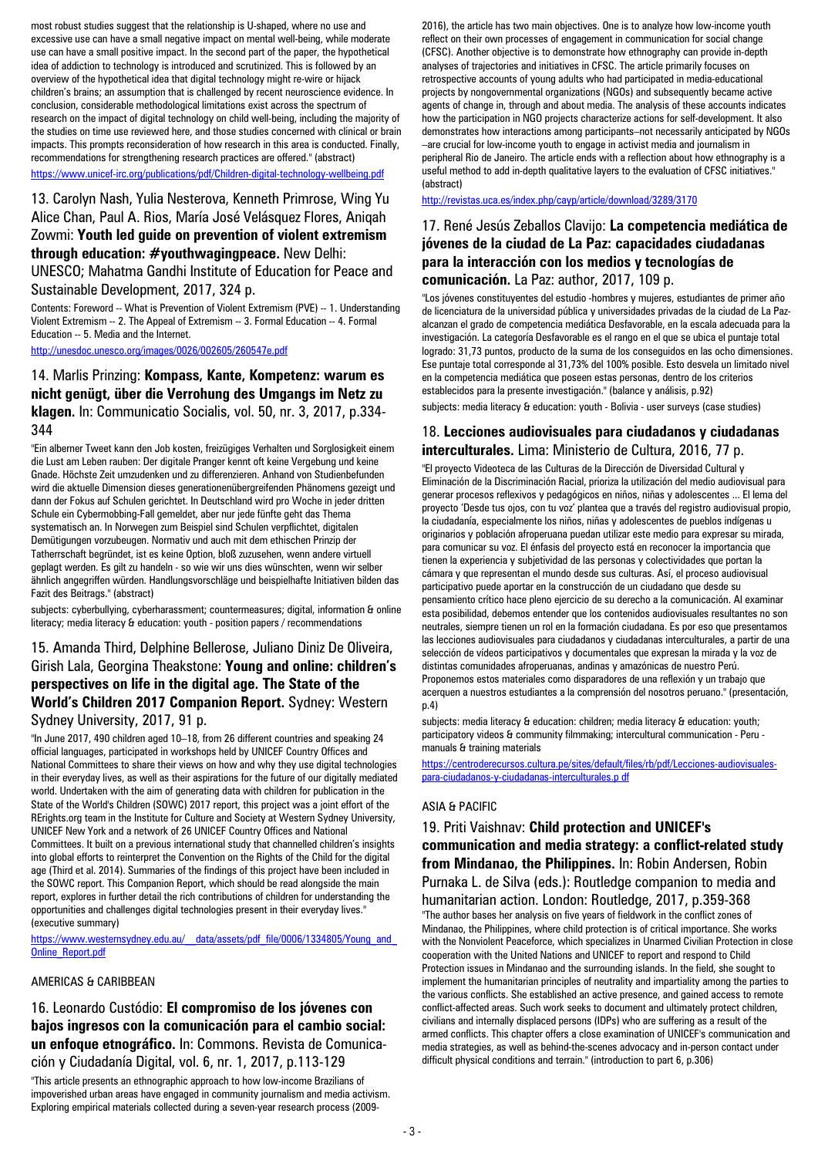most robust studies suggest that the relationship is U-shaped, where no use and excessive use can have a small negative impact on mental well-being, while moderate use can have a small positive impact. In the second part of the paper, the hypothetical idea of addiction to technology is introduced and scrutinized. This is followed by an overview of the hypothetical idea that digital technology might re-wire or hijack children's brains; an assumption that is challenged by recent neuroscience evidence. In conclusion, considerable methodological limitations exist across the spectrum of research on the impact of digital technology on child well-being, including the majority of the studies on time use reviewed here, and those studies concerned with clinical or brain impacts. This prompts reconsideration of how research in this area is conducted. Finally, recommendations for strengthening research practices are offered." (abstract)

<https://www.unicef-irc.org/publications/pdf/Children-digital-technology-wellbeing.pdf>

13. Carolyn Nash, Yulia Nesterova, Kenneth Primrose, Wing Yu Alice Chan, Paul A. Rios, María José Velásquez Flores, Aniqah Zowmi: **Youth led guide on prevention of violent extremism through education: #youthwagingpeace.** New Delhi: UNESCO; Mahatma Gandhi Institute of Education for Peace and Sustainable Development, 2017, 324 p.

Contents: Foreword -- What is Prevention of Violent Extremism (PVE) -- 1. Understanding Violent Extremism -- 2. The Appeal of Extremism -- 3. Formal Education -- 4. Formal Education -- 5. Media and the Internet.

<http://unesdoc.unesco.org/images/0026/002605/260547e.pdf>

# 14. Marlis Prinzing: **Kompass, Kante, Kompetenz: warum es nicht genügt, über die Verrohung des Umgangs im Netz zu klagen.** In: Communicatio Socialis, vol. 50, nr. 3, 2017, p.334- 344

"Ein alberner Tweet kann den Job kosten, freizügiges Verhalten und Sorglosigkeit einem die Lust am Leben rauben: Der digitale Pranger kennt oft keine Vergebung und keine Gnade. Höchste Zeit umzudenken und zu differenzieren. Anhand von Studienbefunden wird die aktuelle Dimension dieses generationenübergreifenden Phänomens gezeigt und dann der Fokus auf Schulen gerichtet. In Deutschland wird pro Woche in jeder dritten Schule ein Cybermobbing-Fall gemeldet, aber nur jede fünfte geht das Thema systematisch an. In Norwegen zum Beispiel sind Schulen verpflichtet, digitalen Demütigungen vorzubeugen. Normativ und auch mit dem ethischen Prinzip der Tatherrschaft begründet, ist es keine Option, bloß zuzusehen, wenn andere virtuell geplagt werden. Es gilt zu handeln - so wie wir uns dies wünschten, wenn wir selber ähnlich angegriffen würden. Handlungsvorschläge und beispielhafte Initiativen bilden das Fazit des Beitrags." (abstract)

subjects: cyberbullying, cyberharassment; countermeasures; digital, information & online literacy; media literacy & education: youth - position papers / recommendations

# 15. Amanda Third, Delphine Bellerose, Juliano Diniz De Oliveira, Girish Lala, Georgina Theakstone: **Young and online: children's perspectives on life in the digital age. The State of the World's Children 2017 Companion Report.** Sydney: Western Sydney University, 2017, 91 p.

"In June 2017, 490 children aged 10–18, from 26 different countries and speaking 24 official languages, participated in workshops held by UNICEF Country Offices and National Committees to share their views on how and why they use digital technologies in their everyday lives, as well as their aspirations for the future of our digitally mediated world. Undertaken with the aim of generating data with children for publication in the State of the World's Children (SOWC) 2017 report, this project was a joint effort of the RErights.org team in the Institute for Culture and Society at Western Sydney University, UNICEF New York and a network of 26 UNICEF Country Offices and National Committees. It built on a previous international study that channelled children's insights into global efforts to reinterpret the Convention on the Rights of the Child for the digital age (Third et al. 2014). Summaries of the findings of this project have been included in the SOWC report. This Companion Report, which should be read alongside the main report, explores in further detail the rich contributions of children for understanding the opportunities and challenges digital technologies present in their everyday lives." (executive summary)

https://www.westernsydney.edu.au/ data/assets/pdf file/0006/1334805/Young\_and [Online\\_Report.pdf](https://www.westernsydney.edu.au/__data/assets/pdf_file/0006/1334805/Young_and_Online_Report.pdf)

#### AMERICAS & CARIBBEAN

16. Leonardo Custódio: **El compromiso de los jóvenes con bajos ingresos con la comunicación para el cambio social: un enfoque etnográfico.** In: Commons. Revista de Comunicación y Ciudadanía Digital, vol. 6, nr. 1, 2017, p.113-129

"This article presents an ethnographic approach to how low-income Brazilians of impoverished urban areas have engaged in community journalism and media activism. Exploring empirical materials collected during a seven-year research process (2009-

2016), the article has two main objectives. One is to analyze how low-income youth reflect on their own processes of engagement in communication for social change (CFSC). Another objective is to demonstrate how ethnography can provide in-depth analyses of trajectories and initiatives in CFSC. The article primarily focuses on retrospective accounts of young adults who had participated in media-educational projects by nongovernmental organizations (NGOs) and subsequently became active agents of change in, through and about media. The analysis of these accounts indicates how the participation in NGO projects characterize actions for self-development. It also demonstrates how interactions among participants–not necessarily anticipated by NGOs –are crucial for low-income youth to engage in activist media and journalism in peripheral Rio de Janeiro. The article ends with a reflection about how ethnography is a useful method to add in-depth qualitative layers to the evaluation of CFSC initiatives." (abstract)

<http://revistas.uca.es/index.php/cayp/article/download/3289/3170>

## 17. René Jesús Zeballos Clavijo: **La competencia mediática de jóvenes de la ciudad de La Paz: capacidades ciudadanas para la interacción con los medios y tecnologías de comunicación.** La Paz: author, 2017, 109 p.

"Los jóvenes constituyentes del estudio -hombres y mujeres, estudiantes de primer año de licenciatura de la universidad pública y universidades privadas de la ciudad de La Pazalcanzan el grado de competencia mediática Desfavorable, en la escala adecuada para la investigación. La categoría Desfavorable es el rango en el que se ubica el puntaje total logrado: 31,73 puntos, producto de la suma de los conseguidos en las ocho dimensiones. Ese puntaje total corresponde al 31,73% del 100% posible. Esto desvela un limitado nivel en la competencia mediática que poseen estas personas, dentro de los criterios establecidos para la presente investigación." (balance y análisis, p.92) subjects: media literacy & education: youth - Bolivia - user surveys (case studies)

# 18. **Lecciones audiovisuales para ciudadanos y ciudadanas interculturales.** Lima: Ministerio de Cultura, 2016, 77 p.

"El proyecto Videoteca de las Culturas de la Dirección de Diversidad Cultural y Eliminación de la Discriminación Racial, prioriza la utilización del medio audiovisual para generar procesos reflexivos y pedagógicos en niños, niñas y adolescentes ... El lema del proyecto 'Desde tus ojos, con tu voz' plantea que a través del registro audiovisual propio, la ciudadanía, especialmente los niños, niñas y adolescentes de pueblos indígenas u originarios y población afroperuana puedan utilizar este medio para expresar su mirada, para comunicar su voz. El énfasis del proyecto está en reconocer la importancia que tienen la experiencia y subjetividad de las personas y colectividades que portan la cámara y que representan el mundo desde sus culturas. Así, el proceso audiovisual participativo puede aportar en la construcción de un ciudadano que desde su pensamiento crítico hace pleno ejercicio de su derecho a la comunicación. Al examinar esta posibilidad, debemos entender que los contenidos audiovisuales resultantes no son neutrales, siempre tienen un rol en la formación ciudadana. Es por eso que presentamos las lecciones audiovisuales para ciudadanos y ciudadanas interculturales, a partir de una selección de vídeos participativos y documentales que expresan la mirada y la voz de distintas comunidades afroperuanas, andinas y amazónicas de nuestro Perú. Proponemos estos materiales como disparadores de una reflexión y un trabajo que acerquen a nuestros estudiantes a la comprensión del nosotros peruano." (presentación, p.4)

subjects: media literacy & education: children; media literacy & education: youth; participatory videos & community filmmaking; intercultural communication - Peru manuals & training materials

[https://centroderecursos.cultura.pe/sites/default/files/rb/pdf/Lecciones-audiovisuales](https://centroderecursos.cultura.pe/sites/default/files/rb/pdf/Lecciones-audiovisuales-para-ciudadanos-y-ciudadanas-interculturales.p%20df)[para-ciudadanos-y-ciudadanas-interculturales.p df](https://centroderecursos.cultura.pe/sites/default/files/rb/pdf/Lecciones-audiovisuales-para-ciudadanos-y-ciudadanas-interculturales.p%20df)

### ASIA & PACIFIC

#### 19. Priti Vaishnav: **Child protection and UNICEF's communication and media strategy: a conflict-related study from Mindanao, the Philippines.** In: Robin Andersen, Robin Purnaka L. de Silva (eds.): Routledge companion to media and humanitarian action. London: Routledge, 2017, p.359-368 "The author bases her analysis on five years of fieldwork in the conflict zones of Mindanao, the Philippines, where child protection is of critical importance. She works with the Nonviolent Peaceforce, which specializes in Unarmed Civilian Protection in close cooperation with the United Nations and UNICEF to report and respond to Child Protection issues in Mindanao and the surrounding islands. In the field, she sought to implement the humanitarian principles of neutrality and impartiality among the parties to the various conflicts. She established an active presence, and gained access to remote conflict-affected areas. Such work seeks to document and ultimately protect children, civilians and internally displaced persons (IDPs) who are suffering as a result of the armed conflicts. This chapter offers a close examination of UNICEF's communication and media strategies, as well as behind-the-scenes advocacy and in-person contact under difficult physical conditions and terrain." (introduction to part 6, p.306)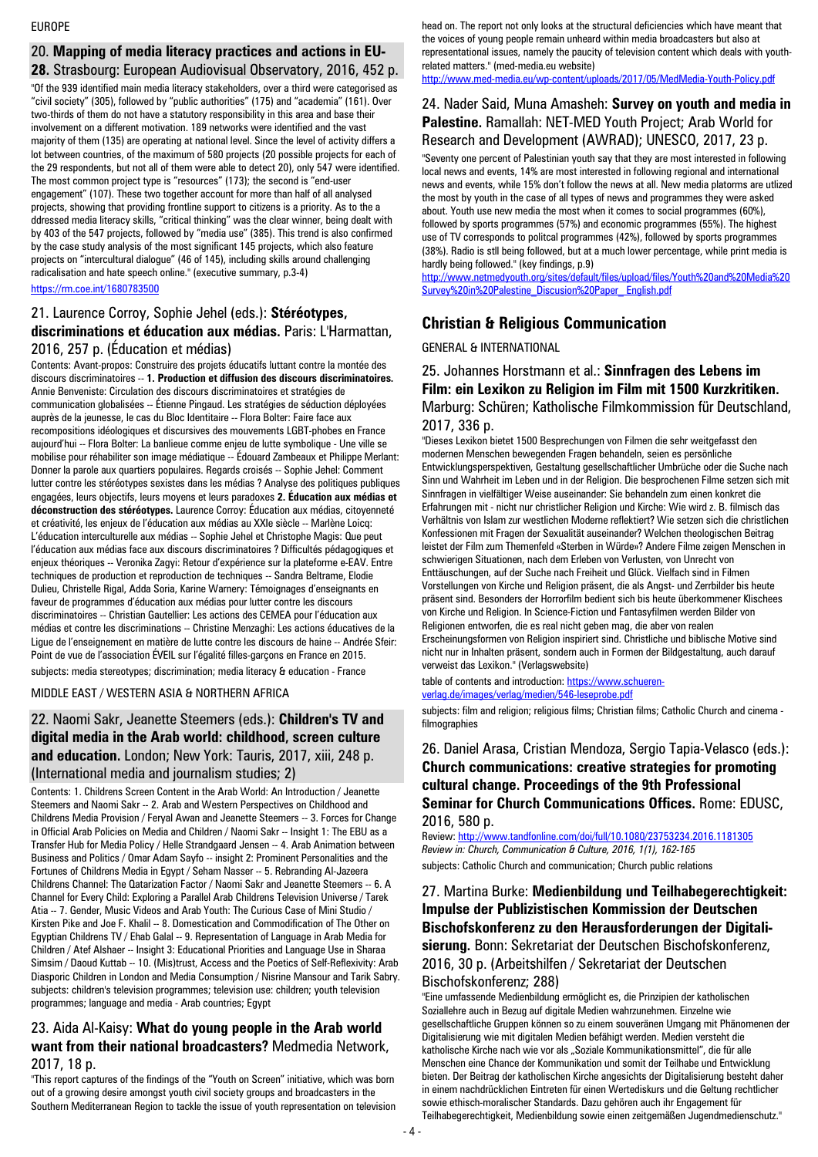# 20. **Mapping of media literacy practices and actions in EU-**

**28.** Strasbourg: European Audiovisual Observatory, 2016, 452 p.

"Of the 939 identified main media literacy stakeholders, over a third were categorised as "civil society" (305), followed by "public authorities" (175) and "academia" (161). Over two-thirds of them do not have a statutory responsibility in this area and base their involvement on a different motivation. 189 networks were identified and the vast majority of them (135) are operating at national level. Since the level of activity differs a lot between countries, of the maximum of 580 projects (20 possible projects for each of the 29 respondents, but not all of them were able to detect 20), only 547 were identified. The most common project type is "resources" (173); the second is "end-user engagement" (107). These two together account for more than half of all analysed projects, showing that providing frontline support to citizens is a priority. As to the a ddressed media literacy skills, "critical thinking" was the clear winner, being dealt with by 403 of the 547 projects, followed by "media use" (385). This trend is also confirmed by the case study analysis of the most significant 145 projects, which also feature projects on "intercultural dialogue" (46 of 145), including skills around challenging radicalisation and hate speech online." (executive summary, p.3-4) <https://rm.coe.int/1680783500>

### 21. Laurence Corroy, Sophie Jehel (eds.): **Stéréotypes, discriminations et éducation aux médias.** Paris: L'Harmattan, 2016, 257 p. (Éducation et médias)

Contents: Avant-propos: Construire des projets éducatifs luttant contre la montée des discours discriminatoires -- **1. Production et diffusion des discours discriminatoires.** Annie Benveniste: Circulation des discours discriminatoires et stratégies de communication globalisées -- Étienne Pingaud. Les stratégies de séduction déployées auprès de la jeunesse, le cas du Bloc Identitaire -- Flora Bolter: Faire face aux recompositions idéologiques et discursives des mouvements LGBT-phobes en France aujourd'hui -- Flora Bolter: La banlieue comme enjeu de lutte symbolique - Une ville se mobilise pour réhabiliter son image médiatique -- Édouard Zambeaux et Philippe Merlant: Donner la parole aux quartiers populaires. Regards croisés -- Sophie Jehel: Comment lutter contre les stéréotypes sexistes dans les médias ? Analyse des politiques publiques engagées, leurs objectifs, leurs moyens et leurs paradoxes **2. Éducation aux médias et déconstruction des stéréotypes.** Laurence Corroy: Éducation aux médias, citoyenneté et créativité, les enjeux de l'éducation aux médias au XXIe siècle -- Marlène Loicq: L'éducation interculturelle aux médias -- Sophie Jehel et Christophe Magis: Que peut l'éducation aux médias face aux discours discriminatoires ? Difficultés pédagogiques et enjeux théoriques -- Veronika Zagyi: Retour d'expérience sur la plateforme e-EAV. Entre techniques de production et reproduction de techniques -- Sandra Beltrame, Elodie Dulieu, Christelle Rigal, Adda Soria, Karine Warnery: Témoignages d'enseignants en faveur de programmes d'éducation aux médias pour lutter contre les discours discriminatoires -- Christian Gautellier: Les actions des CEMEA pour l'éducation aux médias et contre les discriminations -- Christine Menzaghi: Les actions éducatives de la Ligue de l'enseignement en matière de lutte contre les discours de haine -- Andrée Sfeir: Point de vue de l'association ÉVEIL sur l'égalité filles-garçons en France en 2015. subjects: media stereotypes; discrimination; media literacy & education - France

MIDDLE EAST / WESTERN ASIA & NORTHERN AFRICA

# 22. Naomi Sakr, Jeanette Steemers (eds.): **Children's TV and digital media in the Arab world: childhood, screen culture and education.** London; New York: Tauris, 2017, xiii, 248 p. (International media and journalism studies; 2)

Contents: 1. Childrens Screen Content in the Arab World: An Introduction / Jeanette Steemers and Naomi Sakr -- 2. Arab and Western Perspectives on Childhood and Childrens Media Provision / Feryal Awan and Jeanette Steemers -- 3. Forces for Change in Official Arab Policies on Media and Children / Naomi Sakr -- Insight 1: The EBU as a Transfer Hub for Media Policy / Helle Strandgaard Jensen -- 4. Arab Animation between Business and Politics / Omar Adam Sayfo -- insight 2: Prominent Personalities and the Fortunes of Childrens Media in Egypt / Seham Nasser -- 5. Rebranding Al-Jazeera Childrens Channel: The Qatarization Factor / Naomi Sakr and Jeanette Steemers -- 6. A Channel for Every Child: Exploring a Parallel Arab Childrens Television Universe / Tarek Atia -- 7. Gender, Music Videos and Arab Youth: The Curious Case of Mini Studio / Kirsten Pike and Joe F. Khalil -- 8. Domestication and Commodification of The Other on Egyptian Childrens TV / Ehab Galal -- 9. Representation of Language in Arab Media for Children / Atef Alshaer -- Insight 3: Educational Priorities and Language Use in Sharaa Simsim / Daoud Kuttab -- 10. (Mis)trust, Access and the Poetics of Self-Reflexivity: Arab Diasporic Children in London and Media Consumption / Nisrine Mansour and Tarik Sabry. subjects: children's television programmes; television use: children; youth television programmes; language and media - Arab countries; Egypt

# 23. Aida Al-Kaisy: **What do young people in the Arab world want from their national broadcasters?** Medmedia Network, 2017, 18 p.

"This report captures of the findings of the "Youth on Screen" initiative, which was born out of a growing desire amongst youth civil society groups and broadcasters in the Southern Mediterranean Region to tackle the issue of youth representation on television head on. The report not only looks at the structural deficiencies which have meant that the voices of young people remain unheard within media broadcasters but also at representational issues, namely the paucity of television content which deals with youthrelated matters." (med-media.eu website)

<http://www.med-media.eu/wp-content/uploads/2017/05/MedMedia-Youth-Policy.pdf>

# 24. Nader Said, Muna Amasheh: **Survey on youth and media in Palestine.** Ramallah: NET-MED Youth Project; Arab World for Research and Development (AWRAD); UNESCO, 2017, 23 p.

"Seventy one percent of Palestinian youth say that they are most interested in following local news and events, 14% are most interested in following regional and international news and events, while 15% don't follow the news at all. New media platorms are utlized the most by youth in the case of all types of news and programmes they were asked about. Youth use new media the most when it comes to social programmes (60%), followed by sports programmes (57%) and economic programmes (55%). The highest use of TV corresponds to politcal programmes (42%), followed by sports programmes (38%). Radio is stll being followed, but at a much lower percentage, while print media is hardly being followed." (key findings, p.9)

[http://www.netmedyouth.org/sites/default/files/upload/files/Youth%20and%20Media%20](http://www.netmedyouth.org/sites/default/files/upload/files/Youth%20and%20Media%20Survey%20in%20Palestine_Discusion%20Paper_%20English.pdf) [Survey%20in%20Palestine\\_Discusion%20Paper\\_ English.pdf](http://www.netmedyouth.org/sites/default/files/upload/files/Youth%20and%20Media%20Survey%20in%20Palestine_Discusion%20Paper_%20English.pdf)

# **Christian & Religious Communication**

GENERAL & INTERNATIONAL

25. Johannes Horstmann et al.: **Sinnfragen des Lebens im Film: ein Lexikon zu Religion im Film mit 1500 Kurzkritiken.**  Marburg: Schüren; Katholische Filmkommission für Deutschland, 2017, 336 p.

"Dieses Lexikon bietet 1500 Besprechungen von Filmen die sehr weitgefasst den modernen Menschen bewegenden Fragen behandeln, seien es persönliche Entwicklungsperspektiven, Gestaltung gesellschaftlicher Umbrüche oder die Suche nach Sinn und Wahrheit im Leben und in der Religion. Die besprochenen Filme setzen sich mit Sinnfragen in vielfältiger Weise auseinander: Sie behandeln zum einen konkret die Erfahrungen mit - nicht nur christlicher Religion und Kirche: Wie wird z. B. filmisch das Verhältnis von Islam zur westlichen Moderne reflektiert? Wie setzen sich die christlichen Konfessionen mit Fragen der Sexualität auseinander? Welchen theologischen Beitrag leistet der Film zum Themenfeld «Sterben in Würde»? Andere Filme zeigen Menschen in schwierigen Situationen, nach dem Erleben von Verlusten, von Unrecht von Enttäuschungen, auf der Suche nach Freiheit und Glück. Vielfach sind in Filmen Vorstellungen von Kirche und Religion präsent, die als Angst- und Zerrbilder bis heute präsent sind. Besonders der Horrorfilm bedient sich bis heute überkommener Klischees von Kirche und Religion. In Science-Fiction und Fantasyfilmen werden Bilder von Religionen entworfen, die es real nicht geben mag, die aber von realen Erscheinungsformen von Religion inspiriert sind. Christliche und biblische Motive sind nicht nur in Inhalten präsent, sondern auch in Formen der Bildgestaltung, auch darauf verweist das Lexikon." (Verlagswebsite)

table of contents and introduction: [https://www.schueren-](https://www.schueren-verlag.de/images/verlag/medien/546-leseprobe.pdf)

[verlag.de/images/verlag/medien/546-leseprobe.pdf](https://www.schueren-verlag.de/images/verlag/medien/546-leseprobe.pdf)

subiects: film and religion; religious films; Christian films; Catholic Church and cinema filmographies

# 26. Daniel Arasa, Cristian Mendoza, Sergio Tapia-Velasco (eds.): **Church communications: creative strategies for promoting cultural change. Proceedings of the 9th Professional Seminar for Church Communications Offices.** Rome: EDUSC, 2016, 580 p.

Review: <http://www.tandfonline.com/doi/full/10.1080/23753234.2016.1181305> *Review in: Church, Communication & Culture, 2016, 1(1), 162-165* subjects: Catholic Church and communication; Church public relations

# 27. Martina Burke: **Medienbildung und Teilhabegerechtigkeit: Impulse der Publizistischen Kommission der Deutschen Bischofskonferenz zu den Herausforderungen der Digitalisierung.** Bonn: Sekretariat der Deutschen Bischofskonferenz,

2016, 30 p. (Arbeitshilfen / Sekretariat der Deutschen Bischofskonferenz; 288)

"Eine umfassende Medienbildung ermöglicht es, die Prinzipien der katholischen Soziallehre auch in Bezug auf digitale Medien wahrzunehmen. Einzelne wie gesellschaftliche Gruppen können so zu einem souveränen Umgang mit Phänomenen der Digitalisierung wie mit digitalen Medien befähigt werden. Medien versteht die katholische Kirche nach wie vor als "Soziale Kommunikationsmittel", die für alle Menschen eine Chance der Kommunikation und somit der Teilhabe und Entwicklung bieten. Der Beitrag der katholischen Kirche angesichts der Digitalisierung besteht daher in einem nachdrücklichen Eintreten für einen Wertediskurs und die Geltung rechtlicher sowie ethisch-moralischer Standards. Dazu gehören auch ihr Engagement für Teilhabegerechtigkeit, Medienbildung sowie einen zeitgemäßen Jugendmedienschutz."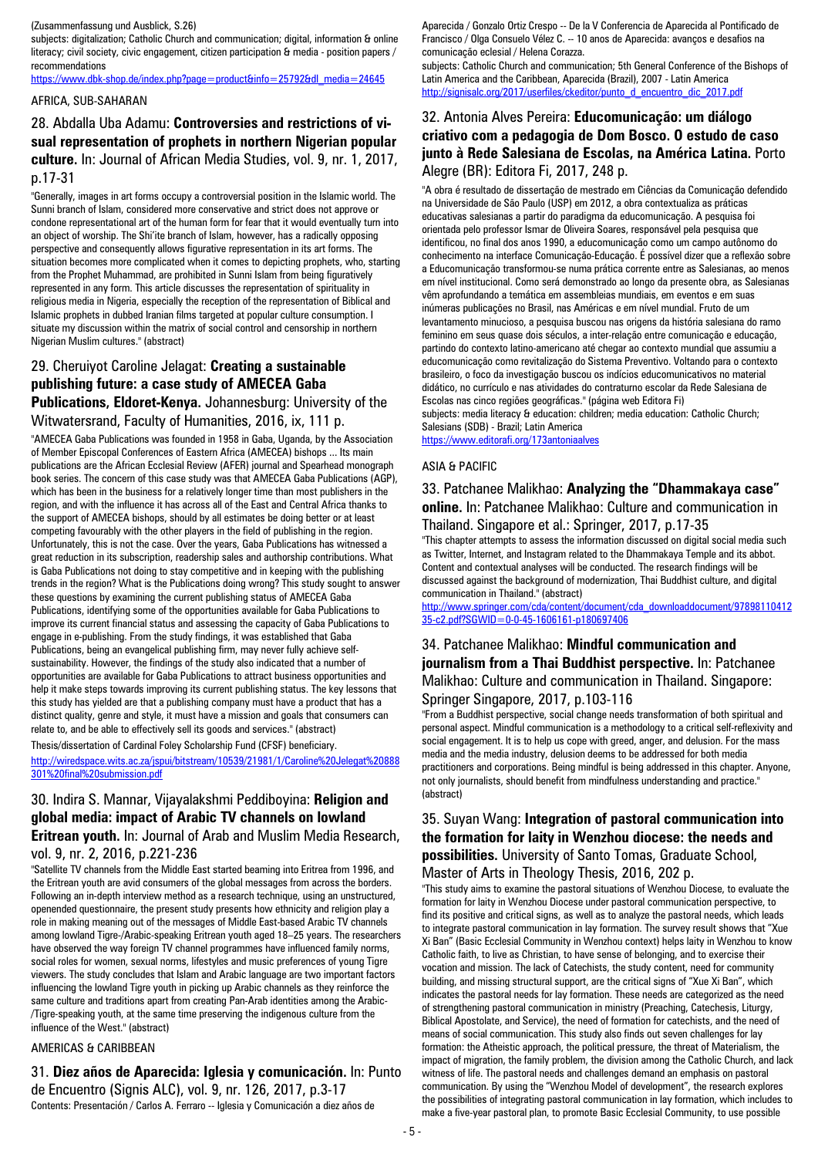#### (Zusammenfassung und Ausblick, S.26)

subjects: digitalization; Catholic Church and communication; digital, information & online literacy; civil society, civic engagement, citizen participation & media - position papers / recommendations

[https://www.dbk-shop.de/index.php?page=product&info=25792&dl\\_media=24645](https://www.dbk-shop.de/index.php?page=product&info=25792&dl_media=24645)

### AFRICA, SUB-SAHARAN

# 28. Abdalla Uba Adamu: **Controversies and restrictions of visual representation of prophets in northern Nigerian popular culture.** In: Journal of African Media Studies, vol. 9, nr. 1, 2017, p.17-31

"Generally, images in art forms occupy a controversial position in the Islamic world. The Sunni branch of Islam, considered more conservative and strict does not approve or condone representational art of the human form for fear that it would eventually turn into an object of worship. The Shi'ite branch of Islam, however, has a radically opposing perspective and consequently allows figurative representation in its art forms. The situation becomes more complicated when it comes to depicting prophets, who, starting from the Prophet Muhammad, are prohibited in Sunni Islam from being figuratively represented in any form. This article discusses the representation of spirituality in religious media in Nigeria, especially the reception of the representation of Biblical and Islamic prophets in dubbed Iranian films targeted at popular culture consumption. I situate my discussion within the matrix of social control and censorship in northern Nigerian Muslim cultures." (abstract)

## 29. Cheruiyot Caroline Jelagat: **Creating a sustainable publishing future: a case study of AMECEA Gaba Publications, Eldoret-Kenya.** Johannesburg: University of the Witwatersrand, Faculty of Humanities, 2016, ix, 111 p.

"AMECEA Gaba Publications was founded in 1958 in Gaba, Uganda, by the Association of Member Episcopal Conferences of Eastern Africa (AMECEA) bishops ... Its main publications are the African Ecclesial Review (AFER) journal and Spearhead monograph book series. The concern of this case study was that AMECEA Gaba Publications (AGP), which has been in the business for a relatively longer time than most publishers in the region, and with the influence it has across all of the East and Central Africa thanks to the support of AMECEA bishops, should by all estimates be doing better or at least competing favourably with the other players in the field of publishing in the region. Unfortunately, this is not the case. Over the years, Gaba Publications has witnessed a great reduction in its subscription, readership sales and authorship contributions. What is Gaba Publications not doing to stay competitive and in keeping with the publishing trends in the region? What is the Publications doing wrong? This study sought to answer these questions by examining the current publishing status of AMECEA Gaba Publications, identifying some of the opportunities available for Gaba Publications to improve its current financial status and assessing the capacity of Gaba Publications to engage in e-publishing. From the study findings, it was established that Gaba Publications, being an evangelical publishing firm, may never fully achieve selfsustainability. However, the findings of the study also indicated that a number of opportunities are available for Gaba Publications to attract business opportunities and help it make steps towards improving its current publishing status. The key lessons that this study has yielded are that a publishing company must have a product that has a distinct quality, genre and style, it must have a mission and goals that consumers can relate to, and be able to effectively sell its goods and services." (abstract) Thesis/dissertation of Cardinal Foley Scholarship Fund (CFSF) beneficiary.

[http://wiredspace.wits.ac.za/jspui/bitstream/10539/21981/1/Caroline%20Jelegat%20888](http://wiredspace.wits.ac.za/jspui/bitstream/10539/21981/1/Caroline%20Jelegat%20888301%20final%20submission.pdf) [301%20final%20submission.pdf](http://wiredspace.wits.ac.za/jspui/bitstream/10539/21981/1/Caroline%20Jelegat%20888301%20final%20submission.pdf)

# 30. Indira S. Mannar, Vijayalakshmi Peddiboyina: **Religion and global media: impact of Arabic TV channels on lowland Eritrean youth.** In: Journal of Arab and Muslim Media Research,

vol. 9, nr. 2, 2016, p.221-236

"Satellite TV channels from the Middle East started beaming into Eritrea from 1996, and the Eritrean youth are avid consumers of the global messages from across the borders. Following an in-depth interview method as a research technique, using an unstructured, openended questionnaire, the present study presents how ethnicity and religion play a role in making meaning out of the messages of Middle East-based Arabic TV channels among lowland Tigre-/Arabic-speaking Eritrean youth aged 18–25 years. The researchers have observed the way foreign TV channel programmes have influenced family norms, social roles for women, sexual norms, lifestyles and music preferences of young Tigre viewers. The study concludes that Islam and Arabic language are two important factors influencing the lowland Tigre youth in picking up Arabic channels as they reinforce the same culture and traditions apart from creating Pan-Arab identities among the Arabic- /Tigre-speaking youth, at the same time preserving the indigenous culture from the influence of the West." (abstract)

### AMERICAS & CARIBBEAN

31. **Diez años de Aparecida: Iglesia y comunicación.** In: Punto de Encuentro (Signis ALC), vol. 9, nr. 126, 2017, p.3-17 Contents: Presentación / Carlos A. Ferraro -- Iglesia y Comunicación a diez años de

Aparecida / Gonzalo Ortiz Crespo -- De la V Conferencia de Aparecida al Pontificado de Francisco / Olga Consuelo Vélez C. -- 10 anos de Aparecida: avanços e desafios na comunicação eclesial / Helena Corazza.

subjects: Catholic Church and communication; 5th General Conference of the Bishops of Latin America and the Caribbean, Aparecida (Brazil), 2007 - Latin America [http://signisalc.org/2017/userfiles/ckeditor/punto\\_d\\_encuentro\\_dic\\_2017.pdf](http://signisalc.org/2017/userfiles/ckeditor/punto_d_encuentro_dic_2017.pdf)

# 32. Antonia Alves Pereira: **Educomunicação: um diálogo criativo com a pedagogia de Dom Bosco. O estudo de caso junto à Rede Salesiana de Escolas, na América Latina.** Porto Alegre (BR): Editora Fi, 2017, 248 p.

"A obra é resultado de dissertação de mestrado em Ciências da Comunicação defendido na Universidade de São Paulo (USP) em 2012, a obra contextualiza as práticas educativas salesianas a partir do paradigma da educomunicação. A pesquisa foi orientada pelo professor Ismar de Oliveira Soares, responsável pela pesquisa que identificou, no final dos anos 1990, a educomunicação como um campo autônomo do conhecimento na interface Comunicação-Educação. É possível dizer que a reflexão sobre a Educomunicação transformou-se numa prática corrente entre as Salesianas, ao menos em nível institucional. Como será demonstrado ao longo da presente obra, as Salesianas vêm aprofundando a temática em assembleias mundiais, em eventos e em suas inúmeras publicações no Brasil, nas Américas e em nível mundial. Fruto de um levantamento minucioso, a pesquisa buscou nas origens da história salesiana do ramo feminino em seus quase dois séculos, a inter-relação entre comunicação e educação, partindo do contexto latino-americano até chegar ao contexto mundial que assumiu a educomunicação como revitalização do Sistema Preventivo. Voltando para o contexto brasileiro, o foco da investigação buscou os indícios educomunicativos no material didático, no currículo e nas atividades do contraturno escolar da Rede Salesiana de Escolas nas cinco regiões geográficas." (página web Editora Fi) subjects: media literacy & education: children; media education: Catholic Church; Salesians (SDB) - Brazil; Latin America

<https://www.editorafi.org/173antoniaalves>

### ASIA & PACIFIC

## 33. Patchanee Malikhao: **Analyzing the "Dhammakaya case" online.** In: Patchanee Malikhao: Culture and communication in Thailand. Singapore et al.: Springer, 2017, p.17-35

"This chapter attempts to assess the information discussed on digital social media such as Twitter, Internet, and Instagram related to the Dhammakaya Temple and its abbot. Content and contextual analyses will be conducted. The research findings will be discussed against the background of modernization, Thai Buddhist culture, and digital communication in Thailand." (abstract)

[http://www.springer.com/cda/content/document/cda\\_downloaddocument/97898110412](http://www.springer.com/cda/content/document/cda_downloaddocument/9789811041235-c2.pdf?SGWID=0-0-45-1606161-p180697406) [35-c2.pdf?SGWID=0-0-45-1606161-p180697406](http://www.springer.com/cda/content/document/cda_downloaddocument/9789811041235-c2.pdf?SGWID=0-0-45-1606161-p180697406)

# 34. Patchanee Malikhao: **Mindful communication and journalism from a Thai Buddhist perspective.** In: Patchanee Malikhao: Culture and communication in Thailand. Singapore:

# Springer Singapore, 2017, p.103-116

"From a Buddhist perspective, social change needs transformation of both spiritual and personal aspect. Mindful communication is a methodology to a critical self-reflexivity and social engagement. It is to help us cope with greed, anger, and delusion. For the mass media and the media industry, delusion deems to be addressed for both media practitioners and corporations. Being mindful is being addressed in this chapter. Anyone, not only journalists, should benefit from mindfulness understanding and practice." (abstract)

# 35. Suyan Wang: **Integration of pastoral communication into the formation for laity in Wenzhou diocese: the needs and possibilities.** University of Santo Tomas, Graduate School, Master of Arts in Theology Thesis, 2016, 202 p.

"This study aims to examine the pastoral situations of Wenzhou Diocese, to evaluate the formation for laity in Wenzhou Diocese under pastoral communication perspective, to find its positive and critical signs, as well as to analyze the pastoral needs, which leads to integrate pastoral communication in lay formation. The survey result shows that "Xue Xi Ban" (Basic Ecclesial Community in Wenzhou context) helps laity in Wenzhou to know Catholic faith, to live as Christian, to have sense of belonging, and to exercise their vocation and mission. The lack of Catechists, the study content, need for community building, and missing structural support, are the critical signs of "Xue Xi Ban", which indicates the pastoral needs for lay formation. These needs are categorized as the need of strengthening pastoral communication in ministry (Preaching, Catechesis, Liturgy, Biblical Apostolate, and Service), the need of formation for catechists, and the need of means of social communication. This study also finds out seven challenges for lay formation: the Atheistic approach, the political pressure, the threat of Materialism, the impact of migration, the family problem, the division among the Catholic Church, and lack witness of life. The pastoral needs and challenges demand an emphasis on pastoral communication. By using the "Wenzhou Model of development", the research explores the possibilities of integrating pastoral communication in lay formation, which includes to make a five-year pastoral plan, to promote Basic Ecclesial Community, to use possible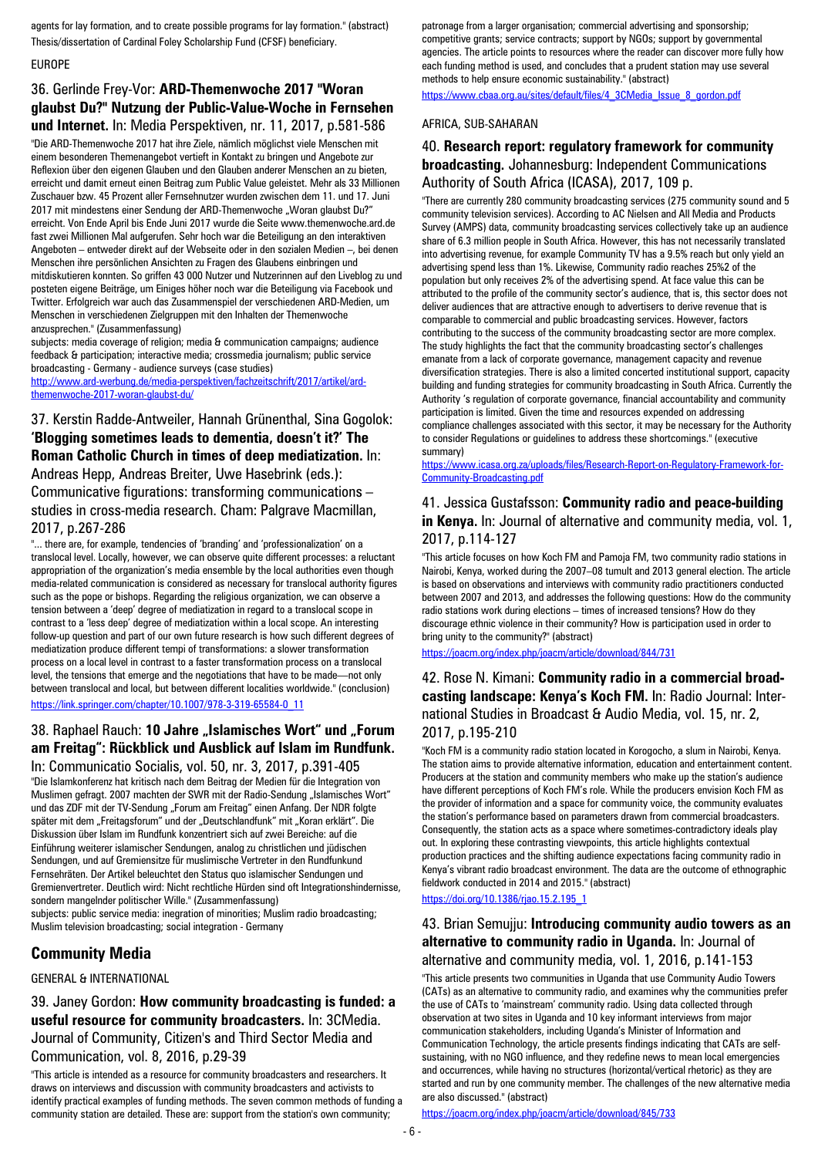agents for lay formation, and to create possible programs for lay formation." (abstract) Thesis/dissertation of Cardinal Foley Scholarship Fund (CFSF) beneficiary.

#### EUROPE

# 36. Gerlinde Frey-Vor: **ARD-Themenwoche 2017 "Woran glaubst Du?" Nutzung der Public-Value-Woche in Fernsehen und Internet.** In: Media Perspektiven, nr. 11, 2017, p.581-586

"Die ARD-Themenwoche 2017 hat ihre Ziele, nämlich möglichst viele Menschen mit einem besonderen Themenangebot vertieft in Kontakt zu bringen und Angebote zur Reflexion über den eigenen Glauben und den Glauben anderer Menschen an zu bieten, erreicht und damit erneut einen Beitrag zum Public Value geleistet. Mehr als 33 Millionen Zuschauer bzw. 45 Prozent aller Fernsehnutzer wurden zwischen dem 11. und 17. Juni 2017 mit mindestens einer Sendung der ARD-Themenwoche "Woran glaubst Du?" erreicht. Von Ende April bis Ende Juni 2017 wurde die Seite www.themenwoche.ard.de fast zwei Millionen Mal aufgerufen. Sehr hoch war die Beteiligung an den interaktiven Angeboten – entweder direkt auf der Webseite oder in den sozialen Medien –, bei denen Menschen ihre persönlichen Ansichten zu Fragen des Glaubens einbringen und mitdiskutieren konnten. So griffen 43 000 Nutzer und Nutzerinnen auf den Liveblog zu und posteten eigene Beiträge, um Einiges höher noch war die Beteiligung via Facebook und Twitter. Erfolgreich war auch das Zusammenspiel der verschiedenen ARD-Medien, um Menschen in verschiedenen Zielgruppen mit den Inhalten der Themenwoche anzusprechen." (Zusammenfassung)

subjects: media coverage of religion; media & communication campaigns; audience feedback & participation; interactive media; crossmedia journalism; public service broadcasting - Germany - audience surveys (case studies)

[http://www.ard-werbung.de/media-perspektiven/fachzeitschrift/2017/artikel/ard](http://www.ard-werbung.de/media-perspektiven/fachzeitschrift/2017/artikel/ard-themenwoche-2017-woran-glaubst-du/)[themenwoche-2017-woran-glaubst-du/](http://www.ard-werbung.de/media-perspektiven/fachzeitschrift/2017/artikel/ard-themenwoche-2017-woran-glaubst-du/)

# 37. Kerstin Radde-Antweiler, Hannah Grünenthal, Sina Gogolok: **'Blogging sometimes leads to dementia, doesn't it?' The Roman Catholic Church in times of deep mediatization.** In: Andreas Hepp, Andreas Breiter, Uwe Hasebrink (eds.):

Communicative figurations: transforming communications – studies in cross-media research. Cham: Palgrave Macmillan, 2017, p.267-286

"... there are, for example, tendencies of 'branding' and 'professionalization' on a translocal level. Locally, however, we can observe quite different processes: a reluctant appropriation of the organization's media ensemble by the local authorities even though media-related communication is considered as necessary for translocal authority figures such as the pope or bishops. Regarding the religious organization, we can observe a tension between a 'deep' degree of mediatization in regard to a translocal scope in contrast to a 'less deep' degree of mediatization within a local scope. An interesting follow-up question and part of our own future research is how such different degrees of mediatization produce different tempi of transformations: a slower transformation process on a local level in contrast to a faster transformation process on a translocal level, the tensions that emerge and the negotiations that have to be made—not only between translocal and local, but between different localities worldwide." (conclusion)

# [https://link.springer.com/chapter/10.1007/978-3-319-65584-0\\_11](https://link.springer.com/chapter/10.1007/978-3-319-65584-0_11)

# 38. Raphael Rauch: 10 Jahre "Islamisches Wort" und "Forum **am Freitag": Rückblick und Ausblick auf Islam im Rundfunk.**

In: Communicatio Socialis, vol. 50, nr. 3, 2017, p.391-405 "Die Islamkonferenz hat kritisch nach dem Beitrag der Medien für die Integration von Muslimen gefragt. 2007 machten der SWR mit der Radio-Sendung "Islamisches Wort" und das ZDF mit der TV-Sendung "Forum am Freitag" einen Anfang. Der NDR folgte später mit dem "Freitagsforum" und der "Deutschlandfunk" mit "Koran erklärt". Die Diskussion über Islam im Rundfunk konzentriert sich auf zwei Bereiche: auf die Einführung weiterer islamischer Sendungen, analog zu christlichen und jüdischen Sendungen, und auf Gremiensitze für muslimische Vertreter in den Rundfunkund Fernsehräten. Der Artikel beleuchtet den Status quo islamischer Sendungen und Gremienvertreter. Deutlich wird: Nicht rechtliche Hürden sind oft Integrationshindernisse, sondern mangelnder politischer Wille." (Zusammenfassung) subjects: public service media: inegration of minorities; Muslim radio broadcasting;

Muslim television broadcasting; social integration - Germany

# **Community Media**

# GENERAL & INTERNATIONAL

39. Janey Gordon: **How community broadcasting is funded: a useful resource for community broadcasters.** In: 3CMedia. Journal of Community, Citizen's and Third Sector Media and Communication, vol. 8, 2016, p.29-39

"This article is intended as a resource for community broadcasters and researchers. It draws on interviews and discussion with community broadcasters and activists to identify practical examples of funding methods. The seven common methods of funding a community station are detailed. These are: support from the station's own community;

patronage from a larger organisation; commercial advertising and sponsorship; competitive grants; service contracts; support by NGOs; support by governmental agencies. The article points to resources where the reader can discover more fully how each funding method is used, and concludes that a prudent station may use several methods to help ensure economic sustainability." (abstract)

[https://www.cbaa.org.au/sites/default/files/4\\_3CMedia\\_Issue\\_8\\_gordon.pdf](https://www.cbaa.org.au/sites/default/files/4_3CMedia_Issue_8_gordon.pdf)

## AFRICA, SUB-SAHARAN

# 40. **Research report: regulatory framework for community broadcasting.** Johannesburg: Independent Communications Authority of South Africa (ICASA), 2017, 109 p.

"There are currently 280 community broadcasting services (275 community sound and 5 community television services). According to AC Nielsen and All Media and Products Survey (AMPS) data, community broadcasting services collectively take up an audience share of 6.3 million people in South Africa. However, this has not necessarily translated into advertising revenue, for example Community TV has a 9.5% reach but only yield an advertising spend less than 1%. Likewise, Community radio reaches 25%2 of the population but only receives 2% of the advertising spend. At face value this can be attributed to the profile of the community sector's audience, that is, this sector does not deliver audiences that are attractive enough to advertisers to derive revenue that is comparable to commercial and public broadcasting services. However, factors contributing to the success of the community broadcasting sector are more complex. The study highlights the fact that the community broadcasting sector's challenges emanate from a lack of corporate governance, management capacity and revenue diversification strategies. There is also a limited concerted institutional support, capacity building and funding strategies for community broadcasting in South Africa. Currently the Authority 's regulation of corporate governance, financial accountability and community participation is limited. Given the time and resources expended on addressing compliance challenges associated with this sector, it may be necessary for the Authority to consider Regulations or guidelines to address these shortcomings." (executive summary)

[https://www.icasa.org.za/uploads/files/Research-Report-on-Regulatory-Framework-for-](https://www.icasa.org.za/uploads/files/Research-Report-on-Regulatory-Framework-for-Community-Broadcasting.pdf)[Community-Broadcasting.pdf](https://www.icasa.org.za/uploads/files/Research-Report-on-Regulatory-Framework-for-Community-Broadcasting.pdf)

# 41. Jessica Gustafsson: **Community radio and peace-building**

**in Kenya.** In: Journal of alternative and community media, vol. 1, 2017, p.114-127

"This article focuses on how Koch FM and Pamoja FM, two community radio stations in Nairobi, Kenya, worked during the 2007–08 tumult and 2013 general election. The article is based on observations and interviews with community radio practitioners conducted between 2007 and 2013, and addresses the following questions: How do the community radio stations work during elections – times of increased tensions? How do they discourage ethnic violence in their community? How is participation used in order to bring unity to the community?" (abstract)

<https://joacm.org/index.php/joacm/article/download/844/731>

# 42. Rose N. Kimani: **Community radio in a commercial broadcasting landscape: Kenya's Koch FM.** In: Radio Journal: International Studies in Broadcast & Audio Media, vol. 15, nr. 2,

# 2017, p.195-210

"Koch FM is a community radio station located in Korogocho, a slum in Nairobi, Kenya. The station aims to provide alternative information, education and entertainment content. Producers at the station and community members who make up the station's audience have different perceptions of Koch FM's role. While the producers envision Koch FM as the provider of information and a space for community voice, the community evaluates the station's performance based on parameters drawn from commercial broadcasters. Consequently, the station acts as a space where sometimes-contradictory ideals play out. In exploring these contrasting viewpoints, this article highlights contextual production practices and the shifting audience expectations facing community radio in Kenya's vibrant radio broadcast environment. The data are the outcome of ethnographic fieldwork conducted in 2014 and 2015." (abstract)

[https://doi.org/10.1386/rjao.15.2.195\\_1](https://doi.org/10.1386/rjao.15.2.195_1)

# 43. Brian Semujju: **Introducing community audio towers as an alternative to community radio in Uganda.** In: Journal of alternative and community media, vol. 1, 2016, p.141-153

"This article presents two communities in Uganda that use Community Audio Towers (CATs) as an alternative to community radio, and examines why the communities prefer the use of CATs to 'mainstream' community radio. Using data collected through observation at two sites in Uganda and 10 key informant interviews from major communication stakeholders, including Uganda's Minister of Information and Communication Technology, the article presents findings indicating that CATs are selfsustaining, with no NGO influence, and they redefine news to mean local emergencies and occurrences, while having no structures (horizontal/vertical rhetoric) as they are started and run by one community member. The challenges of the new alternative media are also discussed." (abstract)

<https://joacm.org/index.php/joacm/article/download/845/733>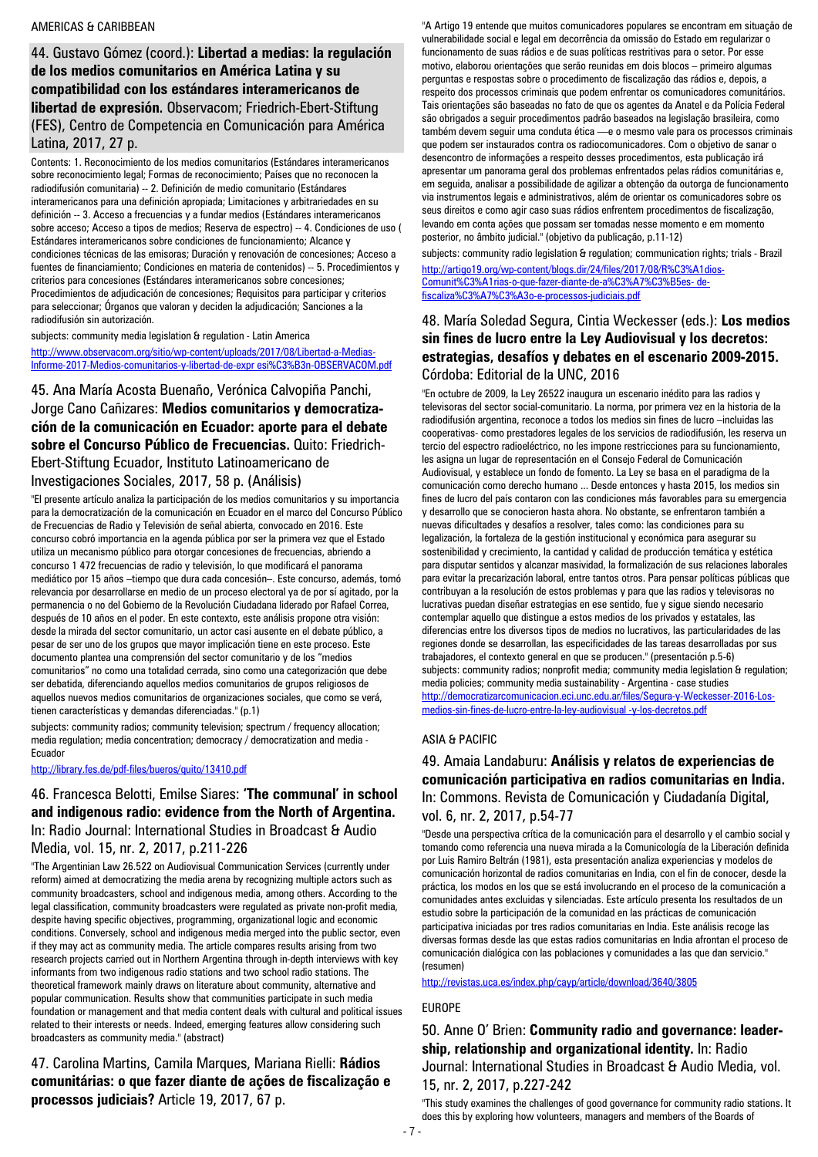#### AMERICAS & CARIBBEAN

44. Gustavo Gómez (coord.): **Libertad a medias: la regulación de los medios comunitarios en América Latina y su compatibilidad con los estándares interamericanos de libertad de expresión.** Observacom; Friedrich-Ebert-Stiftung (FES), Centro de Competencia en Comunicación para América Latina, 2017, 27 p.

Contents: 1. Reconocimiento de los medios comunitarios (Estándares interamericanos sobre reconocimiento legal; Formas de reconocimiento; Países que no reconocen la radiodifusión comunitaria) -- 2. Definición de medio comunitario (Estándares interamericanos para una definición apropiada; Limitaciones y arbitrariedades en su definición -- 3. Acceso a frecuencias y a fundar medios (Estándares interamericanos sobre acceso; Acceso a tipos de medios; Reserva de espectro) -- 4. Condiciones de uso ( Estándares interamericanos sobre condiciones de funcionamiento; Alcance y condiciones técnicas de las emisoras; Duración y renovación de concesiones; Acceso a fuentes de financiamiento; Condiciones en materia de contenidos) -- 5. Procedimientos y criterios para concesiones (Estándares interamericanos sobre concesiones; Procedimientos de adjudicación de concesiones; Requisitos para participar y criterios para seleccionar; Órganos que valoran y deciden la adjudicación; Sanciones a la radiodifusión sin autorización.

subjects: community media legislation & regulation - Latin America [http://www.observacom.org/sitio/wp-content/uploads/2017/08/Libertad-a-Medias-](http://www.observacom.org/sitio/wp-content/uploads/2017/08/Libertad-a-Medias-Informe-2017-Medios-comunitarios-y-libertad-de-expr%20esi%C3%B3n-OBSERVACOM.pdf)[Informe-2017-Medios-comunitarios-y-libertad-de-expr esi%C3%B3n-OBSERVACOM.pdf](http://www.observacom.org/sitio/wp-content/uploads/2017/08/Libertad-a-Medias-Informe-2017-Medios-comunitarios-y-libertad-de-expr%20esi%C3%B3n-OBSERVACOM.pdf)

45. Ana María Acosta Buenaño, Verónica Calvopiña Panchi, Jorge Cano Cañizares: **Medios comunitarios y democratización de la comunicación en Ecuador: aporte para el debate sobre el Concurso Público de Frecuencias.** Quito: Friedrich-Ebert-Stiftung Ecuador, Instituto Latinoamericano de Investigaciones Sociales, 2017, 58 p. (Análisis)

"El presente artículo analiza la participación de los medios comunitarios y su importancia para la democratización de la comunicación en Ecuador en el marco del Concurso Público de Frecuencias de Radio y Televisión de señal abierta, convocado en 2016. Este concurso cobró importancia en la agenda pública por ser la primera vez que el Estado utiliza un mecanismo público para otorgar concesiones de frecuencias, abriendo a concurso 1 472 frecuencias de radio y televisión, lo que modificará el panorama mediático por 15 años –tiempo que dura cada concesión–. Este concurso, además, tomó relevancia por desarrollarse en medio de un proceso electoral ya de por sí agitado, por la permanencia o no del Gobierno de la Revolución Ciudadana liderado por Rafael Correa, después de 10 años en el poder. En este contexto, este análisis propone otra visión: desde la mirada del sector comunitario, un actor casi ausente en el debate público, a pesar de ser uno de los grupos que mayor implicación tiene en este proceso. Este documento plantea una comprensión del sector comunitario y de los "medios comunitarios" no como una totalidad cerrada, sino como una categorización que debe ser debatida, diferenciando aquellos medios comunitarios de grupos religiosos de aquellos nuevos medios comunitarios de organizaciones sociales, que como se verá, tienen características y demandas diferenciadas." (p.1)

subjects: community radios; community television; spectrum / frequency allocation; media regulation; media concentration; democracy / democratization and media - Ecuador

#### <http://library.fes.de/pdf-files/bueros/quito/13410.pdf>

# 46. Francesca Belotti, Emilse Siares: **'The communal' in school and indigenous radio: evidence from the North of Argentina.**  In: Radio Journal: International Studies in Broadcast & Audio Media, vol. 15, nr. 2, 2017, p.211-226

"The Argentinian Law 26.522 on Audiovisual Communication Services (currently under reform) aimed at democratizing the media arena by recognizing multiple actors such as community broadcasters, school and indigenous media, among others. According to the legal classification, community broadcasters were regulated as private non-profit media, despite having specific objectives, programming, organizational logic and economic conditions. Conversely, school and indigenous media merged into the public sector, even if they may act as community media. The article compares results arising from two research projects carried out in Northern Argentina through in-depth interviews with key informants from two indigenous radio stations and two school radio stations. The theoretical framework mainly draws on literature about community, alternative and popular communication. Results show that communities participate in such media foundation or management and that media content deals with cultural and political issues related to their interests or needs. Indeed, emerging features allow considering such broadcasters as community media." (abstract)

# 47. Carolina Martins, Camila Marques, Mariana Rielli: **Rádios comunitárias: o que fazer diante de ações de fiscalização e processos judiciais?** Article 19, 2017, 67 p.

"A Artigo 19 entende que muitos comunicadores populares se encontram em situação de vulnerabilidade social e legal em decorrência da omissão do Estado em regularizar o funcionamento de suas rádios e de suas políticas restritivas para o setor. Por esse motivo, elaborou orientações que serão reunidas em dois blocos – primeiro algumas perguntas e respostas sobre o procedimento de fiscalização das rádios e, depois, a respeito dos processos criminais que podem enfrentar os comunicadores comunitários. Tais orientações são baseadas no fato de que os agentes da Anatel e da Polícia Federal são obrigados a seguir procedimentos padrão baseados na legislação brasileira, como também devem seguir uma conduta ética —e o mesmo vale para os processos criminais que podem ser instaurados contra os radiocomunicadores. Com o objetivo de sanar o desencontro de informações a respeito desses procedimentos, esta publicação irá apresentar um panorama geral dos problemas enfrentados pelas rádios comunitárias e, em seguida, analisar a possibilidade de agilizar a obtenção da outorga de funcionamento via instrumentos legais e administrativos, além de orientar os comunicadores sobre os seus direitos e como agir caso suas rádios enfrentem procedimentos de fiscalização, levando em conta ações que possam ser tomadas nesse momento e em momento posterior, no âmbito judicial." (objetivo da publicação, p.11-12)

subjects: community radio legislation & regulation; communication rights; trials - Brazil [http://artigo19.org/wp-content/blogs.dir/24/files/2017/08/R%C3%A1dios-](http://artigo19.org/wp-content/blogs.dir/24/files/2017/08/R%C3%A1dios-Comunit%C3%A1rias-o-que-fazer-diante-de-a%C3%A7%C3%B5es-%20de-fiscaliza%C3%A7%C3%A3o-e-processos-judiciais.pdf)[Comunit%C3%A1rias-o-que-fazer-diante-de-a%C3%A7%C3%B5es-](http://artigo19.org/wp-content/blogs.dir/24/files/2017/08/R%C3%A1dios-Comunit%C3%A1rias-o-que-fazer-diante-de-a%C3%A7%C3%B5es-%20de-fiscaliza%C3%A7%C3%A3o-e-processos-judiciais.pdf) de[fiscaliza%C3%A7%C3%A3o-e-processos-judiciais.pdf](http://artigo19.org/wp-content/blogs.dir/24/files/2017/08/R%C3%A1dios-Comunit%C3%A1rias-o-que-fazer-diante-de-a%C3%A7%C3%B5es-%20de-fiscaliza%C3%A7%C3%A3o-e-processos-judiciais.pdf)

# 48. María Soledad Segura, Cintia Weckesser (eds.): **Los medios sin fines de lucro entre la Ley Audiovisual y los decretos: estrategias, desafíos y debates en el escenario 2009-2015.**  Córdoba: Editorial de la UNC, 2016

"En octubre de 2009, la Ley 26522 inaugura un escenario inédito para las radios y televisoras del sector social-comunitario. La norma, por primera vez en la historia de la radiodifusión argentina, reconoce a todos los medios sin fines de lucro –incluidas las cooperativas- como prestadores legales de los servicios de radiodifusión, les reserva un tercio del espectro radioeléctrico, no les impone restricciones para su funcionamiento, les asigna un lugar de representación en el Consejo Federal de Comunicación Audiovisual, y establece un fondo de fomento. La Ley se basa en el paradigma de la comunicación como derecho humano ... Desde entonces y hasta 2015, los medios sin fines de lucro del país contaron con las condiciones más favorables para su emergencia y desarrollo que se conocieron hasta ahora. No obstante, se enfrentaron también a nuevas dificultades y desafíos a resolver, tales como: las condiciones para su legalización, la fortaleza de la gestión institucional y económica para asegurar su sostenibilidad y crecimiento, la cantidad y calidad de producción temática y estética para disputar sentidos y alcanzar masividad, la formalización de sus relaciones laborales para evitar la precarización laboral, entre tantos otros. Para pensar políticas públicas que contribuyan a la resolución de estos problemas y para que las radios y televisoras no lucrativas puedan diseñar estrategias en ese sentido, fue y sigue siendo necesario contemplar aquello que distingue a estos medios de los privados y estatales, las diferencias entre los diversos tipos de medios no lucrativos, las particularidades de las regiones donde se desarrollan, las especificidades de las tareas desarrolladas por sus trabajadores, el contexto general en que se producen." (presentación p.5-6) subjects: community radios; nonprofit media; community media legislation & regulation; media policies; community media sustainability - Argentina - case studies [http://democratizarcomunicacion.eci.unc.edu.ar/files/Segura-y-Weckesser-2016-Los](http://democratizarcomunicacion.eci.unc.edu.ar/files/Segura-y-Weckesser-2016-Los-medios-sin-fines-de-lucro-entre-la-ley-audiovisual%20-y-los-decretos.pdf)[medios-sin-fines-de-lucro-entre-la-ley-audiovisual -y-los-decretos.pdf](http://democratizarcomunicacion.eci.unc.edu.ar/files/Segura-y-Weckesser-2016-Los-medios-sin-fines-de-lucro-entre-la-ley-audiovisual%20-y-los-decretos.pdf)

### ASIA & PACIFIC

# 49. Amaia Landaburu: **Análisis y relatos de experiencias de comunicación participativa en radios comunitarias en India.**  In: Commons. Revista de Comunicación y Ciudadanía Digital, vol. 6, nr. 2, 2017, p.54-77

"Desde una perspectiva crítica de la comunicación para el desarrollo y el cambio social y tomando como referencia una nueva mirada a la Comunicología de la Liberación definida por Luis Ramiro Beltrán (1981), esta presentación analiza experiencias y modelos de comunicación horizontal de radios comunitarias en India, con el fin de conocer, desde la práctica, los modos en los que se está involucrando en el proceso de la comunicación a comunidades antes excluidas y silenciadas. Este artículo presenta los resultados de un estudio sobre la participación de la comunidad en las prácticas de comunicación participativa iniciadas por tres radios comunitarias en India. Este análisis recoge las diversas formas desde las que estas radios comunitarias en India afrontan el proceso de comunicación dialógica con las poblaciones y comunidades a las que dan servicio." (resumen)

<http://revistas.uca.es/index.php/cayp/article/download/3640/3805>

#### EUROPE

50. Anne O' Brien: **Community radio and governance: leadership, relationship and organizational identity.** In: Radio Journal: International Studies in Broadcast & Audio Media, vol. 15, nr. 2, 2017, p.227-242

"This study examines the challenges of good governance for community radio stations. It does this by exploring how volunteers, managers and members of the Boards of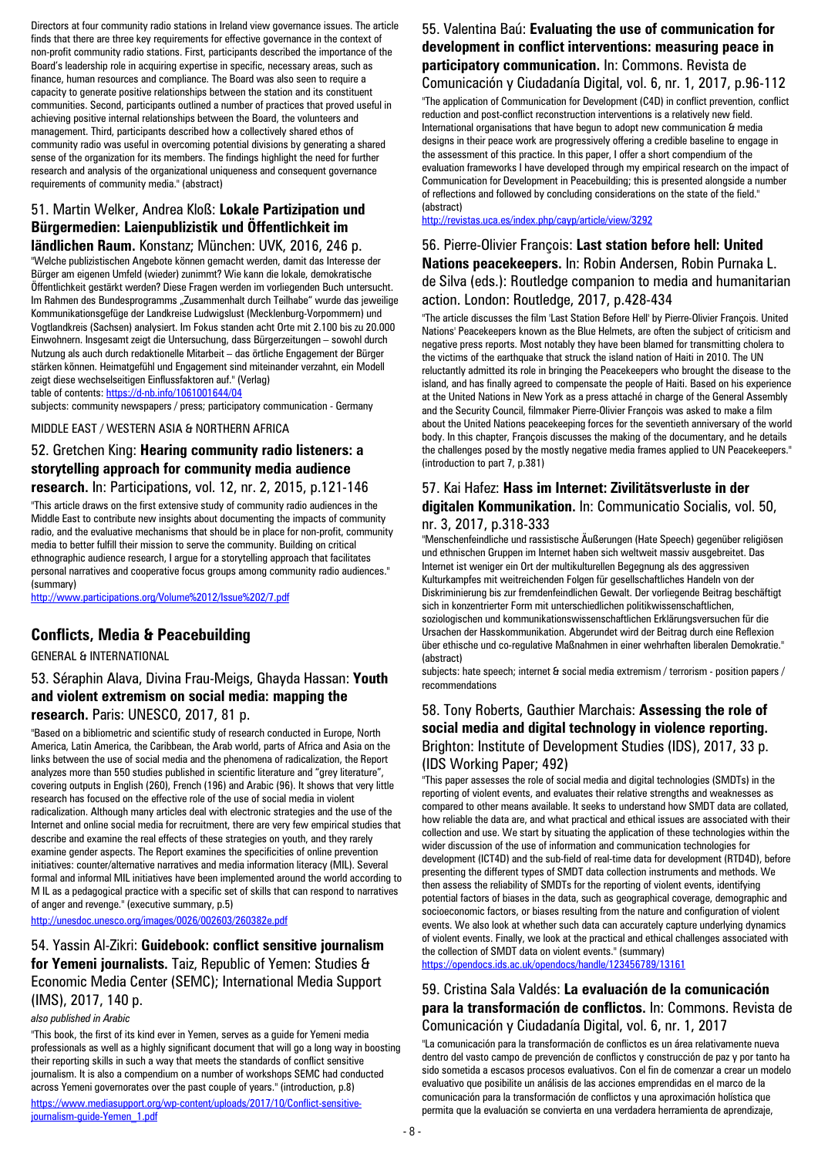Directors at four community radio stations in Ireland view governance issues. The article finds that there are three key requirements for effective governance in the context of non-profit community radio stations. First, participants described the importance of the Board's leadership role in acquiring expertise in specific, necessary areas, such as finance, human resources and compliance. The Board was also seen to require a capacity to generate positive relationships between the station and its constituent communities. Second, participants outlined a number of practices that proved useful in achieving positive internal relationships between the Board, the volunteers and management. Third, participants described how a collectively shared ethos of community radio was useful in overcoming potential divisions by generating a shared sense of the organization for its members. The findings highlight the need for further research and analysis of the organizational uniqueness and consequent governance requirements of community media." (abstract)

# 51. Martin Welker, Andrea Kloß: **Lokale Partizipation und Bürgermedien: Laienpublizistik und Öffentlichkeit im ländlichen Raum.** Konstanz; München: UVK, 2016, 246 p.

"Welche publizistischen Angebote können gemacht werden, damit das Interesse der Bürger am eigenen Umfeld (wieder) zunimmt? Wie kann die lokale, demokratische Öffentlichkeit gestärkt werden? Diese Fragen werden im vorliegenden Buch untersucht. Im Rahmen des Bundesprogramms "Zusammenhalt durch Teilhabe" wurde das jeweilige Kommunikationsgefüge der Landkreise Ludwigslust (Mecklenburg-Vorpommern) und Vogtlandkreis (Sachsen) analysiert. Im Fokus standen acht Orte mit 2.100 bis zu 20.000 Einwohnern. Insgesamt zeigt die Untersuchung, dass Bürgerzeitungen – sowohl durch Nutzung als auch durch redaktionelle Mitarbeit – das örtliche Engagement der Bürger stärken können. Heimatgefühl und Engagement sind miteinander verzahnt, ein Modell zeigt diese wechselseitigen Einflussfaktoren auf." (Verlag) table of contents[: https://d-nb.info/1061001644/04](https://d-nb.info/1061001644/04)

subjects: community newspapers / press; participatory communication - Germany

MIDDLE EAST / WESTERN ASIA & NORTHERN AFRICA

# 52. Gretchen King: **Hearing community radio listeners: a storytelling approach for community media audience research.** In: Participations, vol. 12, nr. 2, 2015, p.121-146

"This article draws on the first extensive study of community radio audiences in the Middle East to contribute new insights about documenting the impacts of community radio, and the evaluative mechanisms that should be in place for non-profit, community media to better fulfill their mission to serve the community. Building on critical ethnographic audience research, I argue for a storytelling approach that facilitates personal narratives and cooperative focus groups among community radio audiences." (summary)

<http://www.participations.org/Volume%2012/Issue%202/7.pdf>

# **Conflicts, Media & Peacebuilding**

GENERAL & INTERNATIONAL

# 53. Séraphin Alava, Divina Frau-Meigs, Ghayda Hassan: **Youth and violent extremism on social media: mapping the**

**research.** Paris: UNESCO, 2017, 81 p.

"Based on a bibliometric and scientific study of research conducted in Europe, North America, Latin America, the Caribbean, the Arab world, parts of Africa and Asia on the links between the use of social media and the phenomena of radicalization, the Report analyzes more than 550 studies published in scientific literature and "grey literature", covering outputs in English (260), French (196) and Arabic (96). It shows that very little research has focused on the effective role of the use of social media in violent radicalization. Although many articles deal with electronic strategies and the use of the Internet and online social media for recruitment, there are very few empirical studies that describe and examine the real effects of these strategies on youth, and they rarely examine gender aspects. The Report examines the specificities of online prevention initiatives: counter/alternative narratives and media information literacy (MIL). Several formal and informal MIL initiatives have been implemented around the world according to M IL as a pedagogical practice with a specific set of skills that can respond to narratives of anger and revenge." (executive summary, p.5)

<http://unesdoc.unesco.org/images/0026/002603/260382e.pdf>

54. Yassin Al-Zikri: **Guidebook: conflict sensitive journalism for Yemeni journalists.** Taiz, Republic of Yemen: Studies & Economic Media Center (SEMC); International Media Support (IMS), 2017, 140 p.

*also published in Arabic*

"This book, the first of its kind ever in Yemen, serves as a guide for Yemeni media professionals as well as a highly significant document that will go a long way in boosting their reporting skills in such a way that meets the standards of conflict sensitive journalism. It is also a compendium on a number of workshops SEMC had conducted across Yemeni governorates over the past couple of years." (introduction, p.8)

[https://www.mediasupport.org/wp-content/uploads/2017/10/Conflict-sensitive](https://www.mediasupport.org/wp-content/uploads/2017/10/Conflict-sensitive-journalism-guide-Yemen_1.pdf)[journalism-guide-Yemen\\_1.pdf](https://www.mediasupport.org/wp-content/uploads/2017/10/Conflict-sensitive-journalism-guide-Yemen_1.pdf)

# 55. Valentina Baú: **Evaluating the use of communication for development in conflict interventions: measuring peace in participatory communication.** In: Commons. Revista de

Comunicación y Ciudadanía Digital, vol. 6, nr. 1, 2017, p.96-112 "The application of Communication for Development (C4D) in conflict prevention, conflict reduction and post-conflict reconstruction interventions is a relatively new field. International organisations that have begun to adopt new communication & media designs in their peace work are progressively offering a credible baseline to engage in the assessment of this practice. In this paper, I offer a short compendium of the evaluation frameworks I have developed through my empirical research on the impact of Communication for Development in Peacebuilding; this is presented alongside a number of reflections and followed by concluding considerations on the state of the field." (abstract)

<http://revistas.uca.es/index.php/cayp/article/view/3292>

# 56. Pierre-Olivier François: **Last station before hell: United Nations peacekeepers.** In: Robin Andersen, Robin Purnaka L. de Silva (eds.): Routledge companion to media and humanitarian action. London: Routledge, 2017, p.428-434

"The article discusses the film 'Last Station Before Hell' by Pierre-Olivier François. United Nations' Peacekeepers known as the Blue Helmets, are often the subject of criticism and negative press reports. Most notably they have been blamed for transmitting cholera to the victims of the earthquake that struck the island nation of Haiti in 2010. The UN reluctantly admitted its role in bringing the Peacekeepers who brought the disease to the island, and has finally agreed to compensate the people of Haiti. Based on his experience at the United Nations in New York as a press attaché in charge of the General Assembly and the Security Council, filmmaker Pierre-Olivier François was asked to make a film about the United Nations peacekeeping forces for the seventieth anniversary of the world body. In this chapter, François discusses the making of the documentary, and he details the challenges posed by the mostly negative media frames applied to UN Peacekeepers." (introduction to part 7, p.381)

# 57. Kai Hafez: **Hass im Internet: Zivilitätsverluste in der digitalen Kommunikation.** In: Communicatio Socialis, vol. 50, nr. 3, 2017, p.318-333

"Menschenfeindliche und rassistische Äußerungen (Hate Speech) gegenüber religiösen und ethnischen Gruppen im Internet haben sich weltweit massiv ausgebreitet. Das Internet ist weniger ein Ort der multikulturellen Begegnung als des aggressiven Kulturkampfes mit weitreichenden Folgen für gesellschaftliches Handeln von der Diskriminierung bis zur fremdenfeindlichen Gewalt. Der vorliegende Beitrag beschäftigt sich in konzentrierter Form mit unterschiedlichen politikwissenschaftlichen, soziologischen und kommunikationswissenschaftlichen Erklärungsversuchen für die Ursachen der Hasskommunikation. Abgerundet wird der Beitrag durch eine Reflexion über ethische und co-regulative Maßnahmen in einer wehrhaften liberalen Demokratie." (abstract)

subjects: hate speech: internet & social media extremism / terrorism - position papers / recommendations

# 58. Tony Roberts, Gauthier Marchais: **Assessing the role of social media and digital technology in violence reporting.**  Brighton: Institute of Development Studies (IDS), 2017, 33 p. (IDS Working Paper; 492)

"This paper assesses the role of social media and digital technologies (SMDTs) in the reporting of violent events, and evaluates their relative strengths and weaknesses as compared to other means available. It seeks to understand how SMDT data are collated, how reliable the data are, and what practical and ethical issues are associated with their collection and use. We start by situating the application of these technologies within the wider discussion of the use of information and communication technologies for development (ICT4D) and the sub-field of real-time data for development (RTD4D), before presenting the different types of SMDT data collection instruments and methods. We then assess the reliability of SMDTs for the reporting of violent events, identifying potential factors of biases in the data, such as geographical coverage, demographic and socioeconomic factors, or biases resulting from the nature and configuration of violent events. We also look at whether such data can accurately capture underlying dynamics of violent events. Finally, we look at the practical and ethical challenges associated with the collection of SMDT data on violent events." (summary)

<https://opendocs.ids.ac.uk/opendocs/handle/123456789/13161>

# 59. Cristina Sala Valdés: **La evaluación de la comunicación para la transformación de conflictos.** In: Commons. Revista de Comunicación y Ciudadanía Digital, vol. 6, nr. 1, 2017

"La comunicación para la transformación de conflictos es un área relativamente nueva dentro del vasto campo de prevención de conflictos y construcción de paz y por tanto ha sido sometida a escasos procesos evaluativos. Con el fin de comenzar a crear un modelo evaluativo que posibilite un análisis de las acciones emprendidas en el marco de la comunicación para la transformación de conflictos y una aproximación holística que permita que la evaluación se convierta en una verdadera herramienta de aprendizaje,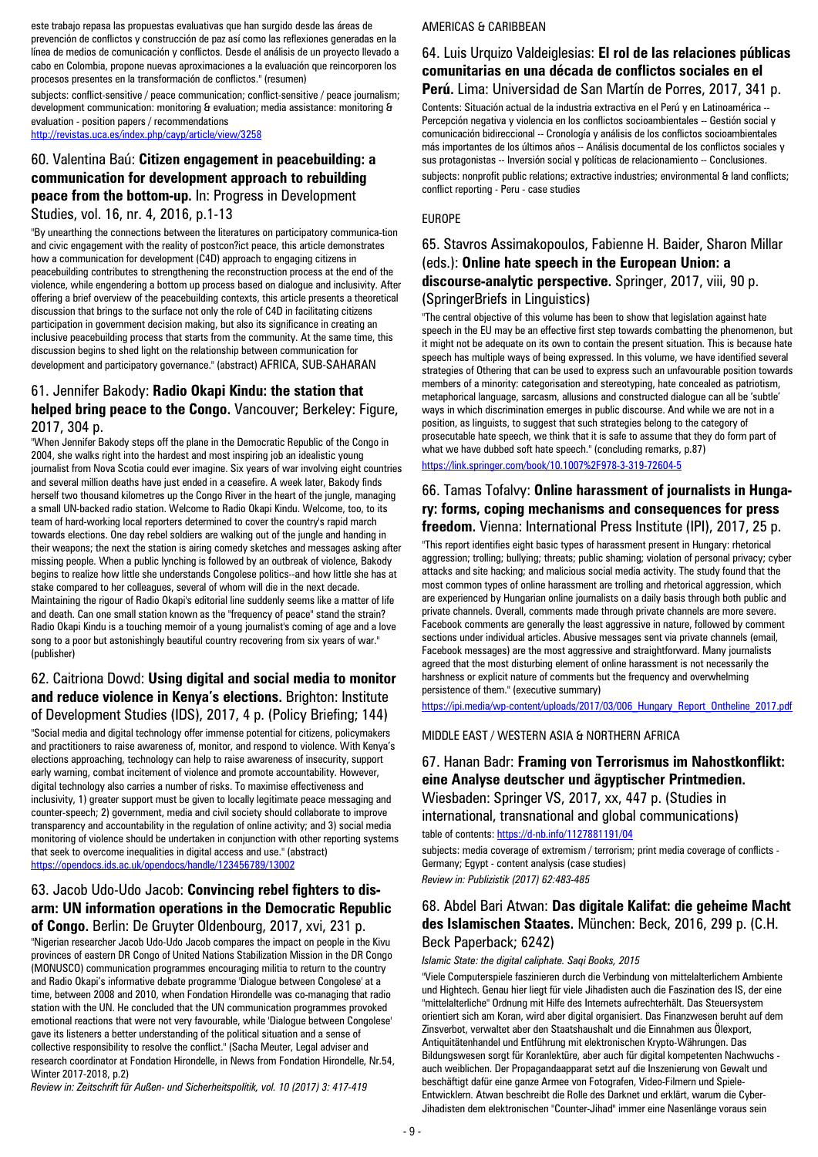este trabajo repasa las propuestas evaluativas que han surgido desde las áreas de prevención de conflictos y construcción de paz así como las reflexiones generadas en la línea de medios de comunicación y conflictos. Desde el análisis de un proyecto llevado a cabo en Colombia, propone nuevas aproximaciones a la evaluación que reincorporen los procesos presentes en la transformación de conflictos." (resumen)

subjects: conflict-sensitive / peace communication; conflict-sensitive / peace journalism; development communication: monitoring & evaluation; media assistance: monitoring & evaluation - position papers / recommendations <http://revistas.uca.es/index.php/cayp/article/view/3258>

# 60. Valentina Baú: **Citizen engagement in peacebuilding: a communication for development approach to rebuilding peace from the bottom-up.** In: Progress in Development Studies, vol. 16, nr. 4, 2016, p.1-13

"By unearthing the connections between the literatures on participatory communica-tion and civic engagement with the reality of postcon?ict peace, this article demonstrates how a communication for development (C4D) approach to engaging citizens in peacebuilding contributes to strengthening the reconstruction process at the end of the violence, while engendering a bottom up process based on dialogue and inclusivity. After offering a brief overview of the peacebuilding contexts, this article presents a theoretical discussion that brings to the surface not only the role of C4D in facilitating citizens participation in government decision making, but also its significance in creating an inclusive peacebuilding process that starts from the community. At the same time, this discussion begins to shed light on the relationship between communication for development and participatory governance." (abstract) AFRICA, SUB-SAHARAN

# 61. Jennifer Bakody: **Radio Okapi Kindu: the station that helped bring peace to the Congo.** Vancouver; Berkeley: Figure, 2017, 304 p.

"When Jennifer Bakody steps off the plane in the Democratic Republic of the Congo in 2004, she walks right into the hardest and most inspiring job an idealistic young journalist from Nova Scotia could ever imagine. Six years of war involving eight countries and several million deaths have just ended in a ceasefire. A week later, Bakody finds herself two thousand kilometres up the Congo River in the heart of the jungle, managing a small UN-backed radio station. Welcome to Radio Okapi Kindu. Welcome, too, to its team of hard-working local reporters determined to cover the country's rapid march towards elections. One day rebel soldiers are walking out of the jungle and handing in their weapons; the next the station is airing comedy sketches and messages asking after missing people. When a public lynching is followed by an outbreak of violence, Bakody begins to realize how little she understands Congolese politics--and how little she has at stake compared to her colleagues, several of whom will die in the next decade. Maintaining the rigour of Radio Okapi's editorial line suddenly seems like a matter of life and death. Can one small station known as the "frequency of peace" stand the strain? Radio Okapi Kindu is a touching memoir of a young journalist's coming of age and a love song to a poor but astonishingly beautiful country recovering from six years of war." (publisher)

# 62. Caitriona Dowd: **Using digital and social media to monitor and reduce violence in Kenya's elections.** Brighton: Institute of Development Studies (IDS), 2017, 4 p. (Policy Briefing; 144)

"Social media and digital technology offer immense potential for citizens, policymakers and practitioners to raise awareness of, monitor, and respond to violence. With Kenya's elections approaching, technology can help to raise awareness of insecurity, support early warning, combat incitement of violence and promote accountability. However, digital technology also carries a number of risks. To maximise effectiveness and inclusivity, 1) greater support must be given to locally legitimate peace messaging and counter-speech; 2) government, media and civil society should collaborate to improve transparency and accountability in the regulation of online activity; and 3) social media monitoring of violence should be undertaken in conjunction with other reporting systems that seek to overcome inequalities in digital access and use." (abstract) <https://opendocs.ids.ac.uk/opendocs/handle/123456789/13002>

### 63. Jacob Udo-Udo Jacob: **Convincing rebel fighters to disarm: UN information operations in the Democratic Republic of Congo.** Berlin: De Gruyter Oldenbourg, 2017, xvi, 231 p.

"Nigerian researcher Jacob Udo-Udo Jacob compares the impact on people in the Kivu provinces of eastern DR Congo of United Nations Stabilization Mission in the DR Congo (MONUSCO) communication programmes encouraging militia to return to the country and Radio Okapi's informative debate programme 'Dialogue between Congolese' at a time, between 2008 and 2010, when Fondation Hirondelle was co-managing that radio station with the UN. He concluded that the UN communication programmes provoked emotional reactions that were not very favourable, while 'Dialogue between Congolese' gave its listeners a better understanding of the political situation and a sense of collective responsibility to resolve the conflict." (Sacha Meuter, Legal adviser and research coordinator at Fondation Hirondelle, in News from Fondation Hirondelle, Nr.54, Winter 2017-2018, p.2)

*Review in: Zeitschrift für Außen- und Sicherheitspolitik, vol. 10 (2017) 3: 417-419*

#### AMERICAS & CARIBBEAN

# 64. Luis Urquizo Valdeiglesias: **El rol de las relaciones públicas comunitarias en una década de conflictos sociales en el**

**Perú.** Lima: Universidad de San Martín de Porres, 2017, 341 p. Contents: Situación actual de la industria extractiva en el Perú y en Latinoamérica -- Percepción negativa y violencia en los conflictos socioambientales -- Gestión social v comunicación bidireccional -- Cronología y análisis de los conflictos socioambientales más importantes de los últimos años -- Análisis documental de los conflictos sociales y sus protagonistas -- Inversión social y políticas de relacionamiento -- Conclusiones. subjects: nonprofit public relations; extractive industries; environmental & land conflicts; conflict reporting - Peru - case studies

#### EUROPE

# 65. Stavros Assimakopoulos, Fabienne H. Baider, Sharon Millar (eds.): **Online hate speech in the European Union: a discourse-analytic perspective.** Springer, 2017, viii, 90 p. (SpringerBriefs in Linguistics)

"The central objective of this volume has been to show that legislation against hate speech in the EU may be an effective first step towards combatting the phenomenon, but it might not be adequate on its own to contain the present situation. This is because hate speech has multiple ways of being expressed. In this volume, we have identified several strategies of Othering that can be used to express such an unfavourable position towards members of a minority: categorisation and stereotyping, hate concealed as patriotism, metaphorical language, sarcasm, allusions and constructed dialogue can all be 'subtle' ways in which discrimination emerges in public discourse. And while we are not in a position, as linguists, to suggest that such strategies belong to the category of prosecutable hate speech, we think that it is safe to assume that they do form part of what we have dubbed soft hate speech." (concluding remarks, p.87) <https://link.springer.com/book/10.1007%2F978-3-319-72604-5>

# 66. Tamas Tofalvy: **Online harassment of journalists in Hungary: forms, coping mechanisms and consequences for press freedom.** Vienna: International Press Institute (IPI), 2017, 25 p.

"This report identifies eight basic types of harassment present in Hungary: rhetorical aggression; trolling; bullying; threats; public shaming; violation of personal privacy; cyber attacks and site hacking; and malicious social media activity. The study found that the most common types of online harassment are trolling and rhetorical aggression, which are experienced by Hungarian online journalists on a daily basis through both public and private channels. Overall, comments made through private channels are more severe. Facebook comments are generally the least aggressive in nature, followed by comment sections under individual articles. Abusive messages sent via private channels (email, Facebook messages) are the most aggressive and straightforward. Many journalists agreed that the most disturbing element of online harassment is not necessarily the harshness or explicit nature of comments but the frequency and overwhelming persistence of them." (executive summary)

[https://ipi.media/wp-content/uploads/2017/03/006\\_Hungary\\_Report\\_Ontheline\\_2017.pdf](https://ipi.media/wp-content/uploads/2017/03/006_Hungary_Report_Ontheline_2017.pdf)

MIDDLE EAST / WESTERN ASIA & NORTHERN AFRICA

# 67. Hanan Badr: **Framing von Terrorismus im Nahostkonflikt: eine Analyse deutscher und ägyptischer Printmedien.**

Wiesbaden: Springer VS, 2017, xx, 447 p. (Studies in international, transnational and global communications) table of contents[: https://d-nb.info/1127881191/04](https://d-nb.info/1127881191/04)

subjects: media coverage of extremism / terrorism; print media coverage of conflicts - Germany; Egypt - content analysis (case studies) *Review in: Publizistik (2017) 62:483-485*

# 68. Abdel Bari Atwan: **Das digitale Kalifat: die geheime Macht des Islamischen Staates.** München: Beck, 2016, 299 p. (C.H. Beck Paperback; 6242)

*Islamic State: the digital caliphate. Saqi Books, 2015*

"Viele Computerspiele faszinieren durch die Verbindung von mittelalterlichem Ambiente und Hightech. Genau hier liegt für viele Jihadisten auch die Faszination des IS, der eine "mittelalterliche" Ordnung mit Hilfe des Internets aufrechterhält. Das Steuersystem orientiert sich am Koran, wird aber digital organisiert. Das Finanzwesen beruht auf dem Zinsverbot, verwaltet aber den Staatshaushalt und die Einnahmen aus Ölexport, Antiquitätenhandel und Entführung mit elektronischen Krypto-Währungen. Das Bildungswesen sorgt für Koranlektüre, aber auch für digital kompetenten Nachwuchs auch weiblichen. Der Propagandaapparat setzt auf die Inszenierung von Gewalt und beschäftigt dafür eine ganze Armee von Fotografen, Video-Filmern und Spiele-Entwicklern. Atwan beschreibt die Rolle des Darknet und erklärt, warum die Cyber-Jihadisten dem elektronischen "Counter-Jihad" immer eine Nasenlänge voraus sein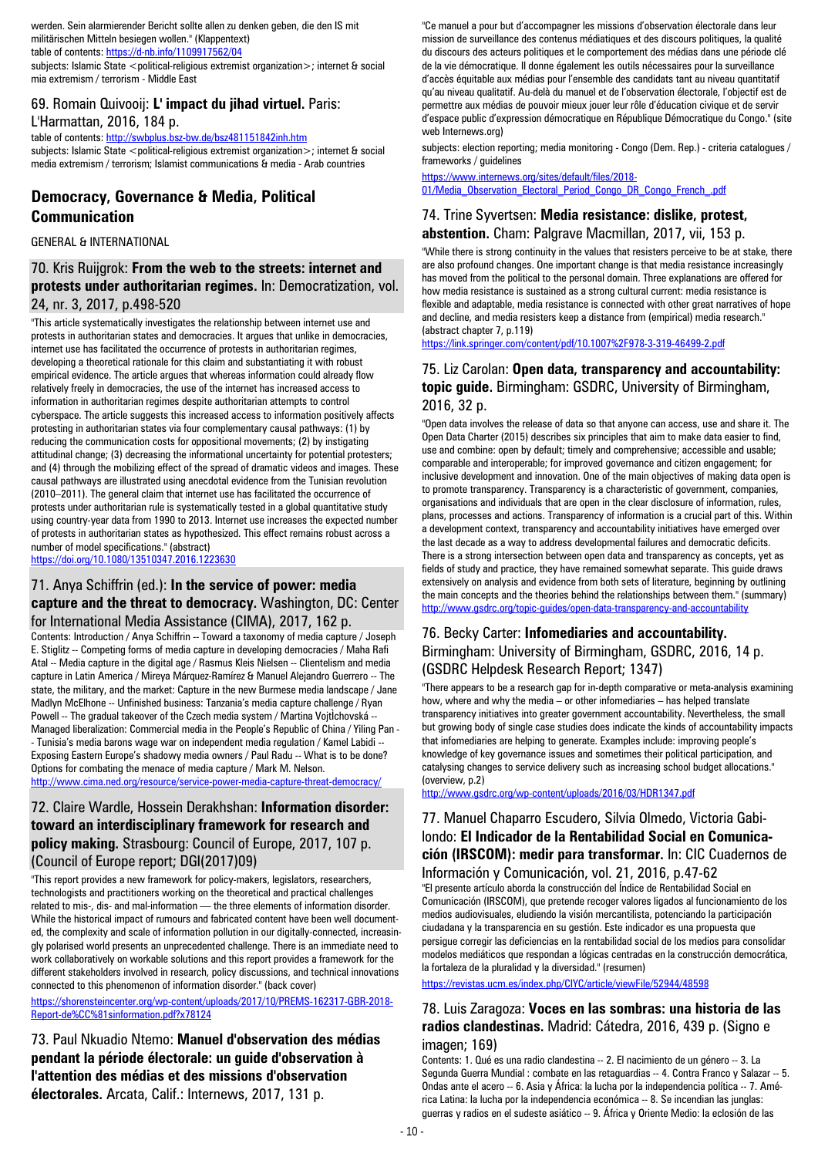werden. Sein alarmierender Bericht sollte allen zu denken geben, die den IS mit militärischen Mitteln besiegen wollen." (Klappentext) table of contents[: https://d-nb.info/1109917562/04](https://d-nb.info/1109917562/04) subjects: Islamic State <political-religious extremist organization>; internet & social mia extremism / terrorism - Middle East

# 69. Romain Quivooij: **L' impact du jihad virtuel.** Paris: L'Harmattan, 2016, 184 p.

table of contents[: http://swbplus.bsz-bw.de/bsz481151842inh.htm](http://swbplus.bsz-bw.de/bsz481151842inh.htm) subjects: Islamic State <political-religious extremist organization>; internet & social media extremism / terrorism; Islamist communications & media - Arab countries

# **Democracy, Governance & Media, Political Communication**

GENERAL & INTERNATIONAL

## 70. Kris Ruijgrok: **From the web to the streets: internet and protests under authoritarian regimes.** In: Democratization, vol. 24, nr. 3, 2017, p.498-520

"This article systematically investigates the relationship between internet use and protests in authoritarian states and democracies. It argues that unlike in democracies, internet use has facilitated the occurrence of protests in authoritarian regimes, developing a theoretical rationale for this claim and substantiating it with robust empirical evidence. The article argues that whereas information could already flow relatively freely in democracies, the use of the internet has increased access to information in authoritarian regimes despite authoritarian attempts to control cyberspace. The article suggests this increased access to information positively affects protesting in authoritarian states via four complementary causal pathways: (1) by reducing the communication costs for oppositional movements; (2) by instigating attitudinal change; (3) decreasing the informational uncertainty for potential protesters; and (4) through the mobilizing effect of the spread of dramatic videos and images. These causal pathways are illustrated using anecdotal evidence from the Tunisian revolution (2010–2011). The general claim that internet use has facilitated the occurrence of protests under authoritarian rule is systematically tested in a global quantitative study using country-year data from 1990 to 2013. Internet use increases the expected number of protests in authoritarian states as hypothesized. This effect remains robust across a number of model specifications." (abstract) <https://doi.org/10.1080/13510347.2016.1223630>

# 71. Anya Schiffrin (ed.): **In the service of power: media capture and the threat to democracy.** Washington, DC: Center for International Media Assistance (CIMA), 2017, 162 p.

Contents: Introduction / Anya Schiffrin -- Toward a taxonomy of media capture / Joseph E. Stiglitz -- Competing forms of media capture in developing democracies / Maha Rafi Atal -- Media capture in the digital age / Rasmus Kleis Nielsen -- Clientelism and media capture in Latin America / Mireya Márquez-Ramírez & Manuel Alejandro Guerrero -- The state, the military, and the market: Capture in the new Burmese media landscape / Jane Madlyn McElhone -- Unfinished business: Tanzania's media capture challenge / Ryan Powell -- The gradual takeover of the Czech media system / Martina VojtÌchovská -- Managed liberalization: Commercial media in the People's Republic of China / Yiling Pan - - Tunisia's media barons wage war on independent media regulation / Kamel Labidi --Exposing Eastern Europe's shadowy media owners / Paul Radu -- What is to be done? Options for combating the menace of media capture / Mark M. Nelson. <http://www.cima.ned.org/resource/service-power-media-capture-threat-democracy/>

# 72. Claire Wardle, Hossein Derakhshan: **Information disorder: toward an interdisciplinary framework for research and policy making.** Strasbourg: Council of Europe, 2017, 107 p. (Council of Europe report; DGI(2017)09)

"This report provides a new framework for policy-makers, legislators, researchers, technologists and practitioners working on the theoretical and practical challenges related to mis-, dis- and mal-information — the three elements of information disorder. While the historical impact of rumours and fabricated content have been well documented, the complexity and scale of information pollution in our digitally-connected, increasingly polarised world presents an unprecedented challenge. There is an immediate need to work collaboratively on workable solutions and this report provides a framework for the different stakeholders involved in research, policy discussions, and technical innovations connected to this phenomenon of information disorder." (back cover)

[https://shorensteincenter.org/wp-content/uploads/2017/10/PREMS-162317-GBR-2018-](https://shorensteincenter.org/wp-content/uploads/2017/10/PREMS-162317-GBR-2018-Report-de%CC%81sinformation.pdf?x78124) [Report-de%CC%81sinformation.pdf?x78124](https://shorensteincenter.org/wp-content/uploads/2017/10/PREMS-162317-GBR-2018-Report-de%CC%81sinformation.pdf?x78124)

73. Paul Nkuadio Ntemo: **Manuel d'observation des médias pendant la période électorale: un guide d'observation à l'attention des médias et des missions d'observation électorales.** Arcata, Calif.: Internews, 2017, 131 p.

"Ce manuel a pour but d'accompagner les missions d'observation électorale dans leur mission de surveillance des contenus médiatiques et des discours politiques, la qualité du discours des acteurs politiques et le comportement des médias dans une période clé de la vie démocratique. Il donne également les outils nécessaires pour la surveillance d'accès équitable aux médias pour l'ensemble des candidats tant au niveau quantitatif qu'au niveau qualitatif. Au-delà du manuel et de l'observation électorale, l'objectif est de permettre aux médias de pouvoir mieux jouer leur rôle d'éducation civique et de servir d'espace public d'expression démocratique en République Démocratique du Congo." (site web Internews.org)

subjects: election reporting; media monitoring - Congo (Dem. Rep.) - criteria catalogues / frameworks / guidelines

[https://www.internews.org/sites/default/files/2018-](https://www.internews.org/sites/default/files/2018-01/Media_Observation_Electoral_Period_Congo_DR_Congo_French_.pdf) [01/Media\\_Observation\\_Electoral\\_Period\\_Congo\\_DR\\_Congo\\_French\\_.pdf](https://www.internews.org/sites/default/files/2018-01/Media_Observation_Electoral_Period_Congo_DR_Congo_French_.pdf)

# 74. Trine Syvertsen: **Media resistance: dislike, protest, abstention.** Cham: Palgrave Macmillan, 2017, vii, 153 p.

"While there is strong continuity in the values that resisters perceive to be at stake, there are also profound changes. One important change is that media resistance increasingly has moved from the political to the personal domain. Three explanations are offered for how media resistance is sustained as a strong cultural current: media resistance is flexible and adaptable, media resistance is connected with other great narratives of hope and decline, and media resisters keep a distance from (empirical) media research." (abstract chapter 7, p.119)

<https://link.springer.com/content/pdf/10.1007%2F978-3-319-46499-2.pdf>

# 75. Liz Carolan: **Open data, transparency and accountability: topic guide.** Birmingham: GSDRC, University of Birmingham, 2016, 32 p.

"Open data involves the release of data so that anyone can access, use and share it. The Open Data Charter (2015) describes six principles that aim to make data easier to find, use and combine: open by default; timely and comprehensive; accessible and usable; comparable and interoperable; for improved governance and citizen engagement; for inclusive development and innovation. One of the main objectives of making data open is to promote transparency. Transparency is a characteristic of government, companies, organisations and individuals that are open in the clear disclosure of information, rules, plans, processes and actions. Transparency of information is a crucial part of this. Within a development context, transparency and accountability initiatives have emerged over the last decade as a way to address developmental failures and democratic deficits. There is a strong intersection between open data and transparency as concepts, yet as fields of study and practice, they have remained somewhat separate. This guide draws extensively on analysis and evidence from both sets of literature, beginning by outlining the main concepts and the theories behind the relationships between them." (summary) <http://www.gsdrc.org/topic-guides/open-data-transparency-and-accountability>

# 76. Becky Carter: **Infomediaries and accountability.**  Birmingham: University of Birmingham, GSDRC, 2016, 14 p. (GSDRC Helpdesk Research Report; 1347)

"There appears to be a research gap for in-depth comparative or meta-analysis examining how, where and why the media – or other infomediaries – has helped translate transparency initiatives into greater government accountability. Nevertheless, the small but growing body of single case studies does indicate the kinds of accountability impacts that infomediaries are helping to generate. Examples include: improving people's knowledge of key governance issues and sometimes their political participation, and catalysing changes to service delivery such as increasing school budget allocations." (overview, n.2)

<http://www.gsdrc.org/wp-content/uploads/2016/03/HDR1347.pdf>

# 77. Manuel Chaparro Escudero, Silvia Olmedo, Victoria Gabilondo: **El Indicador de la Rentabilidad Social en Comunicación (IRSCOM): medir para transformar.** In: CIC Cuadernos de Información y Comunicación, vol. 21, 2016, p.47-62

"El presente artículo aborda la construcción del Índice de Rentabilidad Social en Comunicación (IRSCOM), que pretende recoger valores ligados al funcionamiento de los medios audiovisuales, eludiendo la visión mercantilista, potenciando la participación ciudadana y la transparencia en su gestión. Este indicador es una propuesta que persigue corregir las deficiencias en la rentabilidad social de los medios para consolidar modelos mediáticos que respondan a lógicas centradas en la construcción democrática, la fortaleza de la pluralidad y la diversidad." (resumen)

<https://revistas.ucm.es/index.php/CIYC/article/viewFile/52944/48598>

# 78. Luis Zaragoza: **Voces en las sombras: una historia de las radios clandestinas.** Madrid: Cátedra, 2016, 439 p. (Signo e imagen; 169)

Contents: 1. Qué es una radio clandestina -- 2. El nacimiento de un género -- 3. La Segunda Guerra Mundial : combate en las retaguardias -- 4. Contra Franco y Salazar -- 5. Ondas ante el acero -- 6. Asia y África: la lucha por la independencia política -- 7. América Latina: la lucha por la independencia económica -- 8. Se incendian las junglas: guerras y radios en el sudeste asiático -- 9. África y Oriente Medio: la eclosión de las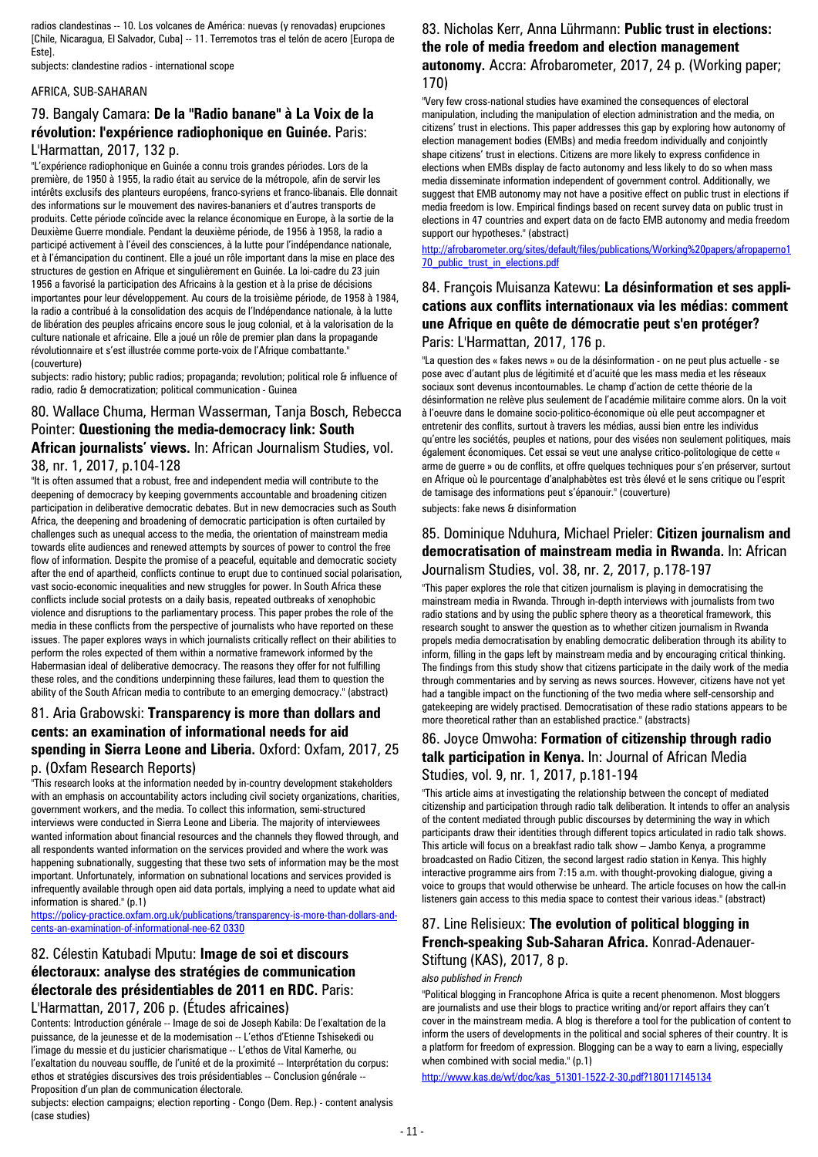radios clandestinas -- 10. Los volcanes de América: nuevas (y renovadas) erupciones [Chile, Nicaragua, El Salvador, Cuba] -- 11. Terremotos tras el telón de acero [Europa de Este].

subjects: clandestine radios - international scope

#### AFRICA, SUB-SAHARAN

### 79. Bangaly Camara: **De la "Radio banane" à La Voix de la révolution: l'expérience radiophonique en Guinée.** Paris: L'Harmattan, 2017, 132 p.

#### "L'expérience radiophonique en Guinée a connu trois grandes périodes. Lors de la première, de 1950 à 1955, la radio était au service de la métropole, afin de servir les intérêts exclusifs des planteurs européens, franco-syriens et franco-libanais. Elle donnait des informations sur le mouvement des navires-bananiers et d'autres transports de produits. Cette période coïncide avec la relance économique en Europe, à la sortie de la Deuxième Guerre mondiale. Pendant la deuxième période, de 1956 à 1958, la radio a participé activement à l'éveil des consciences, à la lutte pour l'indépendance nationale, et à l'émancipation du continent. Elle a joué un rôle important dans la mise en place des structures de gestion en Afrique et singulièrement en Guinée. La loi-cadre du 23 juin 1956 a favorisé la participation des Africains à la gestion et à la prise de décisions importantes pour leur développement. Au cours de la troisième période, de 1958 à 1984, la radio a contribué à la consolidation des acquis de l'Indépendance nationale, à la lutte de libération des peuples africains encore sous le joug colonial, et à la valorisation de la culture nationale et africaine. Elle a joué un rôle de premier plan dans la propagande révolutionnaire et s'est illustrée comme porte-voix de l'Afrique combattante." (couverture)

subjects: radio history; public radios; propaganda; revolution; political role & influence of radio, radio & democratization; political communication - Guinea

# 80. Wallace Chuma, Herman Wasserman, Tanja Bosch, Rebecca Pointer: **Questioning the media-democracy link: South African journalists' views.** In: African Journalism Studies, vol. 38, nr. 1, 2017, p.104-128

"It is often assumed that a robust, free and independent media will contribute to the deepening of democracy by keeping governments accountable and broadening citizen participation in deliberative democratic debates. But in new democracies such as South Africa, the deepening and broadening of democratic participation is often curtailed by challenges such as unequal access to the media, the orientation of mainstream media towards elite audiences and renewed attempts by sources of power to control the free flow of information. Despite the promise of a peaceful, equitable and democratic society after the end of apartheid, conflicts continue to erupt due to continued social polarisation, vast socio-economic inequalities and new struggles for power. In South Africa these conflicts include social protests on a daily basis, repeated outbreaks of xenophobic violence and disruptions to the parliamentary process. This paper probes the role of the media in these conflicts from the perspective of journalists who have reported on these issues. The paper explores ways in which journalists critically reflect on their abilities to perform the roles expected of them within a normative framework informed by the Habermasian ideal of deliberative democracy. The reasons they offer for not fulfilling these roles, and the conditions underpinning these failures, lead them to question the ability of the South African media to contribute to an emerging democracy." (abstract)

# 81. Aria Grabowski: **Transparency is more than dollars and cents: an examination of informational needs for aid spending in Sierra Leone and Liberia.** Oxford: Oxfam, 2017, 25 p. (Oxfam Research Reports)

"This research looks at the information needed by in-country development stakeholders with an emphasis on accountability actors including civil society organizations, charities, government workers, and the media. To collect this information, semi-structured interviews were conducted in Sierra Leone and Liberia. The majority of interviewees wanted information about financial resources and the channels they flowed through, and all respondents wanted information on the services provided and where the work was happening subnationally, suggesting that these two sets of information may be the most important. Unfortunately, information on subnational locations and services provided is infrequently available through open aid data portals, implying a need to update what aid information is shared." (p.1)

[https://policy-practice.oxfam.org.uk/publications/transparency-is-more-than-dollars-and](https://policy-practice.oxfam.org.uk/publications/transparency-is-more-than-dollars-and-cents-an-examination-of-informational-nee-62%200330)[cents-an-examination-of-informational-nee-62 0330](https://policy-practice.oxfam.org.uk/publications/transparency-is-more-than-dollars-and-cents-an-examination-of-informational-nee-62%200330)

# 82. Célestin Katubadi Mputu: **Image de soi et discours électoraux: analyse des stratégies de communication électorale des présidentiables de 2011 en RDC.** Paris:

### L'Harmattan, 2017, 206 p. (Études africaines)

Contents: Introduction générale -- Image de soi de Joseph Kabila: De l'exaltation de la puissance, de la jeunesse et de la modernisation -- L'ethos d'Etienne Tshisekedi ou l'image du messie et du justicier charismatique -- L'ethos de Vital Kamerhe, ou l'exaltation du nouveau souffle, de l'unité et de la proximité -- Interprétation du corpus: ethos et stratégies discursives des trois présidentiables -- Conclusion générale -- Proposition d'un plan de communication électorale.

subjects: election campaigns; election reporting - Congo (Dem. Rep.) - content analysis (case studies)

## 83. Nicholas Kerr, Anna Lührmann: **Public trust in elections: the role of media freedom and election management autonomy.** Accra: Afrobarometer, 2017, 24 p. (Working paper; 170)

"Very few cross-national studies have examined the consequences of electoral manipulation, including the manipulation of election administration and the media, on citizens' trust in elections. This paper addresses this gap by exploring how autonomy of election management bodies (EMBs) and media freedom individually and conjointly shape citizens' trust in elections. Citizens are more likely to express confidence in elections when EMBs display de facto autonomy and less likely to do so when mass media disseminate information independent of government control. Additionally, we suggest that EMB autonomy may not have a positive effect on public trust in elections if media freedom is low. Empirical findings based on recent survey data on public trust in elections in 47 countries and expert data on de facto EMB autonomy and media freedom support our hypotheses." (abstract)

[http://afrobarometer.org/sites/default/files/publications/Working%20papers/afropaperno1](http://afrobarometer.org/sites/default/files/publications/Working%20papers/afropaperno170_public_trust_in_elections.pdf) 70 public trust in elections.pdf

# 84. François Muisanza Katewu: **La désinformation et ses applications aux conflits internationaux via les médias: comment une Afrique en quête de démocratie peut s'en protéger?**  Paris: L'Harmattan, 2017, 176 p.

"La question des « fakes news » ou de la désinformation - on ne peut plus actuelle - se pose avec d'autant plus de légitimité et d'acuité que les mass media et les réseaux sociaux sont devenus incontournables. Le champ d'action de cette théorie de la désinformation ne relève plus seulement de l'académie militaire comme alors. On la voit à l'oeuvre dans le domaine socio-politico-économique où elle peut accompagner et entretenir des conflits, surtout à travers les médias, aussi bien entre les individus qu'entre les sociétés, peuples et nations, pour des visées non seulement politiques, mais également économiques. Cet essai se veut une analyse critico-politologique de cette « arme de guerre » ou de conflits, et offre quelques techniques pour s'en préserver, surtout en Afrique où le pourcentage d'analphabètes est très élevé et le sens critique ou l'esprit de tamisage des informations peut s'épanouir." (couverture) subiects: fake news & disinformation

## 85. Dominique Nduhura, Michael Prieler: **Citizen journalism and democratisation of mainstream media in Rwanda.** In: African Journalism Studies, vol. 38, nr. 2, 2017, p.178-197

"This paper explores the role that citizen journalism is playing in democratising the mainstream media in Rwanda. Through in-depth interviews with journalists from two radio stations and by using the public sphere theory as a theoretical framework, this research sought to answer the question as to whether citizen journalism in Rwanda propels media democratisation by enabling democratic deliberation through its ability to inform, filling in the gaps left by mainstream media and by encouraging critical thinking. The findings from this study show that citizens participate in the daily work of the media through commentaries and by serving as news sources. However, citizens have not yet had a tangible impact on the functioning of the two media where self-censorship and gatekeeping are widely practised. Democratisation of these radio stations appears to be more theoretical rather than an established practice." (abstracts)

# 86. Joyce Omwoha: **Formation of citizenship through radio talk participation in Kenya.** In: Journal of African Media Studies, vol. 9, nr. 1, 2017, p.181-194

"This article aims at investigating the relationship between the concept of mediated citizenship and participation through radio talk deliberation. It intends to offer an analysis of the content mediated through public discourses by determining the way in which participants draw their identities through different topics articulated in radio talk shows. This article will focus on a breakfast radio talk show – Jambo Kenya, a programme broadcasted on Radio Citizen, the second largest radio station in Kenya. This highly interactive programme airs from 7:15 a.m. with thought-provoking dialogue, giving a voice to groups that would otherwise be unheard. The article focuses on how the call-in listeners gain access to this media space to contest their various ideas." (abstract)

# 87. Line Relisieux: **The evolution of political blogging in French-speaking Sub-Saharan Africa.** Konrad-Adenauer-Stiftung (KAS), 2017, 8 p.

#### *also published in French*

"Political blogging in Francophone Africa is quite a recent phenomenon. Most bloggers are journalists and use their blogs to practice writing and/or report affairs they can't cover in the mainstream media. A blog is therefore a tool for the publication of content to inform the users of developments in the political and social spheres of their country. It is a platform for freedom of expression. Blogging can be a way to earn a living, especially when combined with social media." (p.1)

[http://www.kas.de/wf/doc/kas\\_51301-1522-2-30.pdf?180117145134](http://www.kas.de/wf/doc/kas_51301-1522-2-30.pdf?180117145134)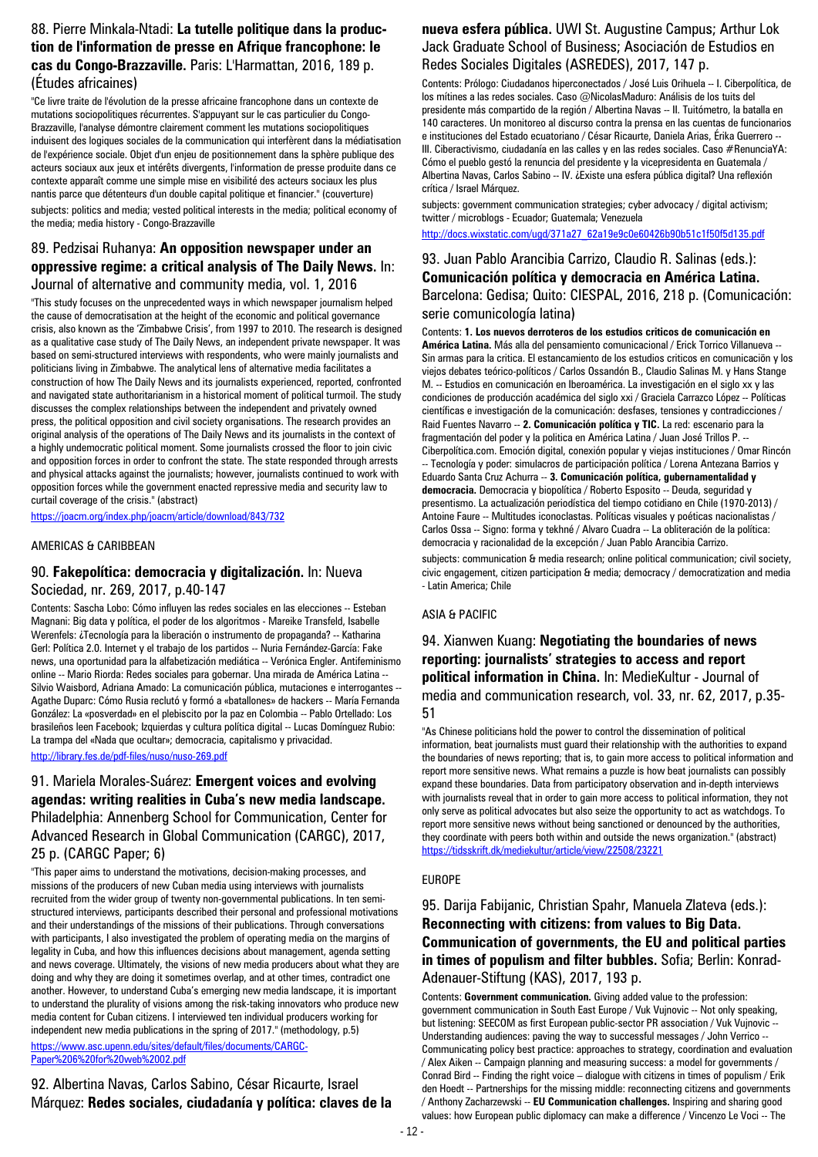# 88. Pierre Minkala-Ntadi: **La tutelle politique dans la production de l'information de presse en Afrique francophone: le cas du Congo-Brazzaville.** Paris: L'Harmattan, 2016, 189 p. (Études africaines)

"Ce livre traite de l'évolution de la presse africaine francophone dans un contexte de mutations sociopolitiques récurrentes. S'appuyant sur le cas particulier du Congo-Brazzaville, l'analyse démontre clairement comment les mutations sociopolitiques induisent des logiques sociales de la communication qui interfèrent dans la médiatisation de l'expérience sociale. Objet d'un enjeu de positionnement dans la sphère publique des acteurs sociaux aux jeux et intérêts divergents, l'information de presse produite dans ce contexte apparaît comme une simple mise en visibilité des acteurs sociaux les plus nantis parce que détenteurs d'un double capital politique et financier." (couverture)

subjects: politics and media; vested political interests in the media; political economy of the media; media history - Congo-Brazzaville

## 89. Pedzisai Ruhanya: **An opposition newspaper under an oppressive regime: a critical analysis of The Daily News.** In: Journal of alternative and community media, vol. 1, 2016

"This study focuses on the unprecedented ways in which newspaper journalism helped the cause of democratisation at the height of the economic and political governance crisis, also known as the 'Zimbabwe Crisis', from 1997 to 2010. The research is designed as a qualitative case study of The Daily News, an independent private newspaper. It was based on semi-structured interviews with respondents, who were mainly journalists and politicians living in Zimbabwe. The analytical lens of alternative media facilitates a construction of how The Daily News and its journalists experienced, reported, confronted and navigated state authoritarianism in a historical moment of political turmoil. The study discusses the complex relationships between the independent and privately owned press, the political opposition and civil society organisations. The research provides an original analysis of the operations of The Daily News and its journalists in the context of a highly undemocratic political moment. Some journalists crossed the floor to join civic and opposition forces in order to confront the state. The state responded through arrests and physical attacks against the journalists; however, journalists continued to work with opposition forces while the government enacted repressive media and security law to curtail coverage of the crisis." (abstract)

<https://joacm.org/index.php/joacm/article/download/843/732>

#### AMERICAS & CARIBBEAN

# 90. **Fakepolítica: democracia y digitalización.** In: Nueva Sociedad, nr. 269, 2017, p.40-147

Contents: Sascha Lobo: Cómo influyen las redes sociales en las elecciones -- Esteban Magnani: Big data y política, el poder de los algoritmos - Mareike Transfeld, Isabelle Werenfels: ¿Tecnología para la liberación o instrumento de propaganda? -- Katharina Gerl: Política 2.0. Internet y el trabajo de los partidos -- Nuria Fernández-García: Fake news, una oportunidad para la alfabetización mediática -- Verónica Engler. Antifeminismo online -- Mario Riorda: Redes sociales para gobernar. Una mirada de América Latina -- Silvio Waisbord, Adriana Amado: La comunicación pública, mutaciones e interrogantes -- Agathe Duparc: Cómo Rusia reclutó y formó a «batallones» de hackers -- María Fernanda González: La «posverdad» en el plebiscito por la paz en Colombia -- Pablo Ortellado: Los brasileños leen Facebook; Izquierdas y cultura política digital -- Lucas Domínguez Rubio: La trampa del «Nada que ocultar»; democracia, capitalismo y privacidad. <http://library.fes.de/pdf-files/nuso/nuso-269.pdf>

# 91. Mariela Morales-Suárez: **Emergent voices and evolving agendas: writing realities in Cuba's new media landscape.**  Philadelphia: Annenberg School for Communication, Center for Advanced Research in Global Communication (CARGC), 2017, 25 p. (CARGC Paper; 6)

"This paper aims to understand the motivations, decision-making processes, and missions of the producers of new Cuban media using interviews with journalists recruited from the wider group of twenty non-governmental publications. In ten semistructured interviews, participants described their personal and professional motivations and their understandings of the missions of their publications. Through conversations with participants, I also investigated the problem of operating media on the margins of legality in Cuba, and how this influences decisions about management, agenda setting and news coverage. Ultimately, the visions of new media producers about what they are doing and why they are doing it sometimes overlap, and at other times, contradict one another. However, to understand Cuba's emerging new media landscape, it is important to understand the plurality of visions among the risk-taking innovators who produce new media content for Cuban citizens. I interviewed ten individual producers working for independent new media publications in the spring of 2017." (methodology, p.5) [https://www.asc.upenn.edu/sites/default/files/documents/CARGC-](https://www.asc.upenn.edu/sites/default/files/documents/CARGC-Paper%206%20for%20web%2002.pdf)

[Paper%206%20for%20web%2002.pdf](https://www.asc.upenn.edu/sites/default/files/documents/CARGC-Paper%206%20for%20web%2002.pdf)

92. Albertina Navas, Carlos Sabino, César Ricaurte, Israel Márquez: **Redes sociales, ciudadanía y política: claves de la** 

# **nueva esfera pública.** UWI St. Augustine Campus; Arthur Lok Jack Graduate School of Business; Asociación de Estudios en Redes Sociales Digitales (ASREDES), 2017, 147 p.

Contents: Prólogo: Ciudadanos hiperconectados / José Luis Orihuela -- I. Ciberpolítica, de los mítines a las redes sociales. Caso @NicolasMaduro: Análisis de los tuits del presidente más compartido de la región / Albertina Navas -- II. Tuitómetro, la batalla en 140 caracteres. Un monitoreo al discurso contra la prensa en las cuentas de funcionarios e instituciones del Estado ecuatoriano / César Ricaurte, Daniela Arias, Érika Guerrero -- III. Ciberactivismo, ciudadanía en las calles y en las redes sociales. Caso #RenunciaYA: Cómo el pueblo gestó la renuncia del presidente y la vicepresidenta en Guatemala / Albertina Navas, Carlos Sabino -- IV. ¿Existe una esfera pública digital? Una reflexión crítica / Israel Márquez.

subjects: government communication strategies; cyber advocacy / digital activism; twitter / microblogs - Ecuador; Guatemala; Venezuela [http://docs.wixstatic.com/ugd/371a27\\_62a19e9c0e60426b90b51c1f50f5d135.pdf](http://docs.wixstatic.com/ugd/371a27_62a19e9c0e60426b90b51c1f50f5d135.pdf)

93. Juan Pablo Arancibia Carrizo, Claudio R. Salinas (eds.): **Comunicación política y democracia en América Latina.**  Barcelona: Gedisa; Quito: CIESPAL, 2016, 218 p. (Comunicación: serie comunicología latina)

Contents: **1. Los nuevos derroteros de los estudios criticos de comunicación en América Latina.** Más alla del pensamiento comunicacional / Erick Torrico Villanueva -- Sin armas para la critica. El estancamiento de los estudios criticos en comunicaciön y los viejos debates teórico-políticos / Carlos Ossandón B., Claudio Salinas M. y Hans Stange M. -- Estudios en comunicación en Iberoamérica. La investigación en el siglo xx y las condiciones de producción académica del siglo xxi / Graciela Carrazco López -- Políticas científicas e investigación de la comunicación: desfases, tensiones y contradicciones / Raid Fuentes Navarro -- **2. Comunicación política y TIC.** La red: escenario para la fragmentación del poder y la politica en América Latina / Juan José Trillos P. -- Ciberpolítica.com. Emoción digital, conexión popular y viejas instituciones / Omar Rincón -- Tecnología y poder: simulacros de participación política / Lorena Antezana Barrios y Eduardo Santa Cruz Achurra -- **3. Comunicación política, gubernamentalidad y democracia.** Democracia y biopolítica / Roberto Esposito -- Deuda, seguridad y presentismo. La actualización periodística del tiempo cotidiano en Chile (1970-2013) / Antoine Faure -- Multitudes iconoclastas. Políticas visuales y poéticas nacionalistas / Carlos Ossa -- Signo: forma y tekhné / Alvaro Cuadra -- La obliteración de la política: democracia y racionalidad de la excepción / Juan Pablo Arancibia Carrizo. subjects: communication & media research; online political communication; civil society,

civic engagement, citizen participation & media; democracy / democratization and media - Latin America; Chile

### ASIA & PACIFIC

# 94. Xianwen Kuang: **Negotiating the boundaries of news reporting: journalists' strategies to access and report political information in China.** In: MedieKultur - Journal of media and communication research, vol. 33, nr. 62, 2017, p.35- 51

"As Chinese politicians hold the power to control the dissemination of political information, beat journalists must guard their relationship with the authorities to expand the boundaries of news reporting; that is, to gain more access to political information and report more sensitive news. What remains a puzzle is how beat journalists can possibly expand these boundaries. Data from participatory observation and in-depth interviews with journalists reveal that in order to gain more access to political information, they not only serve as political advocates but also seize the opportunity to act as watchdogs. To report more sensitive news without being sanctioned or denounced by the authorities, they coordinate with peers both within and outside the news organization." (abstract) <https://tidsskrift.dk/mediekultur/article/view/22508/23221>

#### EUROPE

# 95. Darija Fabijanic, Christian Spahr, Manuela Zlateva (eds.): **Reconnecting with citizens: from values to Big Data. Communication of governments, the EU and political parties in times of populism and filter bubbles.** Sofia; Berlin: Konrad-Adenauer-Stiftung (KAS), 2017, 193 p.

Contents: **Government communication.** Giving added value to the profession: government communication in South East Europe / Vuk Vujnovic -- Not only speaking, but listening: SEECOM as first European public-sector PR association / Vuk Vujnovic -- Understanding audiences: paving the way to successful messages / John Verrico -- Communicating policy best practice: approaches to strategy, coordination and evaluation / Alex Aiken -- Campaign planning and measuring success: a model for governments / Conrad Bird -- Finding the right voice – dialogue with citizens in times of populism / Erik den Hoedt -- Partnerships for the missing middle: reconnecting citizens and governments / Anthony Zacharzewski -- **EU Communication challenges.** Inspiring and sharing good values: how European public diplomacy can make a difference / Vincenzo Le Voci -- The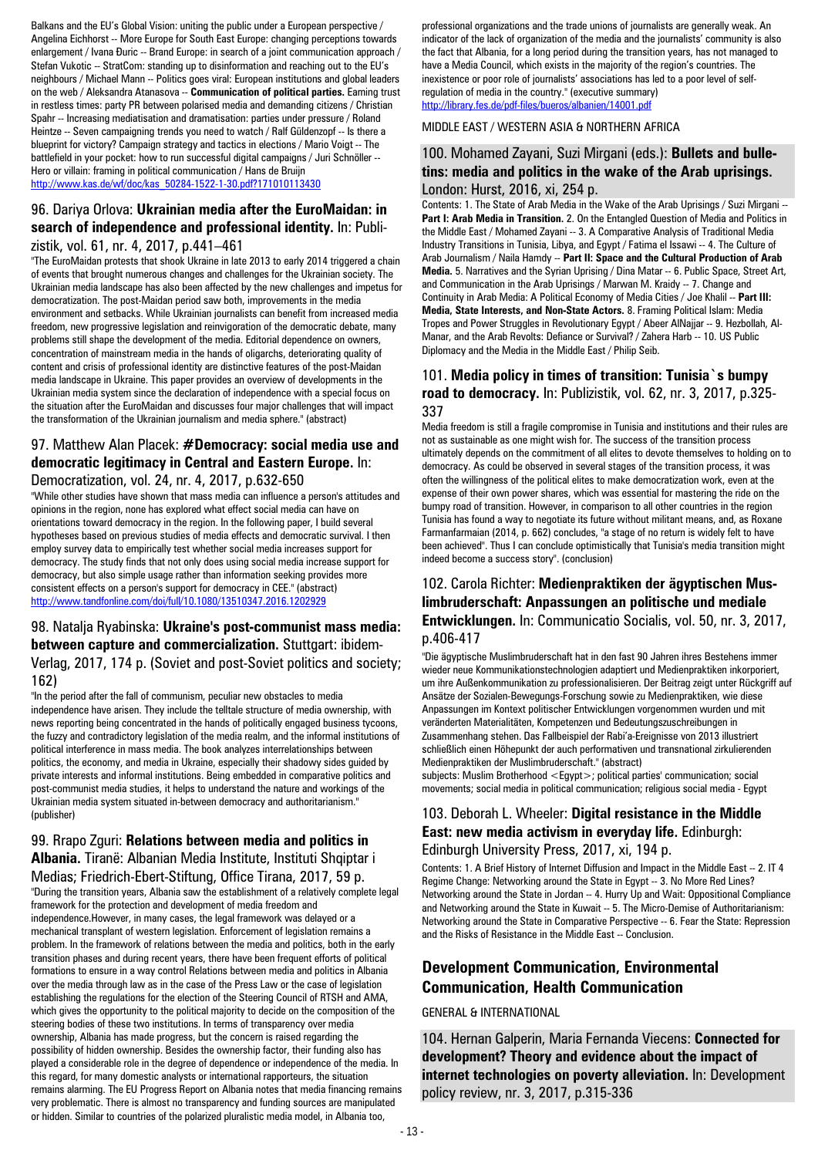Balkans and the EU's Global Vision: uniting the public under a European perspective / Angelina Eichhorst -- More Europe for South East Europe: changing perceptions towards enlargement / Ivana Đuric -- Brand Europe: in search of a joint communication approach / Stefan Vukotic -- StratCom: standing up to disinformation and reaching out to the EU's neighbours / Michael Mann -- Politics goes viral: European institutions and global leaders on the web / Aleksandra Atanasova -- **Communication of political parties.** Earning trust in restless times: party PR between polarised media and demanding citizens / Christian Spahr -- Increasing mediatisation and dramatisation: parties under pressure / Roland Heintze -- Seven campaigning trends you need to watch / Ralf Güldenzopf -- Is there a blueprint for victory? Campaign strategy and tactics in elections / Mario Voigt -- The battlefield in your pocket: how to run successful digital campaigns / Juri Schnöller -- Hero or villain: framing in political communication / Hans de Bruijn [http://www.kas.de/wf/doc/kas\\_50284-1522-1-30.pdf?171010113430](http://www.kas.de/wf/doc/kas_50284-1522-1-30.pdf?171010113430)

# 96. Dariya Orlova: **Ukrainian media after the EuroMaidan: in search of independence and professional identity.** In: Publizistik, vol. 61, nr. 4, 2017, p.441–461

"The EuroMaidan protests that shook Ukraine in late 2013 to early 2014 triggered a chain of events that brought numerous changes and challenges for the Ukrainian society. The Ukrainian media landscape has also been affected by the new challenges and impetus for democratization. The post-Maidan period saw both, improvements in the media environment and setbacks. While Ukrainian journalists can benefit from increased media freedom, new progressive legislation and reinvigoration of the democratic debate, many problems still shape the development of the media. Editorial dependence on owners, concentration of mainstream media in the hands of oligarchs, deteriorating quality of content and crisis of professional identity are distinctive features of the post-Maidan media landscape in Ukraine. This paper provides an overview of developments in the Ukrainian media system since the declaration of independence with a special focus on the situation after the EuroMaidan and discusses four major challenges that will impact the transformation of the Ukrainian journalism and media sphere." (abstract)

# 97. Matthew Alan Placek: **#Democracy: social media use and democratic legitimacy in Central and Eastern Europe.** In:

Democratization, vol. 24, nr. 4, 2017, p.632-650

"While other studies have shown that mass media can influence a person's attitudes and opinions in the region, none has explored what effect social media can have on orientations toward democracy in the region. In the following paper, I build several hypotheses based on previous studies of media effects and democratic survival. I then employ survey data to empirically test whether social media increases support for democracy. The study finds that not only does using social media increase support for democracy, but also simple usage rather than information seeking provides more consistent effects on a person's support for democracy in CEE." (abstract) <http://www.tandfonline.com/doi/full/10.1080/13510347.2016.1202929>

# 98. Natalja Ryabinska: **Ukraine's post-communist mass media: between capture and commercialization.** Stuttgart: ibidem-Verlag, 2017, 174 p. (Soviet and post-Soviet politics and society; 162)

"In the period after the fall of communism, peculiar new obstacles to media independence have arisen. They include the telltale structure of media ownership, with news reporting being concentrated in the hands of politically engaged business tycoons, the fuzzy and contradictory legislation of the media realm, and the informal institutions of political interference in mass media. The book analyzes interrelationships between politics, the economy, and media in Ukraine, especially their shadowy sides guided by private interests and informal institutions. Being embedded in comparative politics and post-communist media studies, it helps to understand the nature and workings of the Ukrainian media system situated in-between democracy and authoritarianism." (publisher)

# 99. Rrapo Zguri: **Relations between media and politics in Albania.** Tiranë: Albanian Media Institute, Instituti Shqiptar i

Medias; Friedrich-Ebert-Stiftung, Office Tirana, 2017, 59 p. "During the transition years, Albania saw the establishment of a relatively complete legal framework for the protection and development of media freedom and independence.However, in many cases, the legal framework was delayed or a mechanical transplant of western legislation. Enforcement of legislation remains a problem. In the framework of relations between the media and politics, both in the early transition phases and during recent years, there have been frequent efforts of political formations to ensure in a way control Relations between media and politics in Albania over the media through law as in the case of the Press Law or the case of legislation establishing the regulations for the election of the Steering Council of RTSH and AMA, which gives the opportunity to the political majority to decide on the composition of the steering bodies of these two institutions. In terms of transparency over media ownership, Albania has made progress, but the concern is raised regarding the possibility of hidden ownership. Besides the ownership factor, their funding also has played a considerable role in the degree of dependence or independence of the media. In this regard, for many domestic analysts or international rapporteurs, the situation remains alarming. The EU Progress Report on Albania notes that media financing remains very problematic. There is almost no transparency and funding sources are manipulated or hidden. Similar to countries of the polarized pluralistic media model, in Albania too,

professional organizations and the trade unions of journalists are generally weak. An indicator of the lack of organization of the media and the journalists' community is also the fact that Albania, for a long period during the transition years, has not managed to have a Media Council, which exists in the majority of the region's countries. The inexistence or poor role of journalists' associations has led to a poor level of selfregulation of media in the country." (executive summary) <http://library.fes.de/pdf-files/bueros/albanien/14001.pdf>

### MIDDLE EAST / WESTERN ASIA & NORTHERN AFRICA

# 100. Mohamed Zayani, Suzi Mirgani (eds.): **Bullets and bulletins: media and politics in the wake of the Arab uprisings.**  London: Hurst, 2016, xi, 254 p.

Contents: 1. The State of Arab Media in the Wake of the Arab Uprisings / Suzi Mirgani -- **Part I: Arab Media in Transition.** 2. On the Entangled Question of Media and Politics in the Middle East / Mohamed Zayani -- 3. A Comparative Analysis of Traditional Media Industry Transitions in Tunisia, Libya, and Egypt / Fatima el Issawi -- 4. The Culture of Arab Journalism / Naila Hamdy -- **Part II: Space and the Cultural Production of Arab Media.** 5. Narratives and the Syrian Uprising / Dina Matar -- 6. Public Space, Street Art, and Communication in the Arab Uprisings / Marwan M. Kraidy -- 7. Change and Continuity in Arab Media: A Political Economy of Media Cities / Joe Khalil -- **Part III: Media, State Interests, and Non-State Actors.** 8. Framing Political Islam: Media Tropes and Power Struggles in Revolutionary Egypt / Abeer AlNajjar -- 9. Hezbollah, Al-Manar, and the Arab Revolts: Defiance or Survival? / Zahera Harb -- 10. US Public Diplomacy and the Media in the Middle East / Philip Seib.

### 101. **Media policy in times of transition: Tunisia`s bumpy road to democracy.** In: Publizistik, vol. 62, nr. 3, 2017, p.325- 337

Media freedom is still a fragile compromise in Tunisia and institutions and their rules are not as sustainable as one might wish for. The success of the transition process ultimately depends on the commitment of all elites to devote themselves to holding on to democracy. As could be observed in several stages of the transition process, it was often the willingness of the political elites to make democratization work, even at the expense of their own power shares, which was essential for mastering the ride on the bumpy road of transition. However, in comparison to all other countries in the region Tunisia has found a way to negotiate its future without militant means, and, as Roxane Farmanfarmaian (2014, p. 662) concludes, "a stage of no return is widely felt to have been achieved". Thus I can conclude optimistically that Tunisia's media transition might indeed become a success story". (conclusion)

# 102. Carola Richter: **Medienpraktiken der ägyptischen Muslimbruderschaft: Anpassungen an politische und mediale Entwicklungen.** In: Communicatio Socialis, vol. 50, nr. 3, 2017, p.406-417

"Die ägyptische Muslimbruderschaft hat in den fast 90 Jahren ihres Bestehens immer wieder neue Kommunikationstechnologien adaptiert und Medienpraktiken inkorporiert, um ihre Außenkommunikation zu professionalisieren. Der Beitrag zeigt unter Rückgriff auf Ansätze der Sozialen-Bewegungs-Forschung sowie zu Medienpraktiken, wie diese Anpassungen im Kontext politischer Entwicklungen vorgenommen wurden und mit veränderten Materialitäten, Kompetenzen und Bedeutungszuschreibungen in Zusammenhang stehen. Das Fallbeispiel der Rabi'a-Ereignisse von 2013 illustriert schließlich einen Höhepunkt der auch performativen und transnational zirkulierenden Medienpraktiken der Muslimbruderschaft." (abstract)

subjects: Muslim Brotherhood <Egypt>; political parties' communication; social movements; social media in political communication; religious social media - Egypt

# 103. Deborah L. Wheeler: **Digital resistance in the Middle East: new media activism in everyday life.** Edinburgh: Edinburgh University Press, 2017, xi, 194 p.

Contents: 1. A Brief History of Internet Diffusion and Impact in the Middle East -- 2. IT 4 Regime Change: Networking around the State in Egypt -- 3. No More Red Lines? Networking around the State in Jordan -- 4. Hurry Up and Wait: Oppositional Compliance and Networking around the State in Kuwait -- 5. The Micro-Demise of Authoritarianism: Networking around the State in Comparative Perspective -- 6. Fear the State: Repression and the Risks of Resistance in the Middle East -- Conclusion.

# **Development Communication, Environmental Communication, Health Communication**

### GENERAL & INTERNATIONAL

104. Hernan Galperin, Maria Fernanda Viecens: **Connected for development? Theory and evidence about the impact of internet technologies on poverty alleviation.** In: Development policy review, nr. 3, 2017, p.315-336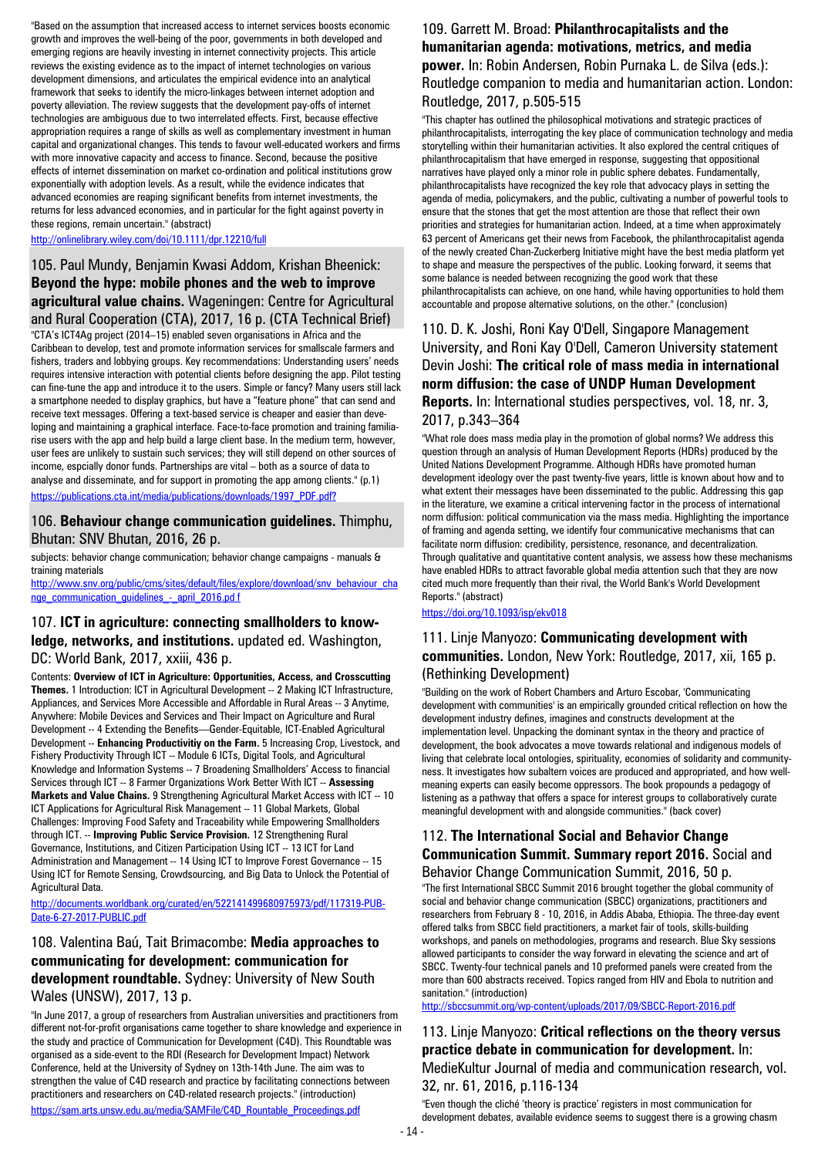"Based on the assumption that increased access to internet services boosts economic growth and improves the well-being of the poor, governments in both developed and emerging regions are heavily investing in internet connectivity projects. This article reviews the existing evidence as to the impact of internet technologies on various development dimensions, and articulates the empirical evidence into an analytical framework that seeks to identify the micro-linkages between internet adoption and poverty alleviation. The review suggests that the development pay-offs of internet technologies are ambiguous due to two interrelated effects. First, because effective appropriation requires a range of skills as well as complementary investment in human capital and organizational changes. This tends to favour well-educated workers and firms with more innovative capacity and access to finance. Second, because the positive effects of internet dissemination on market co-ordination and political institutions grow exponentially with adoption levels. As a result, while the evidence indicates that advanced economies are reaping significant benefits from internet investments, the returns for less advanced economies, and in particular for the fight against poverty in these regions, remain uncertain." (abstract)

#### <http://onlinelibrary.wiley.com/doi/10.1111/dpr.12210/full>

## 105. Paul Mundy, Benjamin Kwasi Addom, Krishan Bheenick: **Beyond the hype: mobile phones and the web to improve agricultural value chains.** Wageningen: Centre for Agricultural and Rural Cooperation (CTA), 2017, 16 p. (CTA Technical Brief) "CTA's ICT4Ag project (2014–15) enabled seven organisations in Africa and the

Caribbean to develop, test and promote information services for smallscale farmers and fishers, traders and lobbying groups. Key recommendations: Understanding users' needs requires intensive interaction with potential clients before designing the app. Pilot testing can fine-tune the app and introduce it to the users. Simple or fancy? Many users still lack a smartphone needed to display graphics, but have a "feature phone" that can send and receive text messages. Offering a text-based service is cheaper and easier than developing and maintaining a graphical interface. Face-to-face promotion and training familiarise users with the app and help build a large client base. In the medium term, however, user fees are unlikely to sustain such services; they will still depend on other sources of income, espcially donor funds. Partnerships are vital – both as a source of data to analyse and disseminate, and for support in promoting the app among clients." (p.1) [https://publications.cta.int/media/publications/downloads/1997\\_PDF.pdf?](https://publications.cta.int/media/publications/downloads/1997_PDF.pdf?)

### 106. **Behaviour change communication guidelines.** Thimphu, Bhutan: SNV Bhutan, 2016, 26 p.

subjects: behavior change communication; behavior change campaigns - manuals & training materials

[http://www.snv.org/public/cms/sites/default/files/explore/download/snv\\_behaviour\\_cha](http://www.snv.org/public/cms/sites/default/files/explore/download/snv_behaviour_change_communication_guidelines_-_april_2016.pd%20f) [nge\\_communication\\_guidelines\\_-\\_april\\_2016.pd f](http://www.snv.org/public/cms/sites/default/files/explore/download/snv_behaviour_change_communication_guidelines_-_april_2016.pd%20f)

# 107. **ICT in agriculture: connecting smallholders to knowledge, networks, and institutions.** updated ed. Washington,

DC: World Bank, 2017, xxiii, 436 p.

Contents: **Overview of ICT in Agriculture: Opportunities, Access, and Crosscutting Themes.** 1 Introduction: ICT in Agricultural Development -- 2 Making ICT Infrastructure, Appliances, and Services More Accessible and Affordable in Rural Areas -- 3 Anytime, Anywhere: Mobile Devices and Services and Their Impact on Agriculture and Rural Development -- 4 Extending the Benefits—Gender-Equitable, ICT-Enabled Agricultural Development -- **Enhancing Productivitiy on the Farm.** 5 Increasing Crop, Livestock, and Fishery Productivity Through ICT -- Module 6 ICTs, Digital Tools, and Agricultural Knowledge and Information Systems -- 7 Broadening Smallholders' Access to financial Services through ICT -- 8 Farmer Organizations Work Better With ICT -- **Assessing Markets and Value Chains.** 9 Strengthening Agricultural Market Access with ICT -- 10 ICT Applications for Agricultural Risk Management -- 11 Global Markets, Global Challenges: Improving Food Safety and Traceability while Empowering Smallholders through ICT. -- **Improving Public Service Provision.** 12 Strengthening Rural Governance, Institutions, and Citizen Participation Using ICT -- 13 ICT for Land Administration and Management -- 14 Using ICT to Improve Forest Governance -- 15 Using ICT for Remote Sensing, Crowdsourcing, and Big Data to Unlock the Potential of Agricultural Data.

[http://documents.worldbank.org/curated/en/522141499680975973/pdf/117319-PUB-](http://documents.worldbank.org/curated/en/522141499680975973/pdf/117319-PUB-Date-6-27-2017-PUBLIC.pdf)[Date-6-27-2017-PUBLIC.pdf](http://documents.worldbank.org/curated/en/522141499680975973/pdf/117319-PUB-Date-6-27-2017-PUBLIC.pdf)

# 108. Valentina Baú, Tait Brimacombe: **Media approaches to communicating for development: communication for development roundtable.** Sydney: University of New South Wales (UNSW), 2017, 13 p.

"In June 2017, a group of researchers from Australian universities and practitioners from different not-for-profit organisations came together to share knowledge and experience in the study and practice of Communication for Development (C4D). This Roundtable was organised as a side-event to the RDI (Research for Development Impact) Network Conference, held at the University of Sydney on 13th-14th June. The aim was to strengthen the value of C4D research and practice by facilitating connections between practitioners and researchers on C4D-related research projects." (introduction) [https://sam.arts.unsw.edu.au/media/SAMFile/C4D\\_Rountable\\_Proceedings.pdf](https://sam.arts.unsw.edu.au/media/SAMFile/C4D_Rountable_Proceedings.pdf)

# 109. Garrett M. Broad: **Philanthrocapitalists and the humanitarian agenda: motivations, metrics, and media power.** In: Robin Andersen, Robin Purnaka L. de Silva (eds.): Routledge companion to media and humanitarian action. London: Routledge, 2017, p.505-515

"This chapter has outlined the philosophical motivations and strategic practices of philanthrocapitalists, interrogating the key place of communication technology and media storytelling within their humanitarian activities. It also explored the central critiques of philanthrocapitalism that have emerged in response, suggesting that oppositional narratives have played only a minor role in public sphere debates. Fundamentally, philanthrocapitalists have recognized the key role that advocacy plays in setting the agenda of media, policymakers, and the public, cultivating a number of powerful tools to ensure that the stones that get the most attention are those that reflect their own priorities and strategies for humanitarian action. Indeed, at a time when approximately 63 percent of Americans get their news from Facebook, the philanthrocapitalist agenda of the newly created Chan-Zuckerberg Initiative might have the best media platform yet to shape and measure the perspectives of the public. Looking forward, it seems that some balance is needed between recognizing the good work that these philanthrocapitalists can achieve, on one hand, while having opportunities to hold them accountable and propose alternative solutions, on the other." (conclusion)

110. D. K. Joshi, Roni Kay O'Dell, Singapore Management University, and Roni Kay O'Dell, Cameron University statement Devin Joshi: **The critical role of mass media in international norm diffusion: the case of UNDP Human Development Reports.** In: International studies perspectives, vol. 18, nr. 3, 2017, p.343–364

"What role does mass media play in the promotion of global norms? We address this question through an analysis of Human Development Reports (HDRs) produced by the United Nations Development Programme. Although HDRs have promoted human development ideology over the past twenty-five years, little is known about how and to what extent their messages have been disseminated to the public. Addressing this gap in the literature, we examine a critical intervening factor in the process of international norm diffusion: political communication via the mass media. Highlighting the importance of framing and agenda setting, we identify four communicative mechanisms that can facilitate norm diffusion: credibility, persistence, resonance, and decentralization. Through qualitative and quantitative content analysis, we assess how these mechanisms have enabled HDRs to attract favorable global media attention such that they are now cited much more frequently than their rival, the World Bank's World Development Reports." (abstract)

#### <https://doi.org/10.1093/isp/ekv018>

# 111. Linje Manyozo: **Communicating development with communities.** London, New York: Routledge, 2017, xii, 165 p. (Rethinking Development)

"Building on the work of Robert Chambers and Arturo Escobar, 'Communicating development with communities' is an empirically grounded critical reflection on how the development industry defines, imagines and constructs development at the implementation level. Unpacking the dominant syntax in the theory and practice of development, the book advocates a move towards relational and indigenous models of living that celebrate local ontologies, spirituality, economies of solidarity and communityness. It investigates how subaltern voices are produced and appropriated, and how wellmeaning experts can easily become oppressors. The book propounds a pedagogy of listening as a pathway that offers a space for interest groups to collaboratively curate meaningful development with and alongside communities." (back cover)

# 112. **The International Social and Behavior Change Communication Summit. Summary report 2016.** Social and

Behavior Change Communication Summit, 2016, 50 p. "The first International SBCC Summit 2016 brought together the global community of social and behavior change communication (SBCC) organizations, practitioners and researchers from February 8 - 10, 2016, in Addis Ababa, Ethiopia. The three-day event offered talks from SBCC field practitioners, a market fair of tools, skills-building workshops, and panels on methodologies, programs and research. Blue Sky sessions allowed participants to consider the way forward in elevating the science and art of SBCC. Twenty-four technical panels and 10 preformed panels were created from the more than 600 abstracts received. Topics ranged from HIV and Ebola to nutrition and sanitation." (introduction)

<http://sbccsummit.org/wp-content/uploads/2017/09/SBCC-Report-2016.pdf>

113. Linje Manyozo: **Critical reflections on the theory versus practice debate in communication for development.** In: MedieKultur Journal of media and communication research, vol. 32, nr. 61, 2016, p.116-134

"Even though the cliché 'theory is practice' registers in most communication for development debates, available evidence seems to suggest there is a growing chasm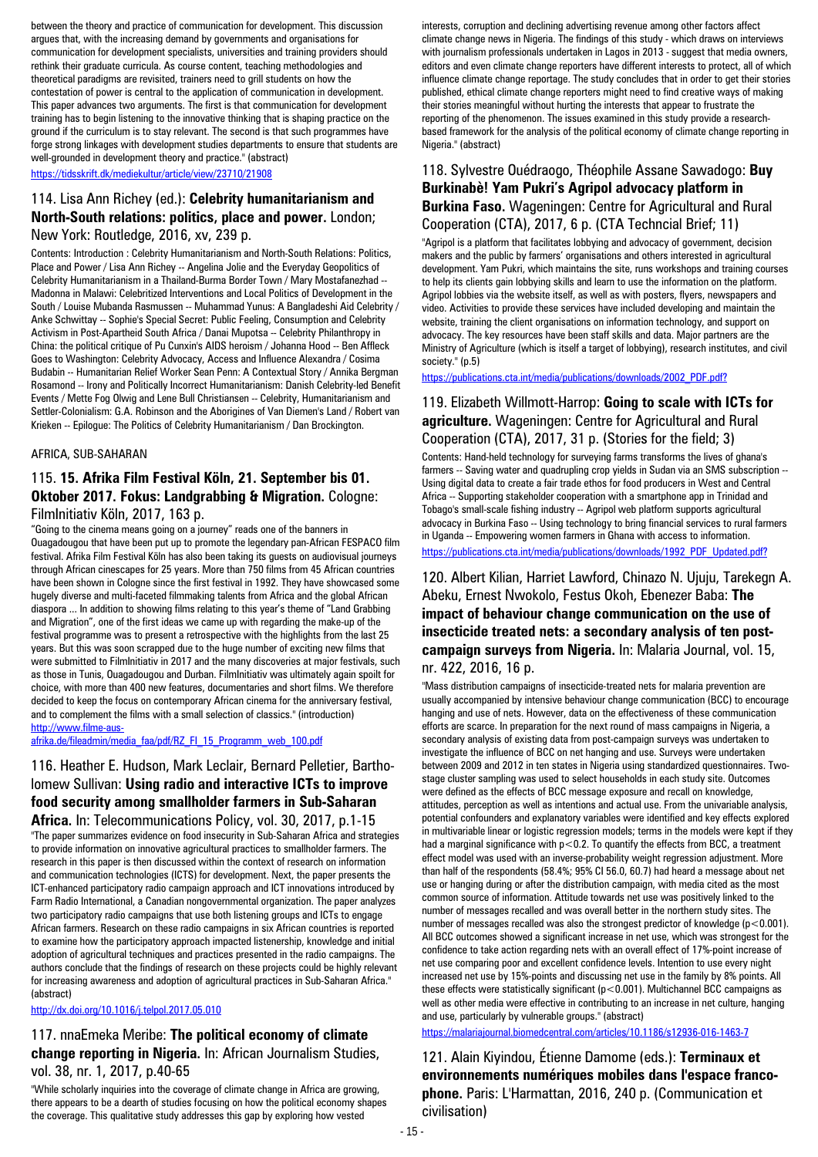between the theory and practice of communication for development. This discussion argues that, with the increasing demand by governments and organisations for communication for development specialists, universities and training providers should rethink their graduate curricula. As course content, teaching methodologies and theoretical paradigms are revisited, trainers need to grill students on how the contestation of power is central to the application of communication in development. This paper advances two arguments. The first is that communication for development training has to begin listening to the innovative thinking that is shaping practice on the ground if the curriculum is to stay relevant. The second is that such programmes have forge strong linkages with development studies departments to ensure that students are well-grounded in development theory and practice." (abstract)

<https://tidsskrift.dk/mediekultur/article/view/23710/21908>

### 114. Lisa Ann Richey (ed.): **Celebrity humanitarianism and North-South relations: politics, place and power.** London; New York: Routledge, 2016, xv, 239 p.

Contents: Introduction : Celebrity Humanitarianism and North-South Relations: Politics, Place and Power / Lisa Ann Richey -- Angelina Jolie and the Everyday Geopolitics of Celebrity Humanitarianism in a Thailand-Burma Border Town / Mary Mostafanezhad -- Madonna in Malawi: Celebritized Interventions and Local Politics of Development in the South / Louise Mubanda Rasmussen -- Muhammad Yunus: A Bangladeshi Aid Celebrity / Anke Schwittay -- Sophie's Special Secret: Public Feeling, Consumption and Celebrity Activism in Post-Apartheid South Africa / Danai Mupotsa -- Celebrity Philanthropy in China: the political critique of Pu Cunxin's AIDS heroism / Johanna Hood -- Ben Affleck Goes to Washington: Celebrity Advocacy, Access and Influence Alexandra / Cosima Budabin -- Humanitarian Relief Worker Sean Penn: A Contextual Story / Annika Bergman Rosamond -- Irony and Politically Incorrect Humanitarianism: Danish Celebrity-led Benefit Events / Mette Fog Olwig and Lene Bull Christiansen -- Celebrity, Humanitarianism and Settler-Colonialism: G.A. Robinson and the Aborigines of Van Diemen's Land / Robert van Krieken -- Epilogue: The Politics of Celebrity Humanitarianism / Dan Brockington.

#### AFRICA, SUB-SAHARAN

## 115. **15. Afrika Film Festival Köln, 21. September bis 01. Oktober 2017. Fokus: Landgrabbing & Migration.** Cologne: FilmInitiativ Köln, 2017, 163 p.

"Going to the cinema means going on a journey" reads one of the banners in Ouagadougou that have been put up to promote the legendary pan-African FESPACO film festival. Afrika Film Festival Köln has also been taking its guests on audiovisual journeys through African cinescapes for 25 years. More than 750 films from 45 African countries have been shown in Cologne since the first festival in 1992. They have showcased some hugely diverse and multi-faceted filmmaking talents from Africa and the global African diaspora ... In addition to showing films relating to this year's theme of "Land Grabbing and Migration", one of the first ideas we came up with regarding the make-up of the festival programme was to present a retrospective with the highlights from the last 25 years. But this was soon scrapped due to the huge number of exciting new films that were submitted to FilmInitiativ in 2017 and the many discoveries at major festivals, such as those in Tunis, Ouagadougou and Durban. FilmInitiativ was ultimately again spoilt for choice, with more than 400 new features, documentaries and short films. We therefore decided to keep the focus on contemporary African cinema for the anniversary festival, and to complement the films with a small selection of classics." (introduction) [http://www.filme-aus-](http://www.filme-aus-afrika.de/fileadmin/media_faa/pdf/RZ_FI_15_Programm_web_100.pdf)

[afrika.de/fileadmin/media\\_faa/pdf/RZ\\_FI\\_15\\_Programm\\_web\\_100.pdf](http://www.filme-aus-afrika.de/fileadmin/media_faa/pdf/RZ_FI_15_Programm_web_100.pdf)

## 116. Heather E. Hudson, Mark Leclair, Bernard Pelletier, Bartholomew Sullivan: **Using radio and interactive ICTs to improve food security among smallholder farmers in Sub-Saharan Africa.** In: Telecommunications Policy, vol. 30, 2017, p.1-15

"The paper summarizes evidence on food insecurity in Sub-Saharan Africa and strategies to provide information on innovative agricultural practices to smallholder farmers. The research in this paper is then discussed within the context of research on information and communication technologies (ICTS) for development. Next, the paper presents the ICT-enhanced participatory radio campaign approach and ICT innovations introduced by Farm Radio International, a Canadian nongovernmental organization. The paper analyzes two participatory radio campaigns that use both listening groups and ICTs to engage African farmers. Research on these radio campaigns in six African countries is reported to examine how the participatory approach impacted listenership, knowledge and initial adoption of agricultural techniques and practices presented in the radio campaigns. The authors conclude that the findings of research on these projects could be highly relevant for increasing awareness and adoption of agricultural practices in Sub-Saharan Africa." (abstract)

<http://dx.doi.org/10.1016/j.telpol.2017.05.010>

## 117. nnaEmeka Meribe: **The political economy of climate change reporting in Nigeria.** In: African Journalism Studies, vol. 38, nr. 1, 2017, p.40-65

"While scholarly inquiries into the coverage of climate change in Africa are growing, there appears to be a dearth of studies focusing on how the political economy shapes the coverage. This qualitative study addresses this gap by exploring how vested

interests, corruption and declining advertising revenue among other factors affect climate change news in Nigeria. The findings of this study - which draws on interviews with journalism professionals undertaken in Lagos in 2013 - suggest that media owners, editors and even climate change reporters have different interests to protect, all of which influence climate change reportage. The study concludes that in order to get their stories published, ethical climate change reporters might need to find creative ways of making their stories meaningful without hurting the interests that appear to frustrate the reporting of the phenomenon. The issues examined in this study provide a researchbased framework for the analysis of the political economy of climate change reporting in Nigeria." (abstract)

## 118. Sylvestre Ouédraogo, Théophile Assane Sawadogo: **Buy Burkinabè! Yam Pukri's Agripol advocacy platform in Burkina Faso.** Wageningen: Centre for Agricultural and Rural Cooperation (CTA), 2017, 6 p. (CTA Techncial Brief; 11)

"Agripol is a platform that facilitates lobbying and advocacy of government, decision makers and the public by farmers' organisations and others interested in agricultural development. Yam Pukri, which maintains the site, runs workshops and training courses to help its clients gain lobbying skills and learn to use the information on the platform. Agripol lobbies via the website itself, as well as with posters, flyers, newspapers and video. Activities to provide these services have included developing and maintain the website, training the client organisations on information technology, and support on advocacy. The key resources have been staff skills and data. Major partners are the Ministry of Agriculture (which is itself a target of lobbying), research institutes, and civil society." (p.5)

[https://publications.cta.int/media/publications/downloads/2002\\_PDF.pdf?](https://publications.cta.int/media/publications/downloads/2002_PDF.pdf?)

119. Elizabeth Willmott-Harrop: **Going to scale with ICTs for agriculture.** Wageningen: Centre for Agricultural and Rural Cooperation (CTA), 2017, 31 p. (Stories for the field; 3)

Contents: Hand-held technology for surveying farms transforms the lives of ghana's farmers -- Saving water and quadrupling crop yields in Sudan via an SMS subscription -- Using digital data to create a fair trade ethos for food producers in West and Central Africa -- Supporting stakeholder cooperation with a smartphone app in Trinidad and Tobago's small-scale fishing industry -- Agripol web platform supports agricultural advocacy in Burkina Faso -- Using technology to bring financial services to rural farmers in Uganda -- Empowering women farmers in Ghana with access to information. [https://publications.cta.int/media/publications/downloads/1992\\_PDF\\_Updated.pdf?](https://publications.cta.int/media/publications/downloads/1992_PDF_Updated.pdf?)

120. Albert Kilian, Harriet Lawford, Chinazo N. Ujuju, Tarekegn A. Abeku, Ernest Nwokolo, Festus Okoh, Ebenezer Baba: **The impact of behaviour change communication on the use of insecticide treated nets: a secondary analysis of ten postcampaign surveys from Nigeria.** In: Malaria Journal, vol. 15, nr. 422, 2016, 16 p.

"Mass distribution campaigns of insecticide-treated nets for malaria prevention are usually accompanied by intensive behaviour change communication (BCC) to encourage hanging and use of nets. However, data on the effectiveness of these communication efforts are scarce. In preparation for the next round of mass campaigns in Nigeria, a secondary analysis of existing data from post-campaign surveys was undertaken to investigate the influence of BCC on net hanging and use. Surveys were undertaken between 2009 and 2012 in ten states in Nigeria using standardized questionnaires. Twostage cluster sampling was used to select households in each study site. Outcomes were defined as the effects of BCC message exposure and recall on knowledge, attitudes, perception as well as intentions and actual use. From the univariable analysis, potential confounders and explanatory variables were identified and key effects explored in multivariable linear or logistic regression models; terms in the models were kept if they had a marginal significance with  $p < 0.2$ . To quantify the effects from BCC, a treatment effect model was used with an inverse-probability weight regression adjustment. More than half of the respondents (58.4%; 95% CI 56.0, 60.7) had heard a message about net use or hanging during or after the distribution campaign, with media cited as the most common source of information. Attitude towards net use was positively linked to the number of messages recalled and was overall better in the northern study sites. The number of messages recalled was also the strongest predictor of knowledge (p<0.001). All BCC outcomes showed a significant increase in net use, which was strongest for the confidence to take action regarding nets with an overall effect of 17%-point increase of net use comparing poor and excellent confidence levels. Intention to use every night increased net use by 15%-points and discussing net use in the family by 8% points. All these effects were statistically significant ( $p$ <0.001). Multichannel BCC campaigns as well as other media were effective in contributing to an increase in net culture, hanging and use, particularly by vulnerable groups." (abstract)

<https://malariajournal.biomedcentral.com/articles/10.1186/s12936-016-1463-7>

121. Alain Kiyindou, Étienne Damome (eds.): **Terminaux et environnements numériques mobiles dans l'espace francophone.** Paris: L'Harmattan, 2016, 240 p. (Communication et civilisation)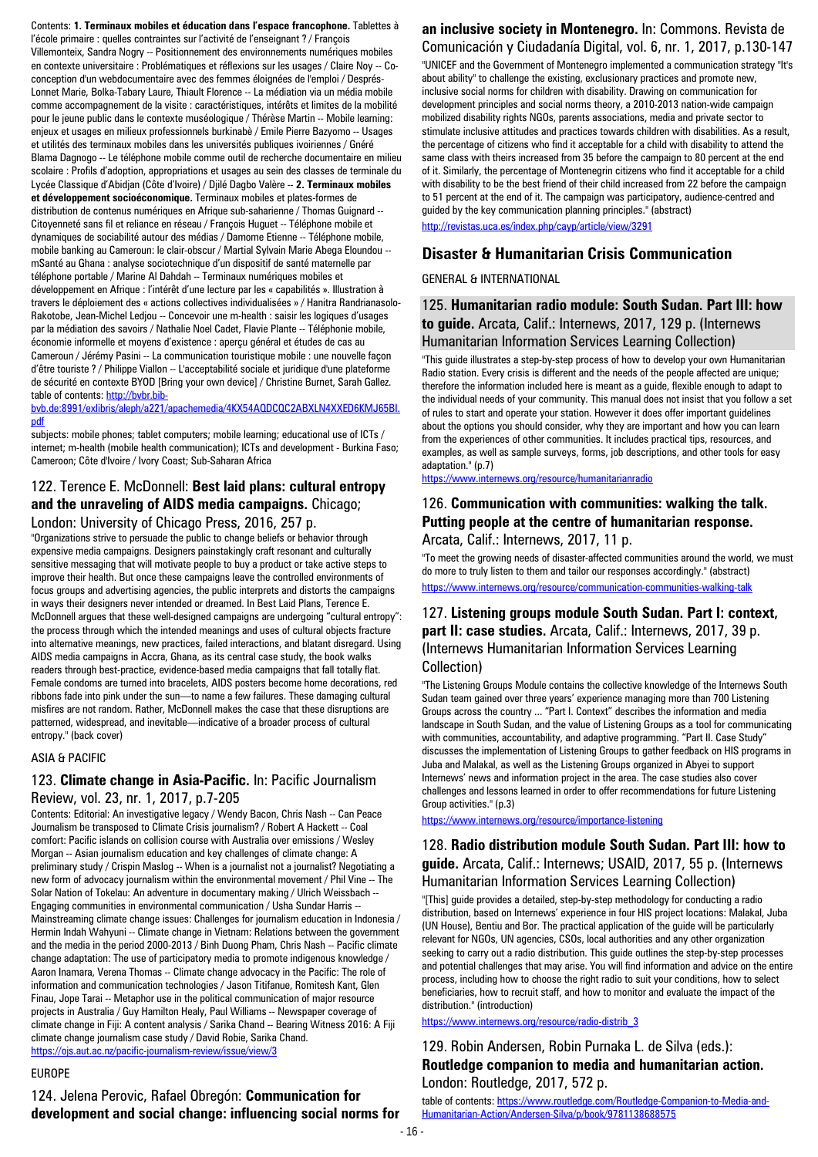Contents: **1. Terminaux mobiles et éducation dans l'espace francophone.** Tablettes à l'école primaire : quelles contraintes sur l'activité de l'enseignant ? / François Villemonteix, Sandra Nogry -- Positionnement des environnements numériques mobiles en contexte universitaire : Problématiques et réflexions sur les usages / Claire Noy -- Coconception d'un webdocumentaire avec des femmes éloignées de l'emploi / Després-Lonnet Marie, Bolka-Tabary Laure, Thiault Florence -- La médiation via un média mobile comme accompagnement de la visite : caractéristiques, intérêts et limites de la mobilité pour le jeune public dans le contexte muséologique / Thérèse Martin -- Mobile learning: enjeux et usages en milieux professionnels burkinabè / Emile Pierre Bazyomo -- Usages et utilités des terminaux mobiles dans les universités publiques ivoiriennes / Gnéré Blama Dagnogo -- Le téléphone mobile comme outil de recherche documentaire en milieu scolaire : Profils d'adoption, appropriations et usages au sein des classes de terminale du Lycée Classique d'Abidjan (Côte d'Ivoire) / Djilé Dagbo Valère -- **2. Terminaux mobiles et développement socioéconomique.** Terminaux mobiles et plates-formes de distribution de contenus numériques en Afrique sub-saharienne / Thomas Guignard -- Citoyenneté sans fil et reliance en réseau / François Huguet -- Téléphone mobile et dynamiques de sociabilité autour des médias / Damome Etienne -- Téléphone mobile, mobile banking au Cameroun: le clair-obscur / Martial Sylvain Marie Abega Eloundou - mSanté au Ghana : analyse sociotechnique d'un dispositif de santé maternelle par téléphone portable / Marine Al Dahdah -- Terminaux numériques mobiles et développement en Afrique : l'intérêt d'une lecture par les « capabilités ». Illustration à travers le déploiement des « actions collectives individualisées » / Hanitra Randrianasolo-Rakotobe, Jean-Michel Ledjou -- Concevoir une m-health : saisir les logiques d'usages par la médiation des savoirs / Nathalie Noel Cadet, Flavie Plante -- Téléphonie mobile. économie informelle et moyens d'existence : aperçu général et études de cas au Cameroun / Jérémy Pasini -- La communication touristique mobile : une nouvelle façon d'être touriste ? / Philippe Viallon -- L'acceptabilité sociale et juridique d'une plateforme de sécurité en contexte BYOD [Bring your own device] / Christine Burnet, Sarah Gallez. table of contents[: http://bvbr.bib-](http://bvbr.bib-bvb.de:8991/exlibris/aleph/a221/apachemedia/4KX54AQDCQC2ABXLN4XXED6KMJ65BI.pdf)

[bvb.de:8991/exlibris/aleph/a221/apachemedia/4KX54AQDCQC2ABXLN4XXED6KMJ65BI.](http://bvbr.bib-bvb.de:8991/exlibris/aleph/a221/apachemedia/4KX54AQDCQC2ABXLN4XXED6KMJ65BI.pdf) [pdf](http://bvbr.bib-bvb.de:8991/exlibris/aleph/a221/apachemedia/4KX54AQDCQC2ABXLN4XXED6KMJ65BI.pdf)

subjects: mobile phones; tablet computers; mobile learning; educational use of ICTs / internet; m-health (mobile health communication); ICTs and development - Burkina Faso; Cameroon; Côte d'Ivoire / Ivory Coast; Sub-Saharan Africa

## 122. Terence E. McDonnell: **Best laid plans: cultural entropy and the unraveling of AIDS media campaigns.** Chicago; London: University of Chicago Press, 2016, 257 p.

"Organizations strive to persuade the public to change beliefs or behavior through expensive media campaigns. Designers painstakingly craft resonant and culturally sensitive messaging that will motivate people to buy a product or take active steps to improve their health. But once these campaigns leave the controlled environments of focus groups and advertising agencies, the public interprets and distorts the campaigns in ways their designers never intended or dreamed. In Best Laid Plans, Terence E. McDonnell argues that these well-designed campaigns are undergoing "cultural entropy": the process through which the intended meanings and uses of cultural objects fracture into alternative meanings, new practices, failed interactions, and blatant disregard. Using AIDS media campaigns in Accra, Ghana, as its central case study, the book walks readers through best-practice, evidence-based media campaigns that fall totally flat. Female condoms are turned into bracelets, AIDS posters become home decorations, red ribbons fade into pink under the sun—to name a few failures. These damaging cultural misfires are not random. Rather, McDonnell makes the case that these disruptions are patterned, widespread, and inevitable—indicative of a broader process of cultural entropy." (back cover)

#### ASIA & PACIFIC

# 123. **Climate change in Asia-Pacific.** In: Pacific Journalism

## Review, vol. 23, nr. 1, 2017, p.7-205

Contents: Editorial: An investigative legacy / Wendy Bacon, Chris Nash -- Can Peace Journalism be transposed to Climate Crisis journalism? / Robert A Hackett -- Coal comfort: Pacific islands on collision course with Australia over emissions / Wesley Morgan -- Asian journalism education and key challenges of climate change: A preliminary study / Crispin Maslog -- When is a journalist not a journalist? Negotiating a new form of advocacy journalism within the environmental movement / Phil Vine -- The Solar Nation of Tokelau: An adventure in documentary making / Ulrich Weissbach -- Engaging communities in environmental communication / Usha Sundar Harris -- Mainstreaming climate change issues: Challenges for journalism education in Indonesia / Hermin Indah Wahyuni -- Climate change in Vietnam: Relations between the government and the media in the period 2000-2013 / Binh Duong Pham, Chris Nash -- Pacific climate change adaptation: The use of participatory media to promote indigenous knowledge / Aaron Inamara, Verena Thomas -- Climate change advocacy in the Pacific: The role of information and communication technologies / Jason Titifanue, Romitesh Kant, Glen Finau, Jope Tarai -- Metaphor use in the political communication of major resource projects in Australia / Guy Hamilton Healy, Paul Williams -- Newspaper coverage of climate change in Fiji: A content analysis / Sarika Chand -- Bearing Witness 2016: A Fiji climate change journalism case study / David Robie, Sarika Chand. <https://ojs.aut.ac.nz/pacific-journalism-review/issue/view/3>

#### EUROPE

124. Jelena Perovic, Rafael Obregón: **Communication for development and social change: influencing social norms for** 

# **an inclusive society in Montenegro.** In: Commons. Revista de Comunicación y Ciudadanía Digital, vol. 6, nr. 1, 2017, p.130-147

"UNICEF and the Government of Montenegro implemented a communication strategy "It's about ability" to challenge the existing, exclusionary practices and promote new, inclusive social norms for children with disability. Drawing on communication for development principles and social norms theory, a 2010-2013 nation-wide campaign mobilized disability rights NGOs, parents associations, media and private sector to stimulate inclusive attitudes and practices towards children with disabilities. As a result, the percentage of citizens who find it acceptable for a child with disability to attend the same class with theirs increased from 35 before the campaign to 80 percent at the end of it. Similarly, the percentage of Montenegrin citizens who find it acceptable for a child with disability to be the best friend of their child increased from 22 before the campaign to 51 percent at the end of it. The campaign was participatory, audience-centred and guided by the key communication planning principles." (abstract) <http://revistas.uca.es/index.php/cayp/article/view/3291>

# **Disaster & Humanitarian Crisis Communication**

#### GENERAL & INTERNATIONAL

# 125. **Humanitarian radio module: South Sudan. Part III: how to guide.** Arcata, Calif.: Internews, 2017, 129 p. (Internews Humanitarian Information Services Learning Collection)

"This guide illustrates a step-by-step process of how to develop your own Humanitarian Radio station. Every crisis is different and the needs of the people affected are unique; therefore the information included here is meant as a guide, flexible enough to adapt to the individual needs of your community. This manual does not insist that you follow a set of rules to start and operate your station. However it does offer important guidelines about the options you should consider, why they are important and how you can learn from the experiences of other communities. It includes practical tips, resources, and examples, as well as sample surveys, forms, job descriptions, and other tools for easy adaptation." (p.7)

<https://www.internews.org/resource/humanitarianradio>

### 126. **Communication with communities: walking the talk. Putting people at the centre of humanitarian response.**  Arcata, Calif.: Internews, 2017, 11 p.

"To meet the growing needs of disaster-affected communities around the world, we must do more to truly listen to them and tailor our responses accordingly." (abstract) <https://www.internews.org/resource/communication-communities-walking-talk>

# 127. **Listening groups module South Sudan. Part I: context, part II: case studies.** Arcata, Calif.: Internews, 2017, 39 p. (Internews Humanitarian Information Services Learning Collection)

"The Listening Groups Module contains the collective knowledge of the Internews South Sudan team gained over three years' experience managing more than 700 Listening Groups across the country ... "Part I. Context" describes the information and media landscape in South Sudan, and the value of Listening Groups as a tool for communicating with communities, accountability, and adaptive programming. "Part II. Case Study" discusses the implementation of Listening Groups to gather feedback on HIS programs in Juba and Malakal, as well as the Listening Groups organized in Abyei to support Internews' news and information project in the area. The case studies also cover challenges and lessons learned in order to offer recommendations for future Listening Group activities." (p.3)

<https://www.internews.org/resource/importance-listening>

# 128. **Radio distribution module South Sudan. Part III: how to guide.** Arcata, Calif.: Internews; USAID, 2017, 55 p. (Internews Humanitarian Information Services Learning Collection)

"[This] guide provides a detailed, step-by-step methodology for conducting a radio distribution, based on Internews' experience in four HIS project locations: Malakal, Juba (UN House), Bentiu and Bor. The practical application of the guide will be particularly relevant for NGOs, UN agencies, CSOs, local authorities and any other organization seeking to carry out a radio distribution. This guide outlines the step-by-step processes and potential challenges that may arise. You will find information and advice on the entire process, including how to choose the right radio to suit your conditions, how to select beneficiaries, how to recruit staff, and how to monitor and evaluate the impact of the distribution." (introduction)

[https://www.internews.org/resource/radio-distrib\\_3](https://www.internews.org/resource/radio-distrib_3)

# 129. Robin Andersen, Robin Purnaka L. de Silva (eds.): **Routledge companion to media and humanitarian action.**  London: Routledge, 2017, 572 p.

table of contents[: https://www.routledge.com/Routledge-Companion-to-Media-and-](https://www.routledge.com/Routledge-Companion-to-Media-and-Humanitarian-Action/Andersen-Silva/p/book/9781138688575)[Humanitarian-Action/Andersen-Silva/p/book/9781138688575](https://www.routledge.com/Routledge-Companion-to-Media-and-Humanitarian-Action/Andersen-Silva/p/book/9781138688575)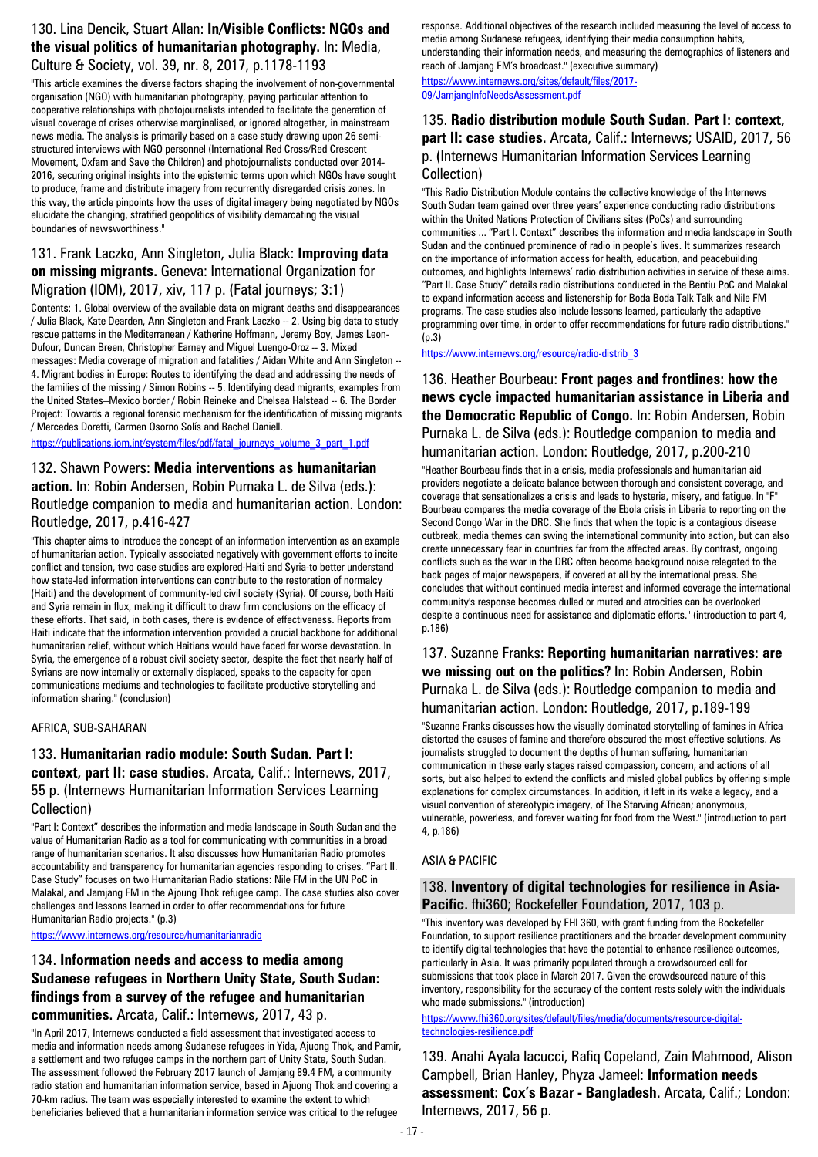# 130. Lina Dencik, Stuart Allan: **In/Visible Conflicts: NGOs and the visual politics of humanitarian photography.** In: Media, Culture & Society, vol. 39, nr. 8, 2017, p.1178-1193

"This article examines the diverse factors shaping the involvement of non-governmental organisation (NGO) with humanitarian photography, paying particular attention to cooperative relationships with photojournalists intended to facilitate the generation of visual coverage of crises otherwise marginalised, or ignored altogether, in mainstream news media. The analysis is primarily based on a case study drawing upon 26 semistructured interviews with NGO personnel (International Red Cross/Red Crescent Movement, Oxfam and Save the Children) and photojournalists conducted over 2014- 2016, securing original insights into the epistemic terms upon which NGOs have sought to produce, frame and distribute imagery from recurrently disregarded crisis zones. In this way, the article pinpoints how the uses of digital imagery being negotiated by NGOs elucidate the changing, stratified geopolitics of visibility demarcating the visual boundaries of newsworthiness."

# 131. Frank Laczko, Ann Singleton, Julia Black: **Improving data on missing migrants.** Geneva: International Organization for Migration (IOM), 2017, xiv, 117 p. (Fatal journeys; 3:1)

Contents: 1. Global overview of the available data on migrant deaths and disappearances / Julia Black, Kate Dearden, Ann Singleton and Frank Laczko -- 2. Using big data to study rescue patterns in the Mediterranean / Katherine Hoffmann, Jeremy Boy, James Leon-Dufour, Duncan Breen, Christopher Earney and Miguel Luengo-Oroz -- 3. Mixed messages: Media coverage of migration and fatalities / Aidan White and Ann Singleton -- 4. Migrant bodies in Europe: Routes to identifying the dead and addressing the needs of the families of the missing / Simon Robins -- 5. Identifying dead migrants, examples from the United States–Mexico border / Robin Reineke and Chelsea Halstead -- 6. The Border Project: Towards a regional forensic mechanism for the identification of missing migrants / Mercedes Doretti, Carmen Osorno Solís and Rachel Daniell.

[https://publications.iom.int/system/files/pdf/fatal\\_journeys\\_volume\\_3\\_part\\_1.pdf](https://publications.iom.int/system/files/pdf/fatal_journeys_volume_3_part_1.pdf)

# 132. Shawn Powers: **Media interventions as humanitarian action.** In: Robin Andersen, Robin Purnaka L. de Silva (eds.): Routledge companion to media and humanitarian action. London: Routledge, 2017, p.416-427

"This chapter aims to introduce the concept of an information intervention as an example of humanitarian action. Typically associated negatively with government efforts to incite conflict and tension, two case studies are explored-Haiti and Syria-to better understand how state-led information interventions can contribute to the restoration of normalcy (Haiti) and the development of community-led civil society (Syria). Of course, both Haiti and Syria remain in flux, making it difficult to draw firm conclusions on the efficacy of these efforts. That said, in both cases, there is evidence of effectiveness. Reports from Haiti indicate that the information intervention provided a crucial backbone for additional humanitarian relief, without which Haitians would have faced far worse devastation. In Syria, the emergence of a robust civil society sector, despite the fact that nearly half of Syrians are now internally or externally displaced, speaks to the capacity for open communications mediums and technologies to facilitate productive storytelling and information sharing." (conclusion)

### AFRICA, SUB-SAHARAN

# 133. **Humanitarian radio module: South Sudan. Part I: context, part II: case studies.** Arcata, Calif.: Internews, 2017,

55 p. (Internews Humanitarian Information Services Learning Collection)

"Part I: Context" describes the information and media landscape in South Sudan and the value of Humanitarian Radio as a tool for communicating with communities in a broad range of humanitarian scenarios. It also discusses how Humanitarian Radio promotes accountability and transparency for humanitarian agencies responding to crises. "Part II. Case Study" focuses on two Humanitarian Radio stations: Nile FM in the UN PoC in Malakal, and Jamjang FM in the Ajoung Thok refugee camp. The case studies also cover challenges and lessons learned in order to offer recommendations for future Humanitarian Radio projects." (p.3)

<https://www.internews.org/resource/humanitarianradio>

# 134. **Information needs and access to media among Sudanese refugees in Northern Unity State, South Sudan: findings from a survey of the refugee and humanitarian communities.** Arcata, Calif.: Internews, 2017, 43 p.

"In April 2017, Internews conducted a field assessment that investigated access to media and information needs among Sudanese refugees in Yida, Ajuong Thok, and Pamir, a settlement and two refugee camps in the northern part of Unity State, South Sudan. The assessment followed the February 2017 launch of Jamjang 89.4 FM, a community radio station and humanitarian information service, based in Ajuong Thok and covering a 70-km radius. The team was especially interested to examine the extent to which beneficiaries believed that a humanitarian information service was critical to the refugee

response. Additional objectives of the research included measuring the level of access to media among Sudanese refugees, identifying their media consumption habits, understanding their information needs, and measuring the demographics of listeners and reach of Jamjang FM's broadcast." (executive summary)

[https://www.internews.org/sites/default/files/2017-](https://www.internews.org/sites/default/files/2017-09/JamjangInfoNeedsAssessment.pdf) [09/JamjangInfoNeedsAssessment.pdf](https://www.internews.org/sites/default/files/2017-09/JamjangInfoNeedsAssessment.pdf)

# 135. **Radio distribution module South Sudan. Part I: context, part II: case studies.** Arcata, Calif.: Internews; USAID, 2017, 56 p. (Internews Humanitarian Information Services Learning Collection)

"This Radio Distribution Module contains the collective knowledge of the Internews South Sudan team gained over three years' experience conducting radio distributions within the United Nations Protection of Civilians sites (PoCs) and surrounding communities ... "Part I. Context" describes the information and media landscape in South Sudan and the continued prominence of radio in people's lives. It summarizes research on the importance of information access for health, education, and peacebuilding outcomes, and highlights Internews' radio distribution activities in service of these aims. "Part II. Case Study" details radio distributions conducted in the Bentiu PoC and Malakal to expand information access and listenership for Boda Boda Talk Talk and Nile FM programs. The case studies also include lessons learned, particularly the adaptive programming over time, in order to offer recommendations for future radio distributions."  $(n.3)$ 

[https://www.internews.org/resource/radio-distrib\\_3](https://www.internews.org/resource/radio-distrib_3)

136. Heather Bourbeau: **Front pages and frontlines: how the news cycle impacted humanitarian assistance in Liberia and the Democratic Republic of Congo.** In: Robin Andersen, Robin Purnaka L. de Silva (eds.): Routledge companion to media and humanitarian action. London: Routledge, 2017, p.200-210

"Heather Bourbeau finds that in a crisis, media professionals and humanitarian aid providers negotiate a delicate balance between thorough and consistent coverage, and coverage that sensationalizes a crisis and leads to hysteria, misery, and fatigue. In "F" Bourbeau compares the media coverage of the Ebola crisis in Liberia to reporting on the Second Congo War in the DRC. She finds that when the topic is a contagious disease outbreak, media themes can swing the international community into action, but can also create unnecessary fear in countries far from the affected areas. By contrast, ongoing conflicts such as the war in the DRC often become background noise relegated to the back pages of major newspapers, if covered at all by the international press. She concludes that without continued media interest and informed coverage the international community's response becomes dulled or muted and atrocities can be overlooked despite a continuous need for assistance and diplomatic efforts." (introduction to part 4, p.186)

137. Suzanne Franks: **Reporting humanitarian narratives: are we missing out on the politics?** In: Robin Andersen, Robin Purnaka L. de Silva (eds.): Routledge companion to media and humanitarian action. London: Routledge, 2017, p.189-199 "Suzanne Franks discusses how the visually dominated storytelling of famines in Africa distorted the causes of famine and therefore obscured the most effective solutions. As journalists struggled to document the depths of human suffering, humanitarian communication in these early stages raised compassion, concern, and actions of all sorts, but also helped to extend the conflicts and misled global publics by offering simple explanations for complex circumstances. In addition, it left in its wake a legacy, and a visual convention of stereotypic imagery, of The Starving African; anonymous, vulnerable, powerless, and forever waiting for food from the West." (introduction to part 4, p.186)

## ASIA & PACIFIC

# 138. **Inventory of digital technologies for resilience in Asia-Pacific.** fhi360; Rockefeller Foundation, 2017, 103 p.

"This inventory was developed by FHI 360, with grant funding from the Rockefeller Foundation, to support resilience practitioners and the broader development community to identify digital technologies that have the potential to enhance resilience outcomes, particularly in Asia. It was primarily populated through a crowdsourced call for submissions that took place in March 2017. Given the crowdsourced nature of this inventory, responsibility for the accuracy of the content rests solely with the individuals who made submissions." (introduction)

[https://www.fhi360.org/sites/default/files/media/documents/resource-digital](https://www.fhi360.org/sites/default/files/media/documents/resource-digital-technologies-resilience.pdf)[technologies-resilience.pdf](https://www.fhi360.org/sites/default/files/media/documents/resource-digital-technologies-resilience.pdf)

139. Anahi Ayala Iacucci, Rafiq Copeland, Zain Mahmood, Alison Campbell, Brian Hanley, Phyza Jameel: **Information needs assessment: Cox's Bazar - Bangladesh.** Arcata, Calif.; London: Internews, 2017, 56 p.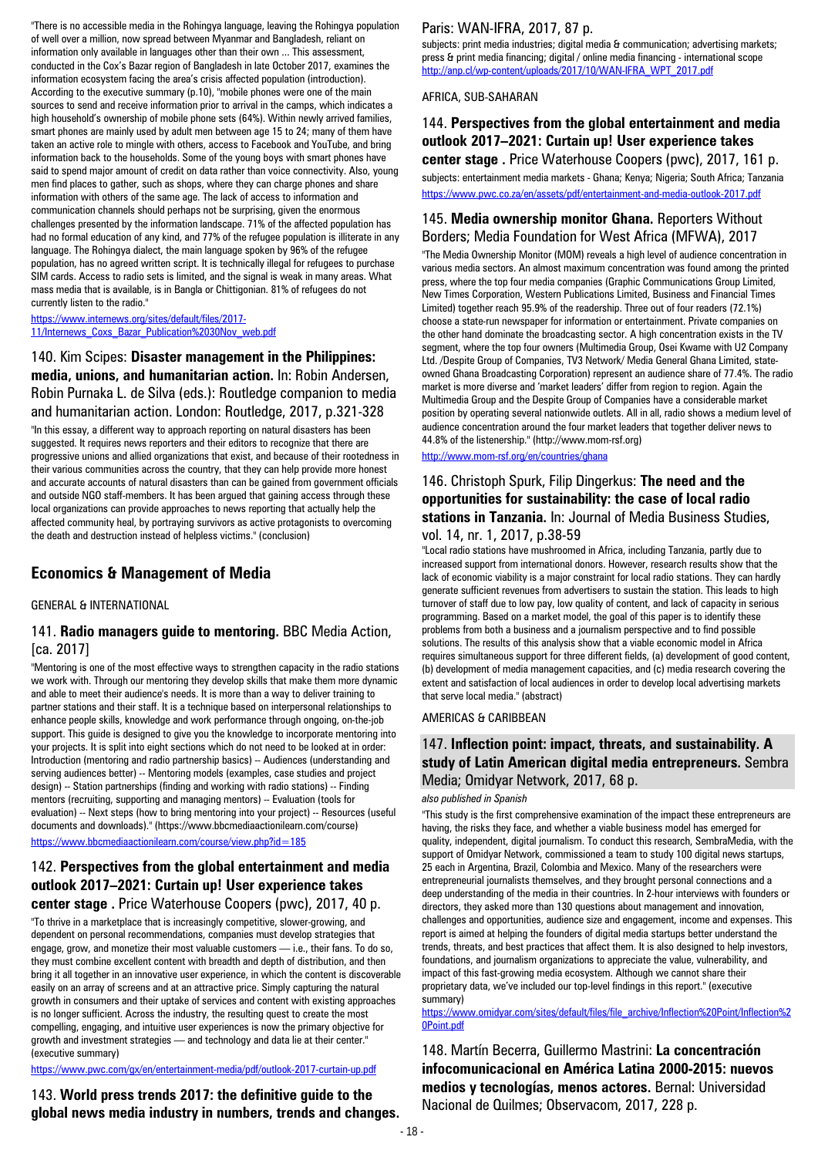"There is no accessible media in the Rohingya language, leaving the Rohingya population of well over a million, now spread between Myanmar and Bangladesh, reliant on information only available in languages other than their own ... This assessment, conducted in the Cox's Bazar region of Bangladesh in late October 2017, examines the information ecosystem facing the area's crisis affected population (introduction). According to the executive summary (p.10), "mobile phones were one of the main sources to send and receive information prior to arrival in the camps, which indicates a high household's ownership of mobile phone sets (64%). Within newly arrived families, smart phones are mainly used by adult men between age 15 to 24; many of them have taken an active role to mingle with others, access to Facebook and YouTube, and bring information back to the households. Some of the young boys with smart phones have said to spend major amount of credit on data rather than voice connectivity. Also, young men find places to gather, such as shops, where they can charge phones and share information with others of the same age. The lack of access to information and communication channels should perhaps not be surprising, given the enormous challenges presented by the information landscape. 71% of the affected population has had no formal education of any kind, and 77% of the refugee population is illiterate in any language. The Rohingya dialect, the main language spoken by 96% of the refugee population, has no agreed written script. It is technically illegal for refugees to purchase SIM cards. Access to radio sets is limited, and the signal is weak in many areas. What mass media that is available, is in Bangla or Chittigonian. 81% of refugees do not currently listen to the radio."

[https://www.internews.org/sites/default/files/2017-](https://www.internews.org/sites/default/files/2017-11/Internews_Coxs_Bazar_Publication%2030Nov_web.pdf) [11/Internews\\_Coxs\\_Bazar\\_Publication%2030Nov\\_web.pdf](https://www.internews.org/sites/default/files/2017-11/Internews_Coxs_Bazar_Publication%2030Nov_web.pdf)

# 140. Kim Scipes: **Disaster management in the Philippines: media, unions, and humanitarian action.** In: Robin Andersen, Robin Purnaka L. de Silva (eds.): Routledge companion to media and humanitarian action. London: Routledge, 2017, p.321-328

"In this essay, a different way to approach reporting on natural disasters has been suggested. It requires news reporters and their editors to recognize that there are progressive unions and allied organizations that exist, and because of their rootedness in their various communities across the country, that they can help provide more honest and accurate accounts of natural disasters than can be gained from government officials and outside NGO staff-members. It has been argued that gaining access through these local organizations can provide approaches to news reporting that actually help the affected community heal, by portraying survivors as active protagonists to overcoming the death and destruction instead of helpless victims." (conclusion)

# **Economics & Management of Media**

GENERAL & INTERNATIONAL

### 141. **Radio managers guide to mentoring.** BBC Media Action, [ca. 2017]

"Mentoring is one of the most effective ways to strengthen capacity in the radio stations we work with. Through our mentoring they develop skills that make them more dynamic and able to meet their audience's needs. It is more than a way to deliver training to partner stations and their staff. It is a technique based on interpersonal relationships to enhance people skills, knowledge and work performance through ongoing, on-the-job support. This guide is designed to give you the knowledge to incorporate mentoring into your projects. It is split into eight sections which do not need to be looked at in order: Introduction (mentoring and radio partnership basics) -- Audiences (understanding and serving audiences better) -- Mentoring models (examples, case studies and project design) -- Station partnerships (finding and working with radio stations) -- Finding mentors (recruiting, supporting and managing mentors) -- Evaluation (tools for evaluation) -- Next steps (how to bring mentoring into your project) -- Resources (useful documents and downloads)." (https://www.bbcmediaactionilearn.com/course)

<https://www.bbcmediaactionilearn.com/course/view.php?id=185>

# 142. **Perspectives from the global entertainment and media outlook 2017–2021: Curtain up! User experience takes center stage .** Price Waterhouse Coopers (pwc), 2017, 40 p.

"To thrive in a marketplace that is increasingly competitive, slower-growing, and dependent on personal recommendations, companies must develop strategies that engage, grow, and monetize their most valuable customers — i.e., their fans. To do so, they must combine excellent content with breadth and depth of distribution, and then bring it all together in an innovative user experience, in which the content is discoverable easily on an array of screens and at an attractive price. Simply capturing the natural growth in consumers and their uptake of services and content with existing approaches is no longer sufficient. Across the industry, the resulting quest to create the most compelling, engaging, and intuitive user experiences is now the primary objective for growth and investment strategies — and technology and data lie at their center." (executive summary)

#### <https://www.pwc.com/gx/en/entertainment-media/pdf/outlook-2017-curtain-up.pdf>

143. **World press trends 2017: the definitive guide to the global news media industry in numbers, trends and changes.** 

# Paris: WAN-IFRA, 2017, 87 p.

subjects: print media industries; digital media & communication; advertising markets; press & print media financing; digital / online media financing - international scope [http://anp.cl/wp-content/uploads/2017/10/WAN-IFRA\\_WPT\\_2017.pdf](http://anp.cl/wp-content/uploads/2017/10/WAN-IFRA_WPT_2017.pdf)

AFRICA, SUB-SAHARAN

# 144. **Perspectives from the global entertainment and media outlook 2017–2021: Curtain up! User experience takes**

**center stage .** Price Waterhouse Coopers (pwc), 2017, 161 p. subjects: entertainment media markets - Ghana; Kenya; Nigeria; South Africa; Tanzania <https://www.pwc.co.za/en/assets/pdf/entertainment-and-media-outlook-2017.pdf>

# 145. **Media ownership monitor Ghana.** Reporters Without Borders; Media Foundation for West Africa (MFWA), 2017

"The Media Ownership Monitor (MOM) reveals a high level of audience concentration in various media sectors. An almost maximum concentration was found among the printed press, where the top four media companies (Graphic Communications Group Limited, New Times Corporation, Western Publications Limited, Business and Financial Times Limited) together reach 95.9% of the readership. Three out of four readers (72.1%) choose a state-run newspaper for information or entertainment. Private companies on the other hand dominate the broadcasting sector. A high concentration exists in the TV segment, where the top four owners (Multimedia Group, Osei Kwame with U2 Company Ltd. /Despite Group of Companies, TV3 Network/ Media General Ghana Limited, stateowned Ghana Broadcasting Corporation) represent an audience share of 77.4%. The radio market is more diverse and 'market leaders' differ from region to region. Again the Multimedia Group and the Despite Group of Companies have a considerable market position by operating several nationwide outlets. All in all, radio shows a medium level of audience concentration around the four market leaders that together deliver news to 44.8% of the listenership." (http://www.mom-rsf.org)

<http://www.mom-rsf.org/en/countries/ghana>

# 146. Christoph Spurk, Filip Dingerkus: **The need and the opportunities for sustainability: the case of local radio stations in Tanzania.** In: Journal of Media Business Studies, vol. 14, nr. 1, 2017, p.38-59

"Local radio stations have mushroomed in Africa, including Tanzania, partly due to increased support from international donors. However, research results show that the lack of economic viability is a major constraint for local radio stations. They can hardly generate sufficient revenues from advertisers to sustain the station. This leads to high turnover of staff due to low pay, low quality of content, and lack of capacity in serious programming. Based on a market model, the goal of this paper is to identify these problems from both a business and a journalism perspective and to find possible solutions. The results of this analysis show that a viable economic model in Africa requires simultaneous support for three different fields, (a) development of good content, (b) development of media management capacities, and (c) media research covering the extent and satisfaction of local audiences in order to develop local advertising markets that serve local media." (abstract)

#### AMERICAS & CARIBBEAN

# 147. **Inflection point: impact, threats, and sustainability. A study of Latin American digital media entrepreneurs.** Sembra Media; Omidyar Network, 2017, 68 p.

#### *also published in Spanish*

"This study is the first comprehensive examination of the impact these entrepreneurs are having, the risks they face, and whether a viable business model has emerged for quality, independent, digital journalism. To conduct this research, SembraMedia, with the support of Omidyar Network, commissioned a team to study 100 digital news startups, 25 each in Argentina, Brazil, Colombia and Mexico. Many of the researchers were entrepreneurial journalists themselves, and they brought personal connections and a deep understanding of the media in their countries. In 2-hour interviews with founders or directors, they asked more than 130 questions about management and innovation, challenges and opportunities, audience size and engagement, income and expenses. This report is aimed at helping the founders of digital media startups better understand the trends, threats, and best practices that affect them. It is also designed to help investors, foundations, and journalism organizations to appreciate the value, vulnerability, and impact of this fast-growing media ecosystem. Although we cannot share their proprietary data, we've included our top-level findings in this report." (executive summary)

[https://www.omidyar.com/sites/default/files/file\\_archive/Inflection%20Point/Inflection%2](https://www.omidyar.com/sites/default/files/file_archive/Inflection%20Point/Inflection%20Point.pdf) [0Point.pdf](https://www.omidyar.com/sites/default/files/file_archive/Inflection%20Point/Inflection%20Point.pdf)

148. Martín Becerra, Guillermo Mastrini: **La concentración infocomunicacional en América Latina 2000-2015: nuevos medios y tecnologías, menos actores.** Bernal: Universidad Nacional de Quilmes; Observacom, 2017, 228 p.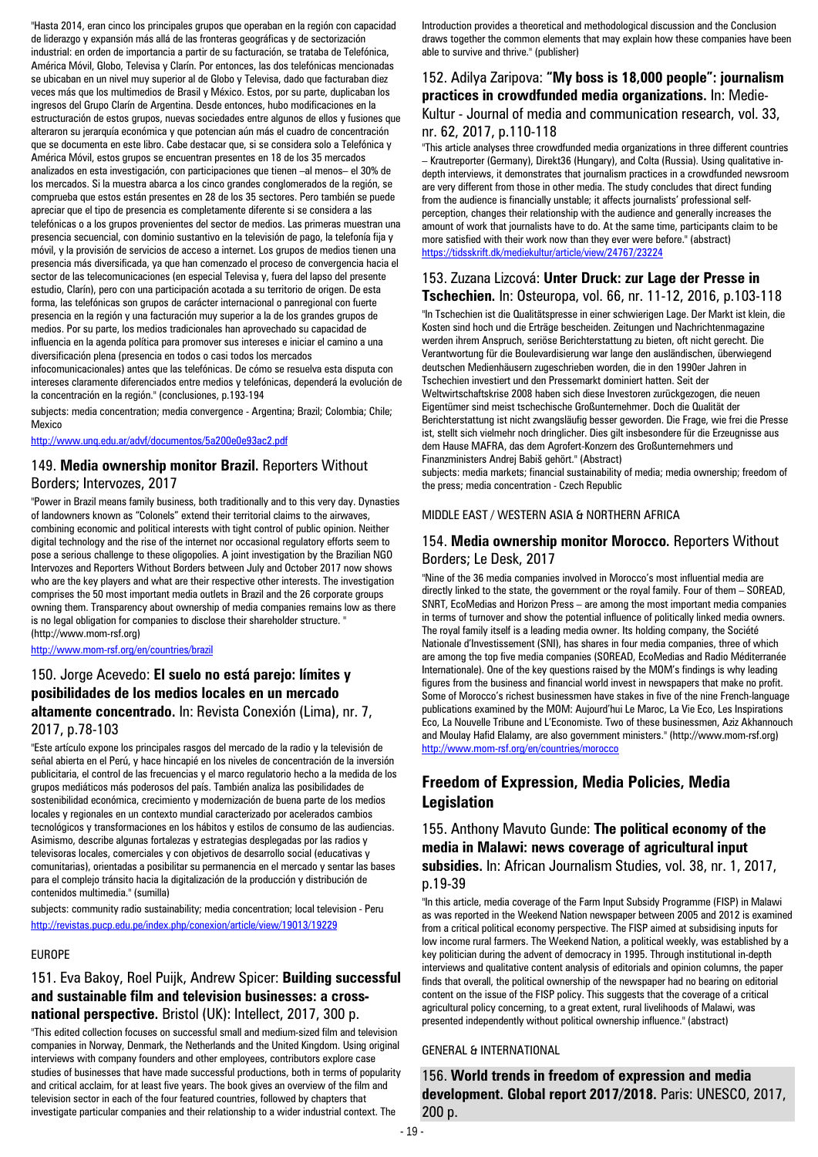"Hasta 2014, eran cinco los principales grupos que operaban en la región con capacidad de liderazgo y expansión más allá de las fronteras geográficas y de sectorización industrial: en orden de importancia a partir de su facturación, se trataba de Telefónica, América Móvil, Globo, Televisa y Clarín. Por entonces, las dos telefónicas mencionadas se ubicaban en un nivel muy superior al de Globo y Televisa, dado que facturaban diez veces más que los multimedios de Brasil y México. Estos, por su parte, duplicaban los ingresos del Grupo Clarín de Argentina. Desde entonces, hubo modificaciones en la estructuración de estos grupos, nuevas sociedades entre algunos de ellos y fusiones que alteraron su jerarquía económica y que potencian aún más el cuadro de concentración que se documenta en este libro. Cabe destacar que, si se considera solo a Telefónica y América Móvil, estos grupos se encuentran presentes en 18 de los 35 mercados analizados en esta investigación, con participaciones que tienen –al menos– el 30% de los mercados. Si la muestra abarca a los cinco grandes conglomerados de la región, se comprueba que estos están presentes en 28 de los 35 sectores. Pero también se puede apreciar que el tipo de presencia es completamente diferente si se considera a las telefónicas o a los grupos provenientes del sector de medios. Las primeras muestran una presencia secuencial, con dominio sustantivo en la televisión de pago, la telefonía fija y móvil, y la provisión de servicios de acceso a internet. Los grupos de medios tienen una presencia más diversificada, ya que han comenzado el proceso de convergencia hacia el sector de las telecomunicaciones (en especial Televisa y, fuera del lapso del presente estudio, Clarín), pero con una participación acotada a su territorio de origen. De esta forma, las telefónicas son grupos de carácter internacional o panregional con fuerte presencia en la región y una facturación muy superior a la de los grandes grupos de medios. Por su parte, los medios tradicionales han aprovechado su capacidad de influencia en la agenda política para promover sus intereses e iniciar el camino a una diversificación plena (presencia en todos o casi todos los mercados

infocomunicacionales) antes que las telefónicas. De cómo se resuelva esta disputa con intereses claramente diferenciados entre medios y telefónicas, dependerá la evolución de la concentración en la región." (conclusiones, p.193-194

subjects: media concentration; media convergence - Argentina; Brazil; Colombia; Chile; Mexico

<http://www.unq.edu.ar/advf/documentos/5a200e0e93ac2.pdf>

## 149. **Media ownership monitor Brazil.** Reporters Without Borders; Intervozes, 2017

"Power in Brazil means family business, both traditionally and to this very day. Dynasties of landowners known as "Colonels" extend their territorial claims to the airwaves, combining economic and political interests with tight control of public opinion. Neither digital technology and the rise of the internet nor occasional regulatory efforts seem to pose a serious challenge to these oligopolies. A joint investigation by the Brazilian NGO Intervozes and Reporters Without Borders between July and October 2017 now shows who are the key players and what are their respective other interests. The investigation comprises the 50 most important media outlets in Brazil and the 26 corporate groups owning them. Transparency about ownership of media companies remains low as there is no legal obligation for companies to disclose their shareholder structure. " (http://www.mom-rsf.org)

<http://www.mom-rsf.org/en/countries/brazil>

# 150. Jorge Acevedo: **El suelo no está parejo: límites y posibilidades de los medios locales en un mercado altamente concentrado.** In: Revista Conexión (Lima), nr. 7, 2017, p.78-103

"Este artículo expone los principales rasgos del mercado de la radio y la televisión de señal abierta en el Perú, y hace hincapié en los niveles de concentración de la inversión publicitaria, el control de las frecuencias y el marco regulatorio hecho a la medida de los grupos mediáticos más poderosos del país. También analiza las posibilidades de sostenibilidad económica, crecimiento y modernización de buena parte de los medios locales y regionales en un contexto mundial caracterizado por acelerados cambios tecnológicos y transformaciones en los hábitos y estilos de consumo de las audiencias. Asimismo, describe algunas fortalezas y estrategias desplegadas por las radios y televisoras locales, comerciales y con objetivos de desarrollo social (educativas y comunitarias), orientadas a posibilitar su permanencia en el mercado y sentar las bases para el complejo tránsito hacia la digitalización de la producción y distribución de contenidos multimedia." (sumilla)

subjects: community radio sustainability; media concentration; local television - Peru <http://revistas.pucp.edu.pe/index.php/conexion/article/view/19013/19229>

#### EUROPE

# 151. Eva Bakoy, Roel Puijk, Andrew Spicer: **Building successful and sustainable film and television businesses: a crossnational perspective.** Bristol (UK): Intellect, 2017, 300 p.

"This edited collection focuses on successful small and medium-sized film and television companies in Norway, Denmark, the Netherlands and the United Kingdom. Using original interviews with company founders and other employees, contributors explore case studies of businesses that have made successful productions, both in terms of popularity and critical acclaim, for at least five years. The book gives an overview of the film and television sector in each of the four featured countries, followed by chapters that investigate particular companies and their relationship to a wider industrial context. The

Introduction provides a theoretical and methodological discussion and the Conclusion draws together the common elements that may explain how these companies have been able to survive and thrive." (publisher)

# 152. Adilya Zaripova: **"My boss is 18,000 people": journalism practices in crowdfunded media organizations.** In: Medie-Kultur - Journal of media and communication research, vol. 33, nr. 62, 2017, p.110-118

"This article analyses three crowdfunded media organizations in three different countries – Krautreporter (Germany), Direkt36 (Hungary), and Colta (Russia). Using qualitative indepth interviews, it demonstrates that journalism practices in a crowdfunded newsroom are very different from those in other media. The study concludes that direct funding from the audience is financially unstable; it affects journalists' professional selfperception, changes their relationship with the audience and generally increases the amount of work that journalists have to do. At the same time, participants claim to be more satisfied with their work now than they ever were before." (abstract) <https://tidsskrift.dk/mediekultur/article/view/24767/23224>

### 153. Zuzana Lizcová: **Unter Druck: zur Lage der Presse in Tschechien.** In: Osteuropa, vol. 66, nr. 11-12, 2016, p.103-118

"In Tschechien ist die Qualitätspresse in einer schwierigen Lage. Der Markt ist klein, die Kosten sind hoch und die Erträge bescheiden. Zeitungen und Nachrichtenmagazine werden ihrem Anspruch, seriöse Berichterstattung zu bieten, oft nicht gerecht. Die Verantwortung für die Boulevardisierung war lange den ausländischen, überwiegend deutschen Medienhäusern zugeschrieben worden, die in den 1990er Jahren in Tschechien investiert und den Pressemarkt dominiert hatten. Seit der Weltwirtschaftskrise 2008 haben sich diese Investoren zurückgezogen, die neuen Eigentümer sind meist tschechische Großunternehmer. Doch die Qualität der

Berichterstattung ist nicht zwangsläufig besser geworden. Die Frage, wie frei die Presse ist, stellt sich vielmehr noch dringlicher. Dies gilt insbesondere für die Erzeugnisse aus dem Hause MAFRA, das dem Agrofert-Konzern des Großunternehmers und Finanzministers Andrej Babiš gehört." (Abstract)

subjects: media markets; financial sustainability of media; media ownership; freedom of the press; media concentration - Czech Republic

#### MIDDLE EAST / WESTERN ASIA & NORTHERN AFRICA

# 154. **Media ownership monitor Morocco.** Reporters Without Borders; Le Desk, 2017

"Nine of the 36 media companies involved in Morocco's most influential media are directly linked to the state, the government or the royal family. Four of them – SOREAD, SNRT, EcoMedias and Horizon Press – are among the most important media companies in terms of turnover and show the potential influence of politically linked media owners. The royal family itself is a leading media owner. Its holding company, the Société Nationale d'Investissement (SNI), has shares in four media companies, three of which are among the top five media companies (SOREAD, EcoMedias and Radio Méditerranée Internationale). One of the key questions raised by the MOM's findings is why leading figures from the business and financial world invest in newspapers that make no profit. Some of Morocco's richest businessmen have stakes in five of the nine French-language publications examined by the MOM: Aujourd'hui Le Maroc, La Vie Eco, Les Inspirations Eco, La Nouvelle Tribune and L'Economiste. Two of these businessmen, Aziz Akhannouch and Moulay Hafid Elalamy, are also government ministers." (http://www.mom-rsf.org) <http://www.mom-rsf.org/en/countries/morocco>

# **Freedom of Expression, Media Policies, Media Legislation**

# 155. Anthony Mavuto Gunde: **The political economy of the media in Malawi: news coverage of agricultural input subsidies.** In: African Journalism Studies, vol. 38, nr. 1, 2017, p.19-39

"In this article, media coverage of the Farm Input Subsidy Programme (FISP) in Malawi as was reported in the Weekend Nation newspaper between 2005 and 2012 is examined from a critical political economy perspective. The FISP aimed at subsidising inputs for low income rural farmers. The Weekend Nation, a political weekly, was established by a key politician during the advent of democracy in 1995. Through institutional in-depth interviews and qualitative content analysis of editorials and opinion columns, the paper finds that overall, the political ownership of the newspaper had no bearing on editorial content on the issue of the FISP policy. This suggests that the coverage of a critical agricultural policy concerning, to a great extent, rural livelihoods of Malawi, was presented independently without political ownership influence." (abstract)

#### GENERAL & INTERNATIONAL

156. **World trends in freedom of expression and media development. Global report 2017/2018.** Paris: UNESCO, 2017, 200 p.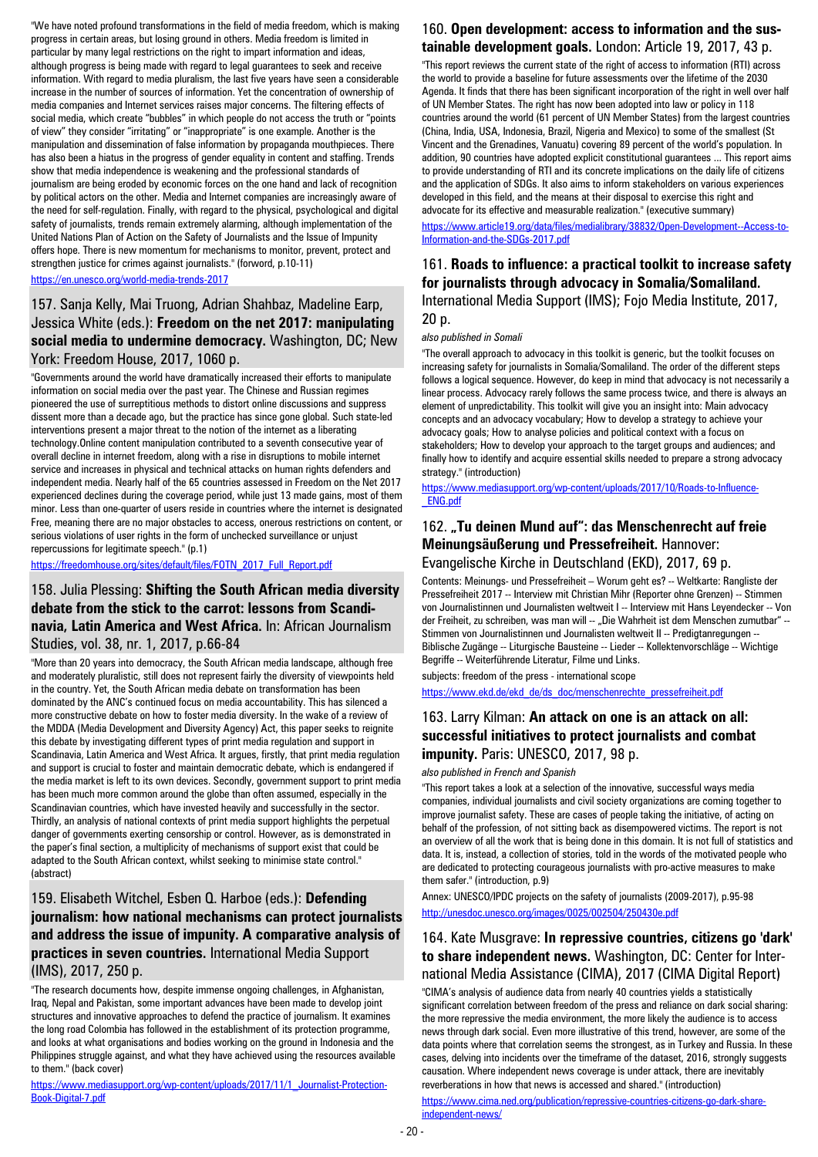"We have noted profound transformations in the field of media freedom, which is making progress in certain areas, but losing ground in others. Media freedom is limited in particular by many legal restrictions on the right to impart information and ideas, although progress is being made with regard to legal guarantees to seek and receive information. With regard to media pluralism, the last five years have seen a considerable increase in the number of sources of information. Yet the concentration of ownership of media companies and Internet services raises major concerns. The filtering effects of social media, which create "bubbles" in which people do not access the truth or "points of view" they consider "irritating" or "inappropriate" is one example. Another is the manipulation and dissemination of false information by propaganda mouthpieces. There has also been a hiatus in the progress of gender equality in content and staffing. Trends show that media independence is weakening and the professional standards of journalism are being eroded by economic forces on the one hand and lack of recognition by political actors on the other. Media and Internet companies are increasingly aware of the need for self-regulation. Finally, with regard to the physical, psychological and digital safety of journalists, trends remain extremely alarming, although implementation of the United Nations Plan of Action on the Safety of Journalists and the Issue of Impunity offers hope. There is new momentum for mechanisms to monitor, prevent, protect and strengthen justice for crimes against journalists." (forword, p.10-11)

<https://en.unesco.org/world-media-trends-2017>

# 157. Sanja Kelly, Mai Truong, Adrian Shahbaz, Madeline Earp, Jessica White (eds.): **Freedom on the net 2017: manipulating social media to undermine democracy.** Washington, DC; New York: Freedom House, 2017, 1060 p.

"Governments around the world have dramatically increased their efforts to manipulate information on social media over the past year. The Chinese and Russian regimes pioneered the use of surreptitious methods to distort online discussions and suppress dissent more than a decade ago, but the practice has since gone global. Such state-led interventions present a major threat to the notion of the internet as a liberating technology.Online content manipulation contributed to a seventh consecutive year of overall decline in internet freedom, along with a rise in disruptions to mobile internet service and increases in physical and technical attacks on human rights defenders and independent media. Nearly half of the 65 countries assessed in Freedom on the Net 2017 experienced declines during the coverage period, while just 13 made gains, most of them minor. Less than one-quarter of users reside in countries where the internet is designated Free, meaning there are no major obstacles to access, onerous restrictions on content, or serious violations of user rights in the form of unchecked surveillance or unjust repercussions for legitimate speech." (p.1)

[https://freedomhouse.org/sites/default/files/FOTN\\_2017\\_Full\\_Report.pdf](https://freedomhouse.org/sites/default/files/FOTN_2017_Full_Report.pdf)

# 158. Julia Plessing: **Shifting the South African media diversity debate from the stick to the carrot: lessons from Scandinavia, Latin America and West Africa.** In: African Journalism Studies, vol. 38, nr. 1, 2017, p.66-84

"More than 20 years into democracy, the South African media landscape, although free and moderately pluralistic, still does not represent fairly the diversity of viewpoints held in the country. Yet, the South African media debate on transformation has been dominated by the ANC's continued focus on media accountability. This has silenced a more constructive debate on how to foster media diversity. In the wake of a review of the MDDA (Media Development and Diversity Agency) Act, this paper seeks to reignite this debate by investigating different types of print media regulation and support in Scandinavia, Latin America and West Africa. It argues, firstly, that print media regulation and support is crucial to foster and maintain democratic debate, which is endangered if the media market is left to its own devices. Secondly, government support to print media has been much more common around the globe than often assumed, especially in the Scandinavian countries, which have invested heavily and successfully in the sector. Thirdly, an analysis of national contexts of print media support highlights the perpetual danger of governments exerting censorship or control. However, as is demonstrated in the paper's final section, a multiplicity of mechanisms of support exist that could be adapted to the South African context, whilst seeking to minimise state control." (abstract)

# 159. Elisabeth Witchel, Esben Q. Harboe (eds.): **Defending journalism: how national mechanisms can protect journalists and address the issue of impunity. A comparative analysis of practices in seven countries.** International Media Support (IMS), 2017, 250 p.

"The research documents how, despite immense ongoing challenges, in Afghanistan, Iraq, Nepal and Pakistan, some important advances have been made to develop joint structures and innovative approaches to defend the practice of journalism. It examines the long road Colombia has followed in the establishment of its protection programme, and looks at what organisations and bodies working on the ground in Indonesia and the Philippines struggle against, and what they have achieved using the resources available to them." (back cover)

[https://www.mediasupport.org/wp-content/uploads/2017/11/1\\_Journalist-Protection-](https://www.mediasupport.org/wp-content/uploads/2017/11/1_Journalist-Protection-Book-Digital-7.pdf)[Book-Digital-7.pdf](https://www.mediasupport.org/wp-content/uploads/2017/11/1_Journalist-Protection-Book-Digital-7.pdf)

# 160. **Open development: access to information and the sustainable development goals.** London: Article 19, 2017, 43 p.

"This report reviews the current state of the right of access to information (RTI) across the world to provide a baseline for future assessments over the lifetime of the 2030 Agenda. It finds that there has been significant incorporation of the right in well over half of UN Member States. The right has now been adopted into law or policy in 118 countries around the world (61 percent of UN Member States) from the largest countries (China, India, USA, Indonesia, Brazil, Nigeria and Mexico) to some of the smallest (St Vincent and the Grenadines, Vanuatu) covering 89 percent of the world's population. In addition, 90 countries have adopted explicit constitutional guarantees ... This report aims to provide understanding of RTI and its concrete implications on the daily life of citizens and the application of SDGs. It also aims to inform stakeholders on various experiences developed in this field, and the means at their disposal to exercise this right and advocate for its effective and measurable realization." (executive summary)

[https://www.article19.org/data/files/medialibrary/38832/Open-Development--Access-to-](https://www.article19.org/data/files/medialibrary/38832/Open-Development--Access-to-Information-and-the-SDGs-2017.pdf)[Information-and-the-SDGs-2017.pdf](https://www.article19.org/data/files/medialibrary/38832/Open-Development--Access-to-Information-and-the-SDGs-2017.pdf)

# 161. **Roads to influence: a practical toolkit to increase safety for journalists through advocacy in Somalia/Somaliland.**  International Media Support (IMS); Fojo Media Institute, 2017, 20 p.

#### *also published in Somali*

"The overall approach to advocacy in this toolkit is generic, but the toolkit focuses on increasing safety for journalists in Somalia/Somaliland. The order of the different steps follows a logical sequence. However, do keep in mind that advocacy is not necessarily a linear process. Advocacy rarely follows the same process twice, and there is always an element of unpredictability. This toolkit will give you an insight into: Main advocacy concepts and an advocacy vocabulary; How to develop a strategy to achieve your advocacy goals; How to analyse policies and political context with a focus on stakeholders; How to develop your approach to the target groups and audiences; and finally how to identify and acquire essential skills needed to prepare a strong advocacy strategy." (introduction)

[https://www.mediasupport.org/wp-content/uploads/2017/10/Roads-to-Influence-](https://www.mediasupport.org/wp-content/uploads/2017/10/Roads-to-Influence-_ENG.pdf) [\\_ENG.pdf](https://www.mediasupport.org/wp-content/uploads/2017/10/Roads-to-Influence-_ENG.pdf)

## 162. **"Tu deinen Mund auf": das Menschenrecht auf freie Meinungsäußerung und Pressefreiheit.** Hannover: Evangelische Kirche in Deutschland (EKD), 2017, 69 p.

Contents: Meinungs- und Pressefreiheit – Worum geht es? -- Weltkarte: Rangliste der Pressefreiheit 2017 -- Interview mit Christian Mihr (Reporter ohne Grenzen) -- Stimmen von Journalistinnen und Journalisten weltweit I -- Interview mit Hans Leyendecker -- Von der Freiheit, zu schreiben, was man will -- "Die Wahrheit ist dem Menschen zumutbar" --Stimmen von Journalistinnen und Journalisten weltweit II -- Predigtanregungen -- Biblische Zugänge -- Liturgische Bausteine -- Lieder -- Kollektenvorschläge -- Wichtige Begriffe -- Weiterführende Literatur, Filme und Links.

subjects: freedom of the press - international scope

[https://www.ekd.de/ekd\\_de/ds\\_doc/menschenrechte\\_pressefreiheit.pdf](https://www.ekd.de/ekd_de/ds_doc/menschenrechte_pressefreiheit.pdf)

# 163. Larry Kilman: **An attack on one is an attack on all: successful initiatives to protect journalists and combat impunity.** Paris: UNESCO, 2017, 98 p.

*also published in French and Spanish*

"This report takes a look at a selection of the innovative, successful ways media companies, individual journalists and civil society organizations are coming together to improve journalist safety. These are cases of people taking the initiative, of acting on behalf of the profession, of not sitting back as disempowered victims. The report is not an overview of all the work that is being done in this domain. It is not full of statistics and data. It is, instead, a collection of stories, told in the words of the motivated people who are dedicated to protecting courageous journalists with pro-active measures to make them safer." (introduction, p.9)

Annex: UNESCO/IPDC projects on the safety of journalists (2009-2017), p.95-98 <http://unesdoc.unesco.org/images/0025/002504/250430e.pdf>

# 164. Kate Musgrave: **In repressive countries, citizens go 'dark' to share independent news.** Washington, DC: Center for International Media Assistance (CIMA), 2017 (CIMA Digital Report)

"CIMA's analysis of audience data from nearly 40 countries yields a statistically significant correlation between freedom of the press and reliance on dark social sharing: the more repressive the media environment, the more likely the audience is to access news through dark social. Even more illustrative of this trend, however, are some of the data points where that correlation seems the strongest, as in Turkey and Russia. In these cases, delving into incidents over the timeframe of the dataset, 2016, strongly suggests causation. Where independent news coverage is under attack, there are inevitably reverberations in how that news is accessed and shared." (introduction)

[https://www.cima.ned.org/publication/repressive-countries-citizens-go-dark-share](https://www.cima.ned.org/publication/repressive-countries-citizens-go-dark-share-independent-news/)[independent-news/](https://www.cima.ned.org/publication/repressive-countries-citizens-go-dark-share-independent-news/)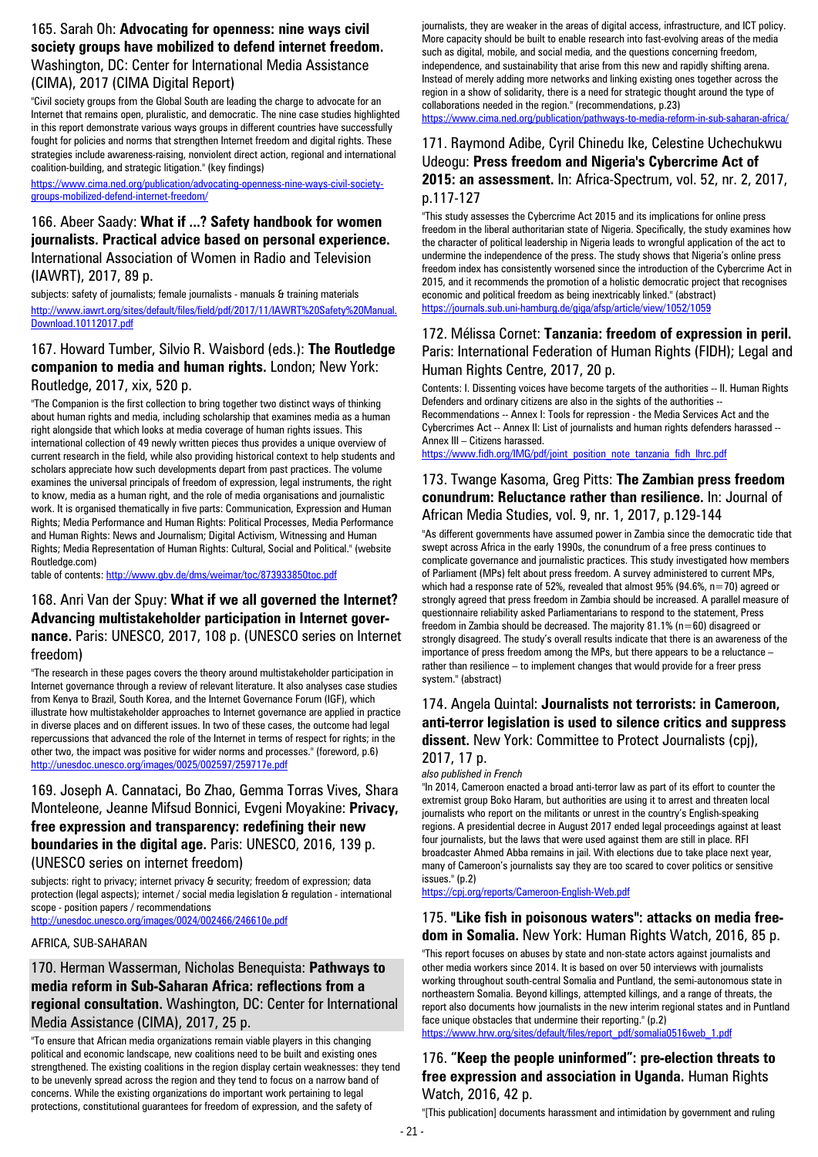# 165. Sarah Oh: **Advocating for openness: nine ways civil society groups have mobilized to defend internet freedom.**  Washington, DC: Center for International Media Assistance (CIMA), 2017 (CIMA Digital Report)

"Civil society groups from the Global South are leading the charge to advocate for an Internet that remains open, pluralistic, and democratic. The nine case studies highlighted in this report demonstrate various ways groups in different countries have successfully fought for policies and norms that strengthen Internet freedom and digital rights. These strategies include awareness-raising, nonviolent direct action, regional and international coalition-building, and strategic litigation." (key findings)

[https://www.cima.ned.org/publication/advocating-openness-nine-ways-civil-society](https://www.cima.ned.org/publication/advocating-openness-nine-ways-civil-society-groups-mobilized-defend-internet-freedom/)[groups-mobilized-defend-internet-freedom/](https://www.cima.ned.org/publication/advocating-openness-nine-ways-civil-society-groups-mobilized-defend-internet-freedom/)

# 166. Abeer Saady: **What if ...? Safety handbook for women journalists. Practical advice based on personal experience.** International Association of Women in Radio and Television (IAWRT), 2017, 89 p.

subjects: safety of journalists; female journalists - manuals & training materials [http://www.iawrt.org/sites/default/files/field/pdf/2017/11/IAWRT%20Safety%20Manual.](http://www.iawrt.org/sites/default/files/field/pdf/2017/11/IAWRT%20Safety%20Manual.Download.10112017.pdf) [Download.10112017.pdf](http://www.iawrt.org/sites/default/files/field/pdf/2017/11/IAWRT%20Safety%20Manual.Download.10112017.pdf)

# 167. Howard Tumber, Silvio R. Waisbord (eds.): **The Routledge companion to media and human rights.** London; New York: Routledge, 2017, xix, 520 p.

"The Companion is the first collection to bring together two distinct ways of thinking about human rights and media, including scholarship that examines media as a human right alongside that which looks at media coverage of human rights issues. This international collection of 49 newly written pieces thus provides a unique overview of current research in the field, while also providing historical context to help students and scholars appreciate how such developments depart from past practices. The volume examines the universal principals of freedom of expression, legal instruments, the right to know, media as a human right, and the role of media organisations and journalistic work. It is organised thematically in five parts: Communication, Expression and Human Rights; Media Performance and Human Rights: Political Processes, Media Performance and Human Rights: News and Journalism; Digital Activism, Witnessing and Human Rights; Media Representation of Human Rights: Cultural, Social and Political." (website Routledge.com)

table of contents[: http://www.gbv.de/dms/weimar/toc/873933850toc.pdf](http://www.gbv.de/dms/weimar/toc/873933850toc.pdf)

# 168. Anri Van der Spuy: **What if we all governed the Internet? Advancing multistakeholder participation in Internet governance.** Paris: UNESCO, 2017, 108 p. (UNESCO series on Internet freedom)

"The research in these pages covers the theory around multistakeholder participation in Internet governance through a review of relevant literature. It also analyses case studies from Kenya to Brazil, South Korea, and the Internet Governance Forum (IGF), which illustrate how multistakeholder approaches to Internet governance are applied in practice in diverse places and on different issues. In two of these cases, the outcome had legal repercussions that advanced the role of the Internet in terms of respect for rights; in the other two, the impact was positive for wider norms and processes." (foreword, p.6) <http://unesdoc.unesco.org/images/0025/002597/259717e.pdf>

# 169. Joseph A. Cannataci, Bo Zhao, Gemma Torras Vives, Shara Monteleone, Jeanne Mifsud Bonnici, Evgeni Moyakine: **Privacy, free expression and transparency: redefining their new boundaries in the digital age.** Paris: UNESCO, 2016, 139 p. (UNESCO series on internet freedom)

subjects: right to privacy; internet privacy & security; freedom of expression; data protection (legal aspects); internet / social media legislation & regulation - international scope - position papers / recommendations

<http://unesdoc.unesco.org/images/0024/002466/246610e.pdf>

### AFRICA, SUB-SAHARAN

# 170. Herman Wasserman, Nicholas Benequista: **Pathways to media reform in Sub-Saharan Africa: reflections from a regional consultation.** Washington, DC: Center for International Media Assistance (CIMA), 2017, 25 p.

"To ensure that African media organizations remain viable players in this changing political and economic landscape, new coalitions need to be built and existing ones strengthened. The existing coalitions in the region display certain weaknesses: they tend to be unevenly spread across the region and they tend to focus on a narrow band of concerns. While the existing organizations do important work pertaining to legal protections, constitutional guarantees for freedom of expression, and the safety of

journalists, they are weaker in the areas of digital access, infrastructure, and ICT policy. More capacity should be built to enable research into fast-evolving areas of the media such as digital, mobile, and social media, and the questions concerning freedom, independence, and sustainability that arise from this new and rapidly shifting arena. Instead of merely adding more networks and linking existing ones together across the region in a show of solidarity, there is a need for strategic thought around the type of collaborations needed in the region." (recommendations, p.23) <https://www.cima.ned.org/publication/pathways-to-media-reform-in-sub-saharan-africa/>

# 171. Raymond Adibe, Cyril Chinedu Ike, Celestine Uchechukwu Udeogu: **Press freedom and Nigeria's Cybercrime Act of 2015: an assessment.** In: Africa-Spectrum, vol. 52, nr. 2, 2017, p.117-127

"This study assesses the Cybercrime Act 2015 and its implications for online press freedom in the liberal authoritarian state of Nigeria. Specifically, the study examines how the character of political leadership in Nigeria leads to wrongful application of the act to undermine the independence of the press. The study shows that Nigeria's online press freedom index has consistently worsened since the introduction of the Cybercrime Act in 2015, and it recommends the promotion of a holistic democratic project that recognises economic and political freedom as being inextricably linked." (abstract) <https://journals.sub.uni-hamburg.de/giga/afsp/article/view/1052/1059>

# 172. Mélissa Cornet: **Tanzania: freedom of expression in peril.**  Paris: International Federation of Human Rights (FIDH); Legal and Human Rights Centre, 2017, 20 p.

Contents: I. Dissenting voices have become targets of the authorities -- II. Human Rights Defenders and ordinary citizens are also in the sights of the authorities -Recommendations -- Annex I: Tools for repression - the Media Services Act and the Cybercrimes Act -- Annex II: List of journalists and human rights defenders harassed -- Annex III – Citizens harassed. [https://www.fidh.org/IMG/pdf/joint\\_position\\_note\\_tanzania\\_fidh\\_lhrc.pdf](https://www.fidh.org/IMG/pdf/joint_position_note_tanzania_fidh_lhrc.pdf)

# 173. Twange Kasoma, Greg Pitts: **The Zambian press freedom conundrum: Reluctance rather than resilience.** In: Journal of African Media Studies, vol. 9, nr. 1, 2017, p.129-144

"As different governments have assumed power in Zambia since the democratic tide that swept across Africa in the early 1990s, the conundrum of a free press continues to complicate governance and journalistic practices. This study investigated how members of Parliament (MPs) felt about press freedom. A survey administered to current MPs, which had a response rate of 52%, revealed that almost 95% (94.6%,  $n=70$ ) agreed or strongly agreed that press freedom in Zambia should be increased. A parallel measure of questionnaire reliability asked Parliamentarians to respond to the statement, Press freedom in Zambia should be decreased. The majority 81.1% (n=60) disagreed or strongly disagreed. The study's overall results indicate that there is an awareness of the importance of press freedom among the MPs, but there appears to be a reluctance – rather than resilience – to implement changes that would provide for a freer press system." (abstract)

# 174. Angela Quintal: **Journalists not terrorists: in Cameroon, anti-terror legislation is used to silence critics and suppress dissent.** New York: Committee to Protect Journalists (cpj),

#### 2017, 17 p. *also published in French*

"In 2014, Cameroon enacted a broad anti-terror law as part of its effort to counter the extremist group Boko Haram, but authorities are using it to arrest and threaten local journalists who report on the militants or unrest in the country's English-speaking regions. A presidential decree in August 2017 ended legal proceedings against at least four journalists, but the laws that were used against them are still in place. RFI broadcaster Ahmed Abba remains in jail. With elections due to take place next year, many of Cameroon's journalists say they are too scared to cover politics or sensitive issues." (p.2)

<https://cpj.org/reports/Cameroon-English-Web.pdf>

### 175. **"Like fish in poisonous waters": attacks on media freedom in Somalia.** New York: Human Rights Watch, 2016, 85 p.

"This report focuses on abuses by state and non-state actors against journalists and other media workers since 2014. It is based on over 50 interviews with journalists working throughout south-central Somalia and Puntland, the semi-autonomous state in northeastern Somalia. Beyond killings, attempted killings, and a range of threats, the report also documents how journalists in the new interim regional states and in Puntland face unique obstacles that undermine their reporting." (p.2) [https://www.hrw.org/sites/default/files/report\\_pdf/somalia0516web\\_1.pdf](https://www.hrw.org/sites/default/files/report_pdf/somalia0516web_1.pdf)

# 176. **"Keep the people uninformed": pre-election threats to free expression and association in Uganda.** Human Rights Watch, 2016, 42 p.

"[This publication] documents harassment and intimidation by government and ruling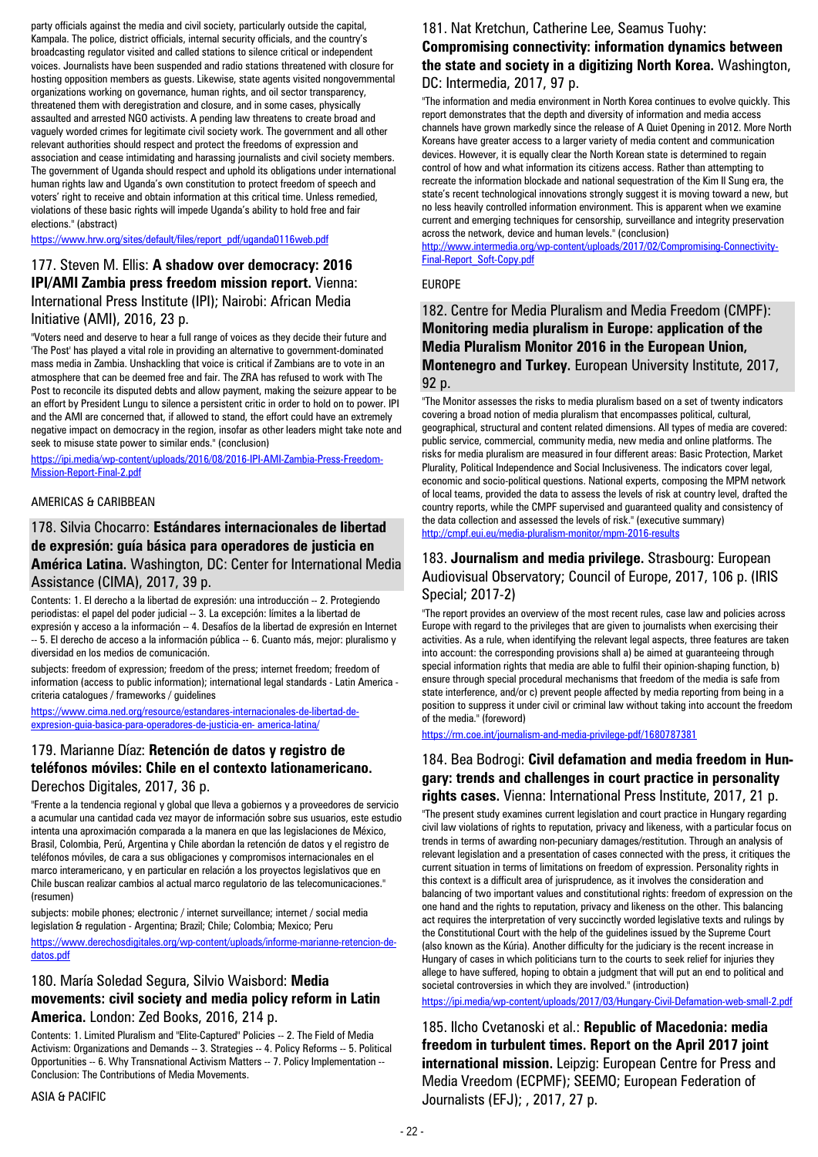party officials against the media and civil society, particularly outside the capital, Kampala. The police, district officials, internal security officials, and the country's broadcasting regulator visited and called stations to silence critical or independent voices. Journalists have been suspended and radio stations threatened with closure for hosting opposition members as guests. Likewise, state agents visited nongovernmental organizations working on governance, human rights, and oil sector transparency, threatened them with deregistration and closure, and in some cases, physically assaulted and arrested NGO activists. A pending law threatens to create broad and vaguely worded crimes for legitimate civil society work. The government and all other relevant authorities should respect and protect the freedoms of expression and association and cease intimidating and harassing journalists and civil society members. The government of Uganda should respect and uphold its obligations under international human rights law and Uganda's own constitution to protect freedom of speech and voters' right to receive and obtain information at this critical time. Unless remedied, violations of these basic rights will impede Uganda's ability to hold free and fair elections." (abstract)

[https://www.hrw.org/sites/default/files/report\\_pdf/uganda0116web.pdf](https://www.hrw.org/sites/default/files/report_pdf/uganda0116web.pdf)

# 177. Steven M. Ellis: **A shadow over democracy: 2016 IPI/AMI Zambia press freedom mission report.** Vienna: International Press Institute (IPI); Nairobi: African Media Initiative (AMI), 2016, 23 p.

"Voters need and deserve to hear a full range of voices as they decide their future and 'The Post' has played a vital role in providing an alternative to government-dominated mass media in Zambia. Unshackling that voice is critical if Zambians are to vote in an atmosphere that can be deemed free and fair. The ZRA has refused to work with The Post to reconcile its disputed debts and allow payment, making the seizure appear to be an effort by President Lungu to silence a persistent critic in order to hold on to power. IPI and the AMI are concerned that, if allowed to stand, the effort could have an extremely negative impact on democracy in the region, insofar as other leaders might take note and seek to misuse state power to similar ends." (conclusion)

[https://ipi.media/wp-content/uploads/2016/08/2016-IPI-AMI-Zambia-Press-Freedom-](https://ipi.media/wp-content/uploads/2016/08/2016-IPI-AMI-Zambia-Press-Freedom-Mission-Report-Final-2.pdf)[Mission-Report-Final-2.pdf](https://ipi.media/wp-content/uploads/2016/08/2016-IPI-AMI-Zambia-Press-Freedom-Mission-Report-Final-2.pdf)

#### AMERICAS & CARIBBEAN

# 178. Silvia Chocarro: **Estándares internacionales de libertad de expresión: guía básica para operadores de justicia en América Latina.** Washington, DC: Center for International Media Assistance (CIMA), 2017, 39 p.

Contents: 1. El derecho a la libertad de expresión: una introducción -- 2. Protegiendo periodistas: el papel del poder judicial -- 3. La excepción: límites a la libertad de expresión y acceso a la información -- 4. Desafíos de la libertad de expresión en Internet -- 5. El derecho de acceso a la información pública -- 6. Cuanto más, mejor: pluralismo y diversidad en los medios de comunicación.

subjects: freedom of expression; freedom of the press; internet freedom; freedom of information (access to public information); international legal standards - Latin America criteria catalogues / frameworks / guidelines

[https://www.cima.ned.org/resource/estandares-internacionales-de-libertad-de](https://www.cima.ned.org/resource/estandares-internacionales-de-libertad-de-expresion-guia-basica-para-operadores-de-justicia-en-%20america-latina/)[expresion-guia-basica-para-operadores-de-justicia-en-](https://www.cima.ned.org/resource/estandares-internacionales-de-libertad-de-expresion-guia-basica-para-operadores-de-justicia-en-%20america-latina/) america-latina/

# 179. Marianne Díaz: **Retención de datos y registro de teléfonos móviles: Chile en el contexto lationamericano.**  Derechos Digitales, 2017, 36 p.

"Frente a la tendencia regional y global que lleva a gobiernos y a proveedores de servicio a acumular una cantidad cada vez mayor de información sobre sus usuarios, este estudio intenta una aproximación comparada a la manera en que las legislaciones de México, Brasil, Colombia, Perú, Argentina y Chile abordan la retención de datos y el registro de teléfonos móviles, de cara a sus obligaciones y compromisos internacionales en el marco interamericano, y en particular en relación a los proyectos legislativos que en Chile buscan realizar cambios al actual marco regulatorio de las telecomunicaciones." (resumen)

subjects: mobile phones; electronic / internet surveillance; internet / social media legislation & regulation - Argentina; Brazil; Chile; Colombia; Mexico; Peru [https://www.derechosdigitales.org/wp-content/uploads/informe-marianne-retencion-de](https://www.derechosdigitales.org/wp-content/uploads/informe-marianne-retencion-de-datos.pdf)[datos.pdf](https://www.derechosdigitales.org/wp-content/uploads/informe-marianne-retencion-de-datos.pdf)

# 180. María Soledad Segura, Silvio Waisbord: **Media movements: civil society and media policy reform in Latin America.** London: Zed Books, 2016, 214 p.

Contents: 1. Limited Pluralism and "Elite-Captured" Policies -- 2. The Field of Media Activism: Organizations and Demands -- 3. Strategies -- 4. Policy Reforms -- 5. Political Opportunities -- 6. Why Transnational Activism Matters -- 7. Policy Implementation --Conclusion: The Contributions of Media Movements.

ASIA & PACIFIC

# 181. Nat Kretchun, Catherine Lee, Seamus Tuohy: **Compromising connectivity: information dynamics between the state and society in a digitizing North Korea.** Washington, DC: Intermedia, 2017, 97 p.

"The information and media environment in North Korea continues to evolve quickly. This report demonstrates that the depth and diversity of information and media access channels have grown markedly since the release of A Quiet Opening in 2012. More North Koreans have greater access to a larger variety of media content and communication devices. However, it is equally clear the North Korean state is determined to regain control of how and what information its citizens access. Rather than attempting to recreate the information blockade and national sequestration of the Kim Il Sung era, the state's recent technological innovations strongly suggest it is moving toward a new, but no less heavily controlled information environment. This is apparent when we examine current and emerging techniques for censorship, surveillance and integrity preservation across the network, device and human levels." (conclusion)

[http://www.intermedia.org/wp-content/uploads/2017/02/Compromising-Connectivity-](http://www.intermedia.org/wp-content/uploads/2017/02/Compromising-Connectivity-Final-Report_Soft-Copy.pdf)[Final-Report\\_Soft-Copy.pdf](http://www.intermedia.org/wp-content/uploads/2017/02/Compromising-Connectivity-Final-Report_Soft-Copy.pdf)

#### EUROPE

# 182. Centre for Media Pluralism and Media Freedom (CMPF): **Monitoring media pluralism in Europe: application of the Media Pluralism Monitor 2016 in the European Union, Montenegro and Turkey.** European University Institute, 2017, 92 p.

"The Monitor assesses the risks to media pluralism based on a set of twenty indicators covering a broad notion of media pluralism that encompasses political, cultural, geographical, structural and content related dimensions. All types of media are covered: public service, commercial, community media, new media and online platforms. The risks for media pluralism are measured in four different areas: Basic Protection, Market Plurality, Political Independence and Social Inclusiveness. The indicators cover legal, economic and socio-political questions. National experts, composing the MPM network of local teams, provided the data to assess the levels of risk at country level, drafted the country reports, while the CMPF supervised and guaranteed quality and consistency of the data collection and assessed the levels of risk." (executive summary) <http://cmpf.eui.eu/media-pluralism-monitor/mpm-2016-results>

## 183. **Journalism and media privilege.** Strasbourg: European Audiovisual Observatory; Council of Europe, 2017, 106 p. (IRIS Special; 2017-2)

"The report provides an overview of the most recent rules, case law and policies across Europe with regard to the privileges that are given to journalists when exercising their activities. As a rule, when identifying the relevant legal aspects, three features are taken into account: the corresponding provisions shall a) be aimed at guaranteeing through special information rights that media are able to fulfil their opinion-shaping function, b) ensure through special procedural mechanisms that freedom of the media is safe from state interference, and/or c) prevent people affected by media reporting from being in a position to suppress it under civil or criminal law without taking into account the freedom of the media." (foreword)

<https://rm.coe.int/journalism-and-media-privilege-pdf/1680787381>

# 184. Bea Bodrogi: **Civil defamation and media freedom in Hungary: trends and challenges in court practice in personality rights cases.** Vienna: International Press Institute, 2017, 21 p.

"The present study examines current legislation and court practice in Hungary regarding civil law violations of rights to reputation, privacy and likeness, with a particular focus on trends in terms of awarding non-pecuniary damages/restitution. Through an analysis of relevant legislation and a presentation of cases connected with the press, it critiques the current situation in terms of limitations on freedom of expression. Personality rights in this context is a difficult area of jurisprudence, as it involves the consideration and balancing of two important values and constitutional rights: freedom of expression on the one hand and the rights to reputation, privacy and likeness on the other. This balancing act requires the interpretation of very succinctly worded legislative texts and rulings by the Constitutional Court with the help of the guidelines issued by the Supreme Court (also known as the Kúria). Another difficulty for the judiciary is the recent increase in Hungary of cases in which politicians turn to the courts to seek relief for injuries they allege to have suffered, hoping to obtain a judgment that will put an end to political and societal controversies in which they are involved." (introduction) <https://ipi.media/wp-content/uploads/2017/03/Hungary-Civil-Defamation-web-small-2.pdf>

185. Ilcho Cvetanoski et al.: **Republic of Macedonia: media freedom in turbulent times. Report on the April 2017 joint international mission.** Leipzig: European Centre for Press and Media Vreedom (ECPMF); SEEMO; European Federation of Journalists (EFJ); , 2017, 27 p.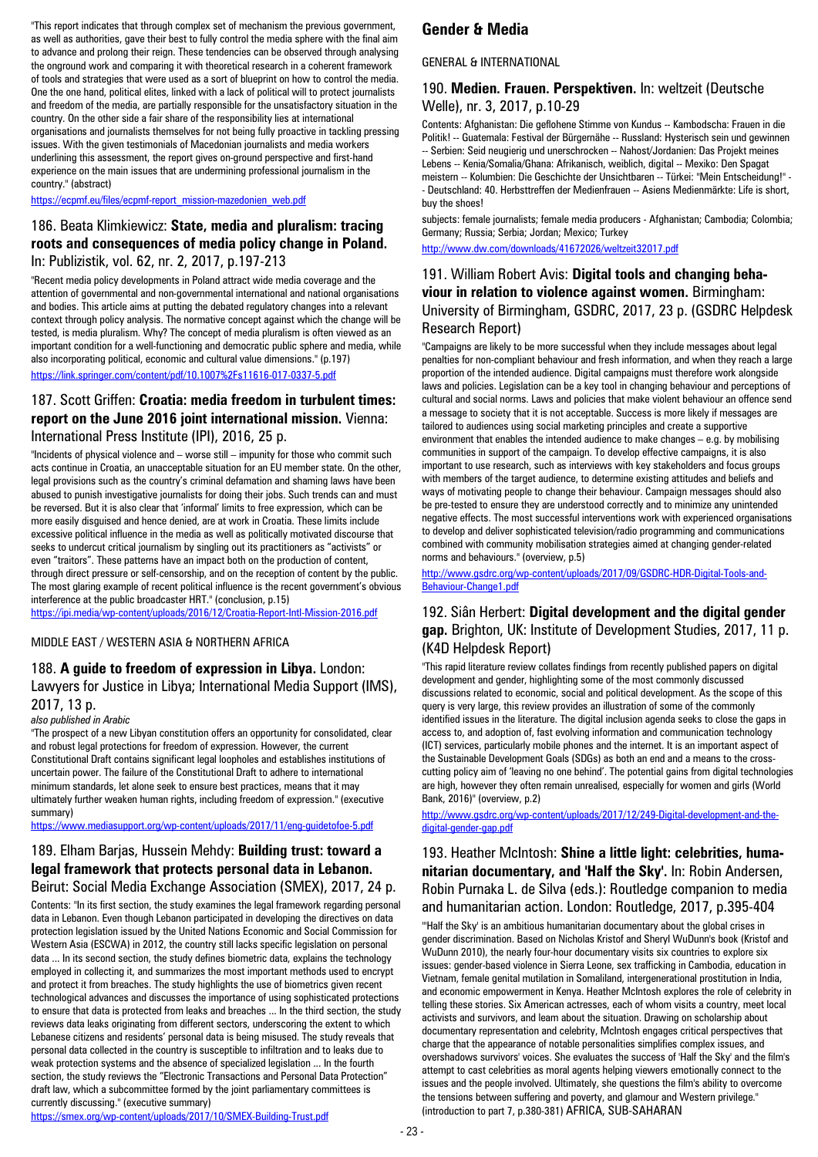"This report indicates that through complex set of mechanism the previous government, as well as authorities, gave their best to fully control the media sphere with the final aim to advance and prolong their reign. These tendencies can be observed through analysing the onground work and comparing it with theoretical research in a coherent framework of tools and strategies that were used as a sort of blueprint on how to control the media. One the one hand, political elites, linked with a lack of political will to protect journalists and freedom of the media, are partially responsible for the unsatisfactory situation in the country. On the other side a fair share of the responsibility lies at international organisations and journalists themselves for not being fully proactive in tackling pressing issues. With the given testimonials of Macedonian journalists and media workers underlining this assessment, the report gives on-ground perspective and first-hand experience on the main issues that are undermining professional journalism in the country." (abstract)

[https://ecpmf.eu/files/ecpmf-report\\_mission-mazedonien\\_web.pdf](https://ecpmf.eu/files/ecpmf-report_mission-mazedonien_web.pdf)

## 186. Beata Klimkiewicz: **State, media and pluralism: tracing roots and consequences of media policy change in Poland.**  In: Publizistik, vol. 62, nr. 2, 2017, p.197-213

"Recent media policy developments in Poland attract wide media coverage and the attention of governmental and non-governmental international and national organisations and bodies. This article aims at putting the debated regulatory changes into a relevant context through policy analysis. The normative concept against which the change will be tested, is media pluralism. Why? The concept of media pluralism is often viewed as an important condition for a well-functioning and democratic public sphere and media, while also incorporating political, economic and cultural value dimensions." (p.197)

<https://link.springer.com/content/pdf/10.1007%2Fs11616-017-0337-5.pdf>

# 187. Scott Griffen: **Croatia: media freedom in turbulent times: report on the June 2016 joint international mission.** Vienna: International Press Institute (IPI), 2016, 25 p.

"Incidents of physical violence and – worse still – impunity for those who commit such acts continue in Croatia, an unacceptable situation for an EU member state. On the other, legal provisions such as the country's criminal defamation and shaming laws have been abused to punish investigative journalists for doing their jobs. Such trends can and must be reversed. But it is also clear that 'informal' limits to free expression, which can be more easily disguised and hence denied, are at work in Croatia. These limits include excessive political influence in the media as well as politically motivated discourse that seeks to undercut critical journalism by singling out its practitioners as "activists" or even "traitors". These patterns have an impact both on the production of content, through direct pressure or self-censorship, and on the reception of content by the public. The most glaring example of recent political influence is the recent government's obvious interference at the public broadcaster HRT." (conclusion, p.15)

<https://ipi.media/wp-content/uploads/2016/12/Croatia-Report-Intl-Mission-2016.pdf>

#### MIDDLE EAST / WESTERN ASIA & NORTHERN AFRICA

# 188. **A guide to freedom of expression in Libya.** London: Lawyers for Justice in Libya; International Media Support (IMS),

# 2017, 13 p.

*also published in Arabic* "The prospect of a new Libyan constitution offers an opportunity for consolidated, clear and robust legal protections for freedom of expression. However, the current Constitutional Draft contains significant legal loopholes and establishes institutions of uncertain power. The failure of the Constitutional Draft to adhere to international minimum standards, let alone seek to ensure best practices, means that it may ultimately further weaken human rights, including freedom of expression." (executive summary)

<https://www.mediasupport.org/wp-content/uploads/2017/11/eng-guidetofoe-5.pdf>

## 189. Elham Barjas, Hussein Mehdy: **Building trust: toward a legal framework that protects personal data in Lebanon.**  Beirut: Social Media Exchange Association (SMEX), 2017, 24 p.

Contents: "In its first section, the study examines the legal framework regarding personal data in Lebanon. Even though Lebanon participated in developing the directives on data protection legislation issued by the United Nations Economic and Social Commission for Western Asia (ESCWA) in 2012, the country still lacks specific legislation on personal data ... In its second section, the study defines biometric data, explains the technology employed in collecting it, and summarizes the most important methods used to encrypt and protect it from breaches. The study highlights the use of biometrics given recent technological advances and discusses the importance of using sophisticated protections to ensure that data is protected from leaks and breaches ... In the third section, the study reviews data leaks originating from different sectors, underscoring the extent to which Lebanese citizens and residents' personal data is being misused. The study reveals that personal data collected in the country is susceptible to infiltration and to leaks due to weak protection systems and the absence of specialized legislation ... In the fourth section, the study reviews the "Electronic Transactions and Personal Data Protection" draft law, which a subcommittee formed by the joint parliamentary committees is currently discussing." (executive summary)

#### <https://smex.org/wp-content/uploads/2017/10/SMEX-Building-Trust.pdf>

# **Gender & Media**

#### GENERAL & INTERNATIONAL

### 190. **Medien. Frauen. Perspektiven.** In: weltzeit (Deutsche Welle), nr. 3, 2017, p.10-29

Contents: Afghanistan: Die geflohene Stimme von Kundus -- Kambodscha: Frauen in die Politik! -- Guatemala: Festival der Bürgernähe -- Russland: Hysterisch sein und gewinnen -- Serbien: Seid neugierig und unerschrocken -- Nahost/Jordanien: Das Projekt meines Lebens -- Kenia/Somalia/Ghana: Afrikanisch, weiblich, digital -- Mexiko: Den Spagat meistern -- Kolumbien: Die Geschichte der Unsichtbaren -- Türkei: "Mein Entscheidung!" - - Deutschland: 40. Herbsttreffen der Medienfrauen -- Asiens Medienmärkte: Life is short, buy the shoes!

subjects: female journalists; female media producers - Afghanistan; Cambodia; Colombia; Germany; Russia; Serbia; Jordan; Mexico; Turkey

<http://www.dw.com/downloads/41672026/weltzeit32017.pdf>

# 191. William Robert Avis: **Digital tools and changing behaviour in relation to violence against women.** Birmingham: University of Birmingham, GSDRC, 2017, 23 p. (GSDRC Helpdesk Research Report)

"Campaigns are likely to be more successful when they include messages about legal penalties for non-compliant behaviour and fresh information, and when they reach a large proportion of the intended audience. Digital campaigns must therefore work alongside laws and policies. Legislation can be a key tool in changing behaviour and perceptions of cultural and social norms. Laws and policies that make violent behaviour an offence send a message to society that it is not acceptable. Success is more likely if messages are tailored to audiences using social marketing principles and create a supportive environment that enables the intended audience to make changes – e.g. by mobilising communities in support of the campaign. To develop effective campaigns, it is also important to use research, such as interviews with key stakeholders and focus groups with members of the target audience, to determine existing attitudes and beliefs and ways of motivating people to change their behaviour. Campaign messages should also be pre-tested to ensure they are understood correctly and to minimize any unintended negative effects. The most successful interventions work with experienced organisations to develop and deliver sophisticated television/radio programming and communications combined with community mobilisation strategies aimed at changing gender-related norms and behaviours." (overview, p.5)

[http://www.gsdrc.org/wp-content/uploads/2017/09/GSDRC-HDR-Digital-Tools-and-](http://www.gsdrc.org/wp-content/uploads/2017/09/GSDRC-HDR-Digital-Tools-and-Behaviour-Change1.pdf)[Behaviour-Change1.pdf](http://www.gsdrc.org/wp-content/uploads/2017/09/GSDRC-HDR-Digital-Tools-and-Behaviour-Change1.pdf)

# 192. Siân Herbert: **Digital development and the digital gender gap.** Brighton, UK: Institute of Development Studies, 2017, 11 p. (K4D Helpdesk Report)

"This rapid literature review collates findings from recently published papers on digital development and gender, highlighting some of the most commonly discussed discussions related to economic, social and political development. As the scope of this query is very large, this review provides an illustration of some of the commonly identified issues in the literature. The digital inclusion agenda seeks to close the gaps in access to, and adoption of, fast evolving information and communication technology (ICT) services, particularly mobile phones and the internet. It is an important aspect of the Sustainable Development Goals (SDGs) as both an end and a means to the crosscutting policy aim of 'leaving no one behind'. The potential gains from digital technologies are high, however they often remain unrealised, especially for women and girls (World Bank, 2016)" (overview, p.2)

[http://www.gsdrc.org/wp-content/uploads/2017/12/249-Digital-development-and-the](http://www.gsdrc.org/wp-content/uploads/2017/12/249-Digital-development-and-the-digital-gender-gap.pdf)[digital-gender-gap.pdf](http://www.gsdrc.org/wp-content/uploads/2017/12/249-Digital-development-and-the-digital-gender-gap.pdf)

# 193. Heather McIntosh: **Shine a little light: celebrities, humanitarian documentary, and 'Half the Sky'.** In: Robin Andersen, Robin Purnaka L. de Silva (eds.): Routledge companion to media and humanitarian action. London: Routledge, 2017, p.395-404

"'Half the Sky' is an ambitious humanitarian documentary about the global crises in gender discrimination. Based on Nicholas Kristof and Sheryl WuDunn's book (Kristof and WuDunn 2010), the nearly four-hour documentary visits six countries to explore six issues: gender-based violence in Sierra Leone, sex trafficking in Cambodia, education in Vietnam, female genital mutilation in Somaliland, intergenerational prostitution in India, and economic empowerment in Kenya. Heather McIntosh explores the role of celebrity in telling these stories. Six American actresses, each of whom visits a country, meet local activists and survivors, and leam about the situation. Drawing on scholarship about documentary representation and celebrity, McIntosh engages critical perspectives that charge that the appearance of notable personalities simplifies complex issues, and overshadows survivors' voices. She evaluates the success of 'Half the Sky' and the film's attempt to cast celebrities as moral agents helping viewers emotionally connect to the issues and the people involved. Ultimately, she questions the film's ability to overcome the tensions between suffering and poverty, and glamour and Western privilege." (introduction to part 7, p.380-381) AFRICA, SUB-SAHARAN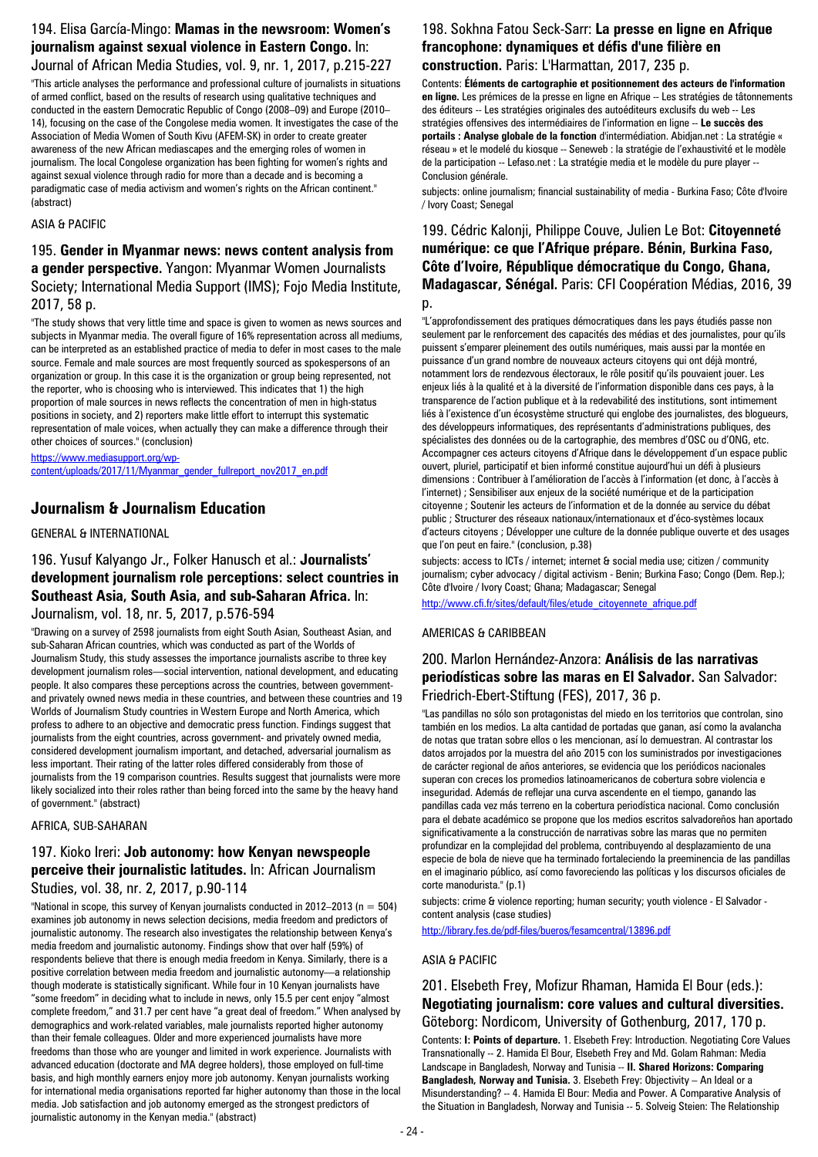# 194. Elisa García-Mingo: **Mamas in the newsroom: Women's journalism against sexual violence in Eastern Congo.** In: Journal of African Media Studies, vol. 9, nr. 1, 2017, p.215-227

"This article analyses the performance and professional culture of journalists in situations of armed conflict, based on the results of research using qualitative techniques and conducted in the eastern Democratic Republic of Congo (2008–09) and Europe (2010– 14), focusing on the case of the Congolese media women. It investigates the case of the Association of Media Women of South Kivu (AFEM-SK) in order to create greater awareness of the new African mediascapes and the emerging roles of women in journalism. The local Congolese organization has been fighting for women's rights and against sexual violence through radio for more than a decade and is becoming a paradigmatic case of media activism and women's rights on the African continent." (abstract)

#### ASIA & PACIFIC

# 195. **Gender in Myanmar news: news content analysis from a gender perspective.** Yangon: Myanmar Women Journalists Society; International Media Support (IMS); Fojo Media Institute, 2017, 58 p.

"The study shows that very little time and space is given to women as news sources and subjects in Myanmar media. The overall figure of 16% representation across all mediums, can be interpreted as an established practice of media to defer in most cases to the male source. Female and male sources are most frequently sourced as spokespersons of an organization or group. In this case it is the organization or group being represented, not the reporter, who is choosing who is interviewed. This indicates that 1) the high proportion of male sources in news reflects the concentration of men in high-status positions in society, and 2) reporters make little effort to interrupt this systematic representation of male voices, when actually they can make a difference through their other choices of sources." (conclusion)

[https://www.mediasupport.org/wp](https://www.mediasupport.org/wp-content/uploads/2017/11/Myanmar_gender_fullreport_nov2017_en.pdf)[content/uploads/2017/11/Myanmar\\_gender\\_fullreport\\_nov2017\\_en.pdf](https://www.mediasupport.org/wp-content/uploads/2017/11/Myanmar_gender_fullreport_nov2017_en.pdf)

# **Journalism & Journalism Education**

GENERAL & INTERNATIONAL

# 196. Yusuf Kalyango Jr., Folker Hanusch et al.: **Journalists' development journalism role perceptions: select countries in Southeast Asia, South Asia, and sub-Saharan Africa.** In: Journalism, vol. 18, nr. 5, 2017, p.576-594

"Drawing on a survey of 2598 journalists from eight South Asian, Southeast Asian, and sub-Saharan African countries, which was conducted as part of the Worlds of Journalism Study, this study assesses the importance journalists ascribe to three key development journalism roles—social intervention, national development, and educating people. It also compares these perceptions across the countries, between governmentand privately owned news media in these countries, and between these countries and 19 Worlds of Journalism Study countries in Western Europe and North America, which profess to adhere to an objective and democratic press function. Findings suggest that journalists from the eight countries, across government- and privately owned media, considered development journalism important, and detached, adversarial journalism as less important. Their rating of the latter roles differed considerably from those of journalists from the 19 comparison countries. Results suggest that journalists were more likely socialized into their roles rather than being forced into the same by the heavy hand of government." (abstract)

### AFRICA, SUB-SAHARAN

# 197. Kioko Ireri: **Job autonomy: how Kenyan newspeople perceive their journalistic latitudes.** In: African Journalism Studies, vol. 38, nr. 2, 2017, p.90-114

"National in scope, this survey of Kenyan journalists conducted in 2012–2013 ( $n = 504$ ) examines job autonomy in news selection decisions, media freedom and predictors of journalistic autonomy. The research also investigates the relationship between Kenya's media freedom and journalistic autonomy. Findings show that over half (59%) of respondents believe that there is enough media freedom in Kenya. Similarly, there is a positive correlation between media freedom and journalistic autonomy—a relationship though moderate is statistically significant. While four in 10 Kenyan journalists have "some freedom" in deciding what to include in news, only 15.5 per cent enjoy "almost complete freedom," and 31.7 per cent have "a great deal of freedom." When analysed by demographics and work-related variables, male journalists reported higher autonomy than their female colleagues. Older and more experienced journalists have more freedoms than those who are younger and limited in work experience. Journalists with advanced education (doctorate and MA degree holders), those employed on full-time basis, and high monthly earners enjoy more job autonomy. Kenyan journalists working for international media organisations reported far higher autonomy than those in the local media. Job satisfaction and job autonomy emerged as the strongest predictors of journalistic autonomy in the Kenyan media." (abstract)

# 198. Sokhna Fatou Seck-Sarr: **La presse en ligne en Afrique francophone: dynamiques et défis d'une filière en construction.** Paris: L'Harmattan, 2017, 235 p.

Contents: **Éléments de cartographie et positionnement des acteurs de l'information en ligne.** Les prémices de la presse en ligne en Afrique -- Les stratégies de tâtonnements des éditeurs -- Les stratégies originales des autoéditeurs exclusifs du web -- Les stratégies offensives des intermédiaires de l'information en ligne -- **Le succès des portails : Analyse globale de la fonction** d'intermédiation. Abidjan.net : La stratégie « réseau » et le modelé du kiosque -- Seneweb : la stratégie de l'exhaustivité et le modèle de la participation -- Lefaso.net : La stratégie media et le modèle du pure player -- Conclusion générale.

subjects: online journalism; financial sustainability of media - Burkina Faso; Côte d'Ivoire / Ivory Coast; Senegal

## 199. Cédric Kalonji, Philippe Couve, Julien Le Bot: **Citoyenneté numérique: ce que l'Afrique prépare. Bénin, Burkina Faso, Côte d'Ivoire, République démocratique du Congo, Ghana, Madagascar, Sénégal.** Paris: CFI Coopération Médias, 2016, 39  $D.$

"L'approfondissement des pratiques démocratiques dans les pays étudiés passe non seulement par le renforcement des capacités des médias et des journalistes, pour qu'ils puissent s'emparer pleinement des outils numériques, mais aussi par la montée en puissance d'un grand nombre de nouveaux acteurs citoyens qui ont déjà montré, notamment lors de rendezvous électoraux, le rôle positif qu'ils pouvaient jouer. Les enjeux liés à la qualité et à la diversité de l'information disponible dans ces pays, à la transparence de l'action publique et à la redevabilité des institutions, sont intimement liés à l'existence d'un écosystème structuré qui englobe des journalistes, des blogueurs, des développeurs informatiques, des représentants d'administrations publiques, des spécialistes des données ou de la cartographie, des membres d'OSC ou d'ONG, etc. Accompagner ces acteurs citoyens d'Afrique dans le développement d'un espace public ouvert, pluriel, participatif et bien informé constitue aujourd'hui un défi à plusieurs dimensions : Contribuer à l'amélioration de l'accès à l'information (et donc, à l'accès à l'internet) ; Sensibiliser aux enjeux de la société numérique et de la participation citoyenne ; Soutenir les acteurs de l'information et de la donnée au service du débat public ; Structurer des réseaux nationaux/internationaux et d'éco-systèmes locaux d'acteurs citoyens ; Développer une culture de la donnée publique ouverte et des usages que l'on peut en faire." (conclusion, p.38)

subjects: access to ICTs / internet; internet & social media use; citizen / community journalism; cyber advocacy / digital activism - Benin; Burkina Faso; Congo (Dem. Rep.); Côte d'Ivoire / Ivory Coast; Ghana; Madagascar; Senegal

[http://www.cfi.fr/sites/default/files/etude\\_citoyennete\\_afrique.pdf](http://www.cfi.fr/sites/default/files/etude_citoyennete_afrique.pdf)

#### AMERICAS & CARIBBEAN

# 200. Marlon Hernández-Anzora: **Análisis de las narrativas periodísticas sobre las maras en El Salvador.** San Salvador: Friedrich-Ebert-Stiftung (FES), 2017, 36 p.

"Las pandillas no sólo son protagonistas del miedo en los territorios que controlan, sino también en los medios. La alta cantidad de portadas que ganan, así como la avalancha de notas que tratan sobre ellos o les mencionan, así lo demuestran. Al contrastar los datos arrojados por la muestra del año 2015 con los suministrados por investigaciones de carácter regional de años anteriores, se evidencia que los periódicos nacionales superan con creces los promedios latinoamericanos de cobertura sobre violencia e inseguridad. Además de reflejar una curva ascendente en el tiempo, ganando las pandillas cada vez más terreno en la cobertura periodística nacional. Como conclusión para el debate académico se propone que los medios escritos salvadoreños han aportado significativamente a la construcción de narrativas sobre las maras que no permiten profundizar en la complejidad del problema, contribuyendo al desplazamiento de una especie de bola de nieve que ha terminado fortaleciendo la preeminencia de las pandillas en el imaginario público, así como favoreciendo las políticas y los discursos oficiales de corte manodurista." (p.1)

subjects: crime & violence reporting; human security; youth violence - El Salvador content analysis (case studies)

<http://library.fes.de/pdf-files/bueros/fesamcentral/13896.pdf>

### ASIA & PACIFIC

## 201. Elsebeth Frey, Mofizur Rhaman, Hamida El Bour (eds.): **Negotiating journalism: core values and cultural diversities.**  Göteborg: Nordicom, University of Gothenburg, 2017, 170 p.

Contents: **I: Points of departure.** 1. Elsebeth Frey: Introduction. Negotiating Core Values Transnationally -- 2. Hamida El Bour, Elsebeth Frey and Md. Golam Rahman: Media Landscape in Bangladesh, Norway and Tunisia -- **II. Shared Horizons: Comparing Bangladesh, Norway and Tunisia.** 3. Elsebeth Frey: Objectivity – An Ideal or a Misunderstanding? -- 4. Hamida El Bour: Media and Power. A Comparative Analysis of the Situation in Bangladesh, Norway and Tunisia -- 5. Solveig Steien: The Relationship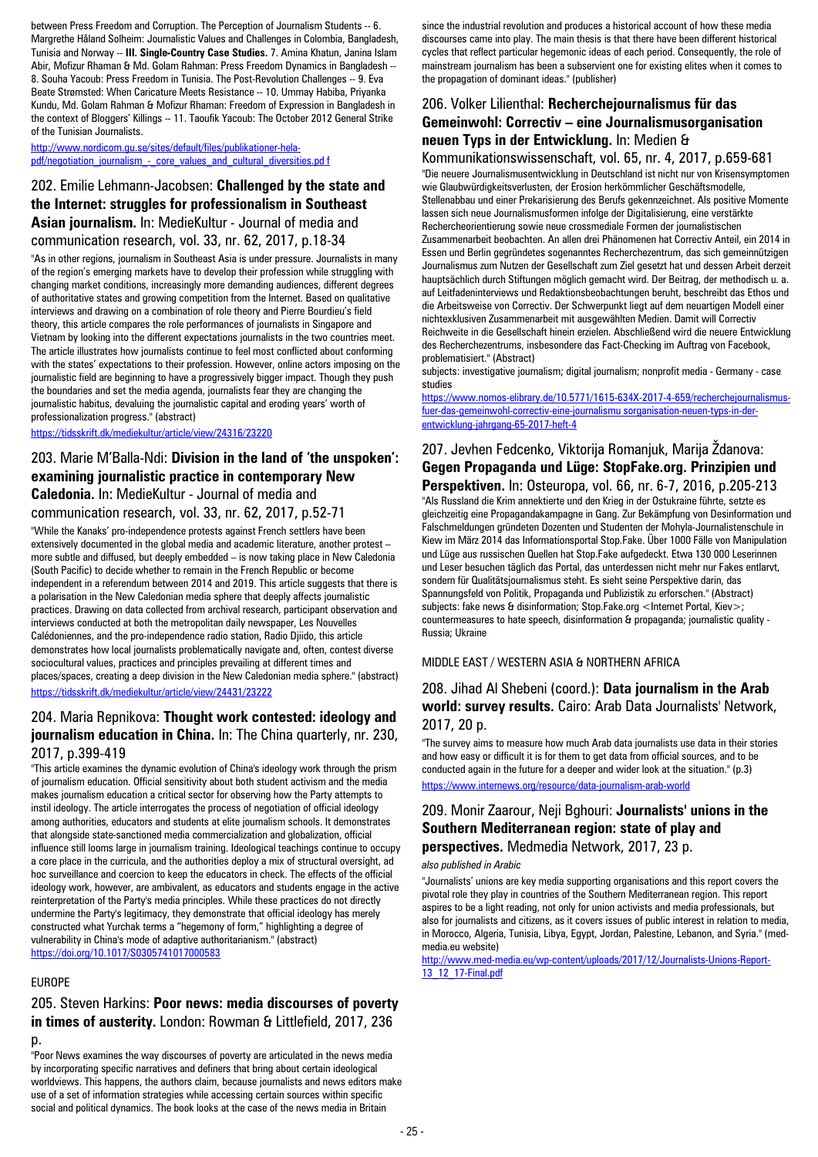between Press Freedom and Corruption. The Perception of Journalism Students -- 6. Margrethe Håland Solheim: Journalistic Values and Challenges in Colombia, Bangladesh, Tunisia and Norway -- **III. Single-Country Case Studies.** 7. Amina Khatun, Janina Islam Abir, Mofizur Rhaman & Md. Golam Rahman: Press Freedom Dynamics in Bangladesh -- 8. Souha Yacoub: Press Freedom in Tunisia. The Post-Revolution Challenges -- 9. Eva Beate Strømsted: When Caricature Meets Resistance -- 10. Ummay Habiba, Priyanka Kundu, Md. Golam Rahman & Mofizur Rhaman: Freedom of Expression in Bangladesh in the context of Bloggers' Killings -- 11. Taoufik Yacoub: The October 2012 General Strike of the Tunisian Journalists.

[http://www.nordicom.gu.se/sites/default/files/publikationer-hela](http://www.nordicom.gu.se/sites/default/files/publikationer-hela-pdf/negotiation_journalism_-_core_values_and_cultural_diversities.pd%20f)[pdf/negotiation\\_journalism\\_-\\_core\\_values\\_and\\_cultural\\_diversities.pd f](http://www.nordicom.gu.se/sites/default/files/publikationer-hela-pdf/negotiation_journalism_-_core_values_and_cultural_diversities.pd%20f)

# 202. Emilie Lehmann-Jacobsen: **Challenged by the state and the Internet: struggles for professionalism in Southeast Asian journalism.** In: MedieKultur - Journal of media and communication research, vol. 33, nr. 62, 2017, p.18-34

"As in other regions, journalism in Southeast Asia is under pressure. Journalists in many of the region's emerging markets have to develop their profession while struggling with changing market conditions, increasingly more demanding audiences, different degrees of authoritative states and growing competition from the Internet. Based on qualitative interviews and drawing on a combination of role theory and Pierre Bourdieu's field theory, this article compares the role performances of journalists in Singapore and Vietnam by looking into the different expectations journalists in the two countries meet. The article illustrates how journalists continue to feel most conflicted about conforming with the states' expectations to their profession. However, online actors imposing on the journalistic field are beginning to have a progressively bigger impact. Though they push the boundaries and set the media agenda, journalists fear they are changing the journalistic habitus, devaluing the journalistic capital and eroding years' worth of professionalization progress." (abstract)

<https://tidsskrift.dk/mediekultur/article/view/24316/23220>

# 203. Marie M'Balla-Ndi: **Division in the land of 'the unspoken': examining journalistic practice in contemporary New Caledonia.** In: MedieKultur - Journal of media and communication research, vol. 33, nr. 62, 2017, p.52-71

"While the Kanaks' pro-independence protests against French settlers have been extensively documented in the global media and academic literature, another protest – more subtle and diffused, but deeply embedded – is now taking place in New Caledonia (South Pacific) to decide whether to remain in the French Republic or become independent in a referendum between 2014 and 2019. This article suggests that there is a polarisation in the New Caledonian media sphere that deeply affects journalistic practices. Drawing on data collected from archival research, participant observation and interviews conducted at both the metropolitan daily newspaper, Les Nouvelles Calédoniennes, and the pro-independence radio station, Radio Djiido, this article demonstrates how local journalists problematically navigate and, often, contest diverse sociocultural values, practices and principles prevailing at different times and places/spaces, creating a deep division in the New Caledonian media sphere." (abstract) <https://tidsskrift.dk/mediekultur/article/view/24431/23222>

# 204. Maria Repnikova: **Thought work contested: ideology and journalism education in China.** In: The China quarterly, nr. 230, 2017, p.399-419

"This article examines the dynamic evolution of China's ideology work through the prism of journalism education. Official sensitivity about both student activism and the media makes journalism education a critical sector for observing how the Party attempts to instil ideology. The article interrogates the process of negotiation of official ideology among authorities, educators and students at elite journalism schools. It demonstrates that alongside state-sanctioned media commercialization and globalization, official influence still looms large in journalism training. Ideological teachings continue to occupy a core place in the curricula, and the authorities deploy a mix of structural oversight, ad hoc surveillance and coercion to keep the educators in check. The effects of the official ideology work, however, are ambivalent, as educators and students engage in the active reinterpretation of the Party's media principles. While these practices do not directly undermine the Party's legitimacy, they demonstrate that official ideology has merely constructed what Yurchak terms a "hegemony of form," highlighting a degree of vulnerability in China's mode of adaptive authoritarianism." (abstract) <https://doi.org/10.1017/S0305741017000583>

### EUROPE

205. Steven Harkins: **Poor news: media discourses of poverty in times of austerity.** London: Rowman & Littlefield, 2017, 236 p.

"Poor News examines the way discourses of poverty are articulated in the news media by incorporating specific narratives and definers that bring about certain ideological worldviews. This happens, the authors claim, because journalists and news editors make use of a set of information strategies while accessing certain sources within specific social and political dynamics. The book looks at the case of the news media in Britain

since the industrial revolution and produces a historical account of how these media discourses came into play. The main thesis is that there have been different historical cycles that reflect particular hegemonic ideas of each period. Consequently, the role of mainstream journalism has been a subservient one for existing elites when it comes to the propagation of dominant ideas." (publisher)

# 206. Volker Lilienthal: **Recherchejournalismus für das Gemeinwohl: Correctiv – eine Journalismusorganisation neuen Typs in der Entwicklung.** In: Medien &

Kommunikationswissenschaft, vol. 65, nr. 4, 2017, p.659-681 "Die neuere Journalismusentwicklung in Deutschland ist nicht nur von Krisensymptomen wie Glaubwürdigkeitsverlusten, der Erosion herkömmlicher Geschäftsmodelle, Stellenabbau und einer Prekarisierung des Berufs gekennzeichnet. Als positive Momente lassen sich neue Journalismusformen infolge der Digitalisierung, eine verstärkte Rechercheorientierung sowie neue crossmediale Formen der journalistischen Zusammenarbeit beobachten. An allen drei Phänomenen hat Correctiv Anteil, ein 2014 in Essen und Berlin gegründetes sogenanntes Recherchezentrum, das sich gemeinnützigen Journalismus zum Nutzen der Gesellschaft zum Ziel gesetzt hat und dessen Arbeit derzeit hauptsächlich durch Stiftungen möglich gemacht wird. Der Beitrag, der methodisch u. a. auf Leitfadeninterviews und Redaktionsbeobachtungen beruht, beschreibt das Ethos und die Arbeitsweise von Correctiv. Der Schwerpunkt liegt auf dem neuartigen Modell einer nichtexklusiven Zusammenarbeit mit ausgewählten Medien. Damit will Correctiv Reichweite in die Gesellschaft hinein erzielen. Abschließend wird die neuere Entwicklung des Recherchezentrums, insbesondere das Fact-Checking im Auftrag von Facebook, problematisiert." (Abstract)

subjects: investigative journalism; digital journalism; nonprofit media - Germany - case studies

[https://www.nomos-elibrary.de/10.5771/1615-634X-2017-4-659/recherchejournalismus](https://www.nomos-elibrary.de/10.5771/1615-634X-2017-4-659/recherchejournalismus-fuer-das-gemeinwohl-correctiv-eine-journalismu%20sorganisation-neuen-typs-in-der-entwicklung-jahrgang-65-2017-heft-4)[fuer-das-gemeinwohl-correctiv-eine-journalismu sorganisation-neuen-typs-in-der](https://www.nomos-elibrary.de/10.5771/1615-634X-2017-4-659/recherchejournalismus-fuer-das-gemeinwohl-correctiv-eine-journalismu%20sorganisation-neuen-typs-in-der-entwicklung-jahrgang-65-2017-heft-4)[entwicklung-jahrgang-65-2017-heft-4](https://www.nomos-elibrary.de/10.5771/1615-634X-2017-4-659/recherchejournalismus-fuer-das-gemeinwohl-correctiv-eine-journalismu%20sorganisation-neuen-typs-in-der-entwicklung-jahrgang-65-2017-heft-4)

# 207. Jevhen Fedcenko, Viktorija Romanjuk, Marija Ždanova: **Gegen Propaganda und Lüge: StopFake.org. Prinzipien und**

**Perspektiven.** In: Osteuropa, vol. 66, nr. 6-7, 2016, p.205-213 "Als Russland die Krim annektierte und den Krieg in der Ostukraine führte, setzte es gleichzeitig eine Propagandakampagne in Gang. Zur Bekämpfung von Desinformation und Falschmeldungen gründeten Dozenten und Studenten der Mohyla-Journalistenschule in Kiew im März 2014 das Informationsportal Stop.Fake. Über 1000 Fälle von Manipulation und Lüge aus russischen Quellen hat Stop.Fake aufgedeckt. Etwa 130 000 Leserinnen und Leser besuchen täglich das Portal, das unterdessen nicht mehr nur Fakes entlarvt, sondern für Qualitätsjournalismus steht. Es sieht seine Perspektive darin, das Spannungsfeld von Politik, Propaganda und Publizistik zu erforschen." (Abstract) subjects: fake news & disinformation; Stop.Fake.org <Internet Portal, Kiev>; countermeasures to hate speech, disinformation & propaganda; journalistic quality - Russia; Ukraine

### MIDDLE EAST / WESTERN ASIA & NORTHERN AFRICA

# 208. Jihad Al Shebeni (coord.): **Data journalism in the Arab world: survey results.** Cairo: Arab Data Journalists' Network, 2017, 20 p.

"The survey aims to measure how much Arab data journalists use data in their stories and how easy or difficult it is for them to get data from official sources, and to be conducted again in the future for a deeper and wider look at the situation." (p.3) <https://www.internews.org/resource/data-journalism-arab-world>

## 209. Monir Zaarour, Neji Bghouri: **Journalists' unions in the Southern Mediterranean region: state of play and perspectives.** Medmedia Network, 2017, 23 p.

*also published in Arabic*

"Journalists' unions are key media supporting organisations and this report covers the pivotal role they play in countries of the Southern Mediterranean region. This report aspires to be a light reading, not only for union activists and media professionals, but also for journalists and citizens, as it covers issues of public interest in relation to media, in Morocco, Algeria, Tunisia, Libya, Egypt, Jordan, Palestine, Lebanon, and Syria." (medmedia.eu website)

[http://www.med-media.eu/wp-content/uploads/2017/12/Journalists-Unions-Report-](http://www.med-media.eu/wp-content/uploads/2017/12/Journalists-Unions-Report-13_12_17-Final.pdf)[13\\_12\\_17-Final.pdf](http://www.med-media.eu/wp-content/uploads/2017/12/Journalists-Unions-Report-13_12_17-Final.pdf)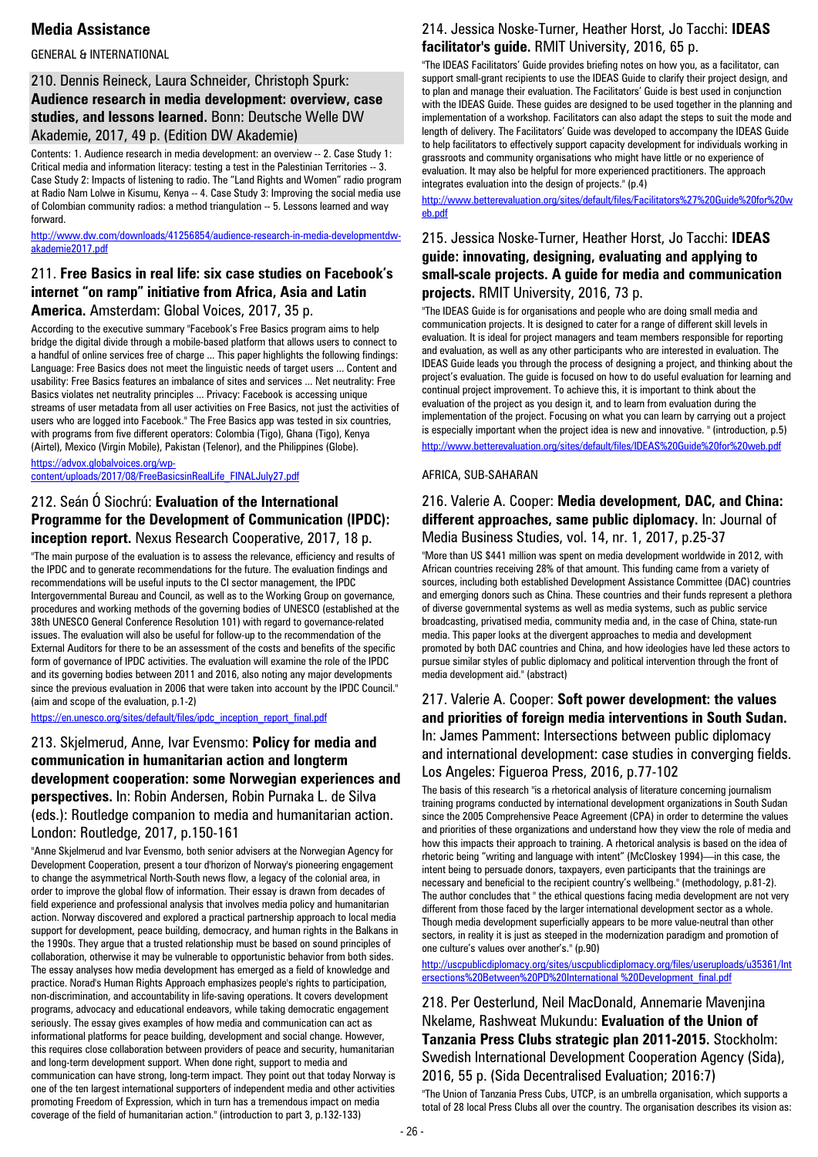# **Media Assistance**

GENERAL & INTERNATIONAL

210. Dennis Reineck, Laura Schneider, Christoph Spurk: **Audience research in media development: overview, case studies, and lessons learned.** Bonn: Deutsche Welle DW Akademie, 2017, 49 p. (Edition DW Akademie)

Contents: 1. Audience research in media development: an overview -- 2. Case Study 1: Critical media and information literacy: testing a test in the Palestinian Territories -- 3. Case Study 2: Impacts of listening to radio. The "Land Rights and Women" radio program at Radio Nam Lolwe in Kisumu, Kenya -- 4. Case Study 3: Improving the social media use of Colombian community radios: a method triangulation -- 5. Lessons learned and way forward.

[http://www.dw.com/downloads/41256854/audience-research-in-media-developmentdw](http://www.dw.com/downloads/41256854/audience-research-in-media-developmentdw-akademie2017.pdf)[akademie2017.pdf](http://www.dw.com/downloads/41256854/audience-research-in-media-developmentdw-akademie2017.pdf)

# 211. **Free Basics in real life: six case studies on Facebook's internet "on ramp" initiative from Africa, Asia and Latin America.** Amsterdam: Global Voices, 2017, 35 p.

According to the executive summary "Facebook's Free Basics program aims to help bridge the digital divide through a mobile-based platform that allows users to connect to a handful of online services free of charge ... This paper highlights the following findings: Language: Free Basics does not meet the linguistic needs of target users ... Content and usability: Free Basics features an imbalance of sites and services ... Net neutrality: Free Basics violates net neutrality principles ... Privacy: Facebook is accessing unique streams of user metadata from all user activities on Free Basics, not just the activities of users who are logged into Facebook." The Free Basics app was tested in six countries, with programs from five different operators: Colombia (Tigo), Ghana (Tigo), Kenya (Airtel), Mexico (Virgin Mobile), Pakistan (Telenor), and the Philippines (Globe). [https://advox.globalvoices.org/wp-](https://advox.globalvoices.org/wp-content/uploads/2017/08/FreeBasicsinRealLife_FINALJuly27.pdf)

[content/uploads/2017/08/FreeBasicsinRealLife\\_FINALJuly27.pdf](https://advox.globalvoices.org/wp-content/uploads/2017/08/FreeBasicsinRealLife_FINALJuly27.pdf)

# 212. Seán Ó Siochrú: **Evaluation of the International Programme for the Development of Communication (IPDC): inception report.** Nexus Research Cooperative, 2017, 18 p.

"The main purpose of the evaluation is to assess the relevance, efficiency and results of the IPDC and to generate recommendations for the future. The evaluation findings and recommendations will be useful inputs to the CI sector management, the IPDC Intergovernmental Bureau and Council, as well as to the Working Group on governance, procedures and working methods of the governing bodies of UNESCO (established at the 38th UNESCO General Conference Resolution 101) with regard to governance-related issues. The evaluation will also be useful for follow-up to the recommendation of the External Auditors for there to be an assessment of the costs and benefits of the specific form of governance of IPDC activities. The evaluation will examine the role of the IPDC and its governing bodies between 2011 and 2016, also noting any major developments since the previous evaluation in 2006 that were taken into account by the IPDC Council." (aim and scope of the evaluation, p.1-2)

[https://en.unesco.org/sites/default/files/ipdc\\_inception\\_report\\_final.pdf](https://en.unesco.org/sites/default/files/ipdc_inception_report_final.pdf)

213. Skjelmerud, Anne, Ivar Evensmo: **Policy for media and communication in humanitarian action and longterm development cooperation: some Norwegian experiences and perspectives.** In: Robin Andersen, Robin Purnaka L. de Silva (eds.): Routledge companion to media and humanitarian action. London: Routledge, 2017, p.150-161

"Anne Skjelmerud and Ivar Evensmo, both senior advisers at the Norwegian Agency for Development Cooperation, present a tour d'horizon of Norway's pioneering engagement to change the asymmetrical North-South news flow, a legacy of the colonial area, in order to improve the global flow of information. Their essay is drawn from decades of field experience and professional analysis that involves media policy and humanitarian action. Norway discovered and explored a practical partnership approach to local media support for development, peace building, democracy, and human rights in the Balkans in the 1990s. They argue that a trusted relationship must be based on sound principles of collaboration, otherwise it may be vulnerable to opportunistic behavior from both sides. The essay analyses how media development has emerged as a field of knowledge and practice. Norad's Human Rights Approach emphasizes people's rights to participation, non-discrimination, and accountability in life-saving operations. It covers development programs, advocacy and educational endeavors, while taking democratic engagement seriously. The essay gives examples of how media and communication can act as informational platforms for peace building, development and social change. However, this requires close collaboration between providers of peace and security, humanitarian and long-term development support. When done right, support to media and communication can have strong, long-term impact. They point out that today Norway is one of the ten largest international supporters of independent media and other activities promoting Freedom of Expression, which in turn has a tremendous impact on media coverage of the field of humanitarian action." (introduction to part 3, p.132-133)

# 214. Jessica Noske-Turner, Heather Horst, Jo Tacchi: **IDEAS facilitator's guide.** RMIT University, 2016, 65 p.

"The IDEAS Facilitators' Guide provides briefing notes on how you, as a facilitator, can support small-grant recipients to use the IDEAS Guide to clarify their project design, and to plan and manage their evaluation. The Facilitators' Guide is best used in conjunction with the IDEAS Guide. These guides are designed to be used together in the planning and implementation of a workshop. Facilitators can also adapt the steps to suit the mode and length of delivery. The Facilitators' Guide was developed to accompany the IDEAS Guide to help facilitators to effectively support capacity development for individuals working in grassroots and community organisations who might have little or no experience of evaluation. It may also be helpful for more experienced practitioners. The approach integrates evaluation into the design of projects." (p.4)

[http://www.betterevaluation.org/sites/default/files/Facilitators%27%20Guide%20for%20w](http://www.betterevaluation.org/sites/default/files/Facilitators%27%20Guide%20for%20web.pdf) [eb.pdf](http://www.betterevaluation.org/sites/default/files/Facilitators%27%20Guide%20for%20web.pdf)

# 215. Jessica Noske-Turner, Heather Horst, Jo Tacchi: **IDEAS guide: innovating, designing, evaluating and applying to small-scale projects. A guide for media and communication projects.** RMIT University, 2016, 73 p.

"The IDEAS Guide is for organisations and people who are doing small media and communication projects. It is designed to cater for a range of different skill levels in evaluation. It is ideal for project managers and team members responsible for reporting and evaluation, as well as any other participants who are interested in evaluation. The IDEAS Guide leads you through the process of designing a project, and thinking about the project's evaluation. The guide is focused on how to do useful evaluation for learning and continual project improvement. To achieve this, it is important to think about the evaluation of the project as you design it, and to learn from evaluation during the implementation of the project. Focusing on what you can learn by carrying out a project is especially important when the project idea is new and innovative. " (introduction, p.5) <http://www.betterevaluation.org/sites/default/files/IDEAS%20Guide%20for%20web.pdf>

#### AFRICA, SUB-SAHARAN

# 216. Valerie A. Cooper: **Media development, DAC, and China: different approaches, same public diplomacy.** In: Journal of Media Business Studies, vol. 14, nr. 1, 2017, p.25-37

"More than US \$441 million was spent on media development worldwide in 2012, with African countries receiving 28% of that amount. This funding came from a variety of sources, including both established Development Assistance Committee (DAC) countries and emerging donors such as China. These countries and their funds represent a plethora of diverse governmental systems as well as media systems, such as public service broadcasting, privatised media, community media and, in the case of China, state-run media. This paper looks at the divergent approaches to media and development promoted by both DAC countries and China, and how ideologies have led these actors to pursue similar styles of public diplomacy and political intervention through the front of media development aid." (abstract)

# 217. Valerie A. Cooper: **Soft power development: the values and priorities of foreign media interventions in South Sudan.**  In: James Pamment: Intersections between public diplomacy and international development: case studies in converging fields. Los Angeles: Figueroa Press, 2016, p.77-102

The basis of this research "is a rhetorical analysis of literature concerning journalism training programs conducted by international development organizations in South Sudan since the 2005 Comprehensive Peace Agreement (CPA) in order to determine the values and priorities of these organizations and understand how they view the role of media and how this impacts their approach to training. A rhetorical analysis is based on the idea of rhetoric being "writing and language with intent" (McCloskey 1994)—in this case, the intent being to persuade donors, taxpayers, even participants that the trainings are necessary and beneficial to the recipient country's wellbeing." (methodology, p.81-2). The author concludes that " the ethical questions facing media development are not very different from those faced by the larger international development sector as a whole. Though media development superficially appears to be more value-neutral than other sectors, in reality it is just as steeped in the modernization paradigm and promotion of one culture's values over another's." (p.90)

[http://uscpublicdiplomacy.org/sites/uscpublicdiplomacy.org/files/useruploads/u35361/Int](http://uscpublicdiplomacy.org/sites/uscpublicdiplomacy.org/files/useruploads/u35361/Intersections%20Between%20PD%20International%20%20Development_final.pdf) [ersections%20Between%20PD%20International %20Development\\_final.pdf](http://uscpublicdiplomacy.org/sites/uscpublicdiplomacy.org/files/useruploads/u35361/Intersections%20Between%20PD%20International%20%20Development_final.pdf)

# 218. Per Oesterlund, Neil MacDonald, Annemarie Mavenjina Nkelame, Rashweat Mukundu: **Evaluation of the Union of Tanzania Press Clubs strategic plan 2011-2015.** Stockholm: Swedish International Development Cooperation Agency (Sida), 2016, 55 p. (Sida Decentralised Evaluation; 2016:7)

"The Union of Tanzania Press Cubs, UTCP, is an umbrella organisation, which supports a total of 28 local Press Clubs all over the country. The organisation describes its vision as: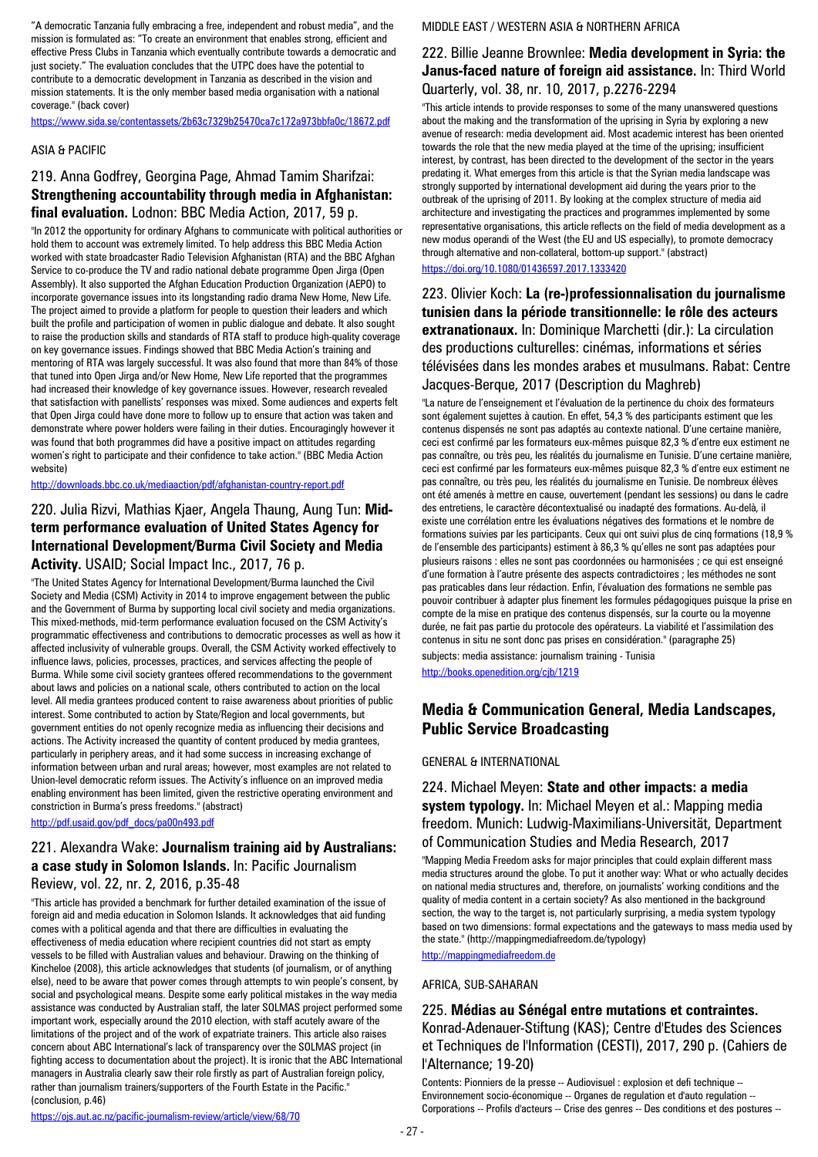"A democratic Tanzania fully embracing a free, independent and robust media", and the mission is formulated as: "To create an environment that enables strong, efficient and effective Press Clubs in Tanzania which eventually contribute towards a democratic and just society." The evaluation concludes that the UTPC does have the potential to contribute to a democratic development in Tanzania as described in the vision and mission statements. It is the only member based media organisation with a national coverage." (back cover)

<https://www.sida.se/contentassets/2b63c7329b25470ca7c172a973bbfa0c/18672.pdf>

#### ASIA & PACIFIC

## 219. Anna Godfrey, Georgina Page, Ahmad Tamim Sharifzai: **Strengthening accountability through media in Afghanistan: final evaluation.** Lodnon: BBC Media Action, 2017, 59 p.

"In 2012 the opportunity for ordinary Afghans to communicate with political authorities or hold them to account was extremely limited. To help address this BBC Media Action worked with state broadcaster Radio Television Afghanistan (RTA) and the BBC Afghan Service to co-produce the TV and radio national debate programme Open Jirga (Open Assembly). It also supported the Afghan Education Production Organization (AEPO) to incorporate governance issues into its longstanding radio drama New Home, New Life. The project aimed to provide a platform for people to question their leaders and which built the profile and participation of women in public dialogue and debate. It also sought to raise the production skills and standards of RTA staff to produce high-quality coverage on key governance issues. Findings showed that BBC Media Action's training and mentoring of RTA was largely successful. It was also found that more than 84% of those that tuned into Open Jirga and/or New Home, New Life reported that the programmes had increased their knowledge of key governance issues. However, research revealed that satisfaction with panellists' responses was mixed. Some audiences and experts felt that Open Jirga could have done more to follow up to ensure that action was taken and demonstrate where power holders were failing in their duties. Encouragingly however it was found that both programmes did have a positive impact on attitudes regarding women's right to participate and their confidence to take action." (BBC Media Action website)

<http://downloads.bbc.co.uk/mediaaction/pdf/afghanistan-country-report.pdf>

# 220. Julia Rizvi, Mathias Kjaer, Angela Thaung, Aung Tun: **Midterm performance evaluation of United States Agency for International Development/Burma Civil Society and Media Activity.** USAID; Social Impact Inc., 2017, 76 p.

"The United States Agency for International Development/Burma launched the Civil Society and Media (CSM) Activity in 2014 to improve engagement between the public and the Government of Burma by supporting local civil society and media organizations. This mixed-methods, mid-term performance evaluation focused on the CSM Activity's programmatic effectiveness and contributions to democratic processes as well as how it affected inclusivity of vulnerable groups. Overall, the CSM Activity worked effectively to influence laws, policies, processes, practices, and services affecting the people of Burma. While some civil society grantees offered recommendations to the government about laws and policies on a national scale, others contributed to action on the local level. All media grantees produced content to raise awareness about priorities of public interest. Some contributed to action by State/Region and local governments, but government entities do not openly recognize media as influencing their decisions and actions. The Activity increased the quantity of content produced by media grantees, particularly in periphery areas, and it had some success in increasing exchange of information between urban and rural areas; however, most examples are not related to Union-level democratic reform issues. The Activity's influence on an improved media enabling environment has been limited, given the restrictive operating environment and constriction in Burma's press freedoms." (abstract)

[http://pdf.usaid.gov/pdf\\_docs/pa00n493.pdf](http://pdf.usaid.gov/pdf_docs/pa00n493.pdf)

## 221. Alexandra Wake: **Journalism training aid by Australians: a case study in Solomon Islands.** In: Pacific Journalism Review, vol. 22, nr. 2, 2016, p.35-48

"This article has provided a benchmark for further detailed examination of the issue of foreign aid and media education in Solomon Islands. It acknowledges that aid funding comes with a political agenda and that there are difficulties in evaluating the effectiveness of media education where recipient countries did not start as empty vessels to be filled with Australian values and behaviour. Drawing on the thinking of Kincheloe (2008), this article acknowledges that students (of journalism, or of anything else), need to be aware that power comes through attempts to win people's consent, by social and psychological means. Despite some early political mistakes in the way media assistance was conducted by Australian staff, the later SOLMAS project performed some important work, especially around the 2010 election, with staff acutely aware of the limitations of the project and of the work of expatriate trainers. This article also raises concern about ABC International's lack of transparency over the SOLMAS project (in fighting access to documentation about the project). It is ironic that the ABC International managers in Australia clearly saw their role firstly as part of Australian foreign policy, rather than journalism trainers/supporters of the Fourth Estate in the Pacific.' (conclusion, p.46)

<https://ojs.aut.ac.nz/pacific-journalism-review/article/view/68/70>

MIDDLE EAST / WESTERN ASIA & NORTHERN AFRICA

### 222. Billie Jeanne Brownlee: **Media development in Syria: the Janus-faced nature of foreign aid assistance.** In: Third World Quarterly, vol. 38, nr. 10, 2017, p.2276-2294

"This article intends to provide responses to some of the many unanswered questions about the making and the transformation of the uprising in Syria by exploring a new avenue of research: media development aid. Most academic interest has been oriented towards the role that the new media played at the time of the uprising; insufficient interest, by contrast, has been directed to the development of the sector in the years predating it. What emerges from this article is that the Syrian media landscape was strongly supported by international development aid during the years prior to the outbreak of the uprising of 2011. By looking at the complex structure of media aid architecture and investigating the practices and programmes implemented by some representative organisations, this article reflects on the field of media development as a new modus operandi of the West (the EU and US especially), to promote democracy through alternative and non-collateral, bottom-up support." (abstract) <https://doi.org/10.1080/01436597.2017.1333420>

223. Olivier Koch: **La (re-)professionnalisation du journalisme tunisien dans la période transitionnelle: le rôle des acteurs extranationaux.** In: Dominique Marchetti (dir.): La circulation des productions culturelles: cinémas, informations et séries télévisées dans les mondes arabes et musulmans. Rabat: Centre Jacques-Berque, 2017 (Description du Maghreb)

"La nature de l'enseignement et l'évaluation de la pertinence du choix des formateurs sont également sujettes à caution. En effet, 54,3 % des participants estiment que les contenus dispensés ne sont pas adaptés au contexte national. D'une certaine manière, ceci est confirmé par les formateurs eux-mêmes puisque 82,3 % d'entre eux estiment ne pas connaître, ou très peu, les réalités du journalisme en Tunisie. D'une certaine manière, ceci est confirmé par les formateurs eux-mêmes puisque 82,3 % d'entre eux estiment ne pas connaître, ou très peu, les réalités du journalisme en Tunisie. De nombreux élèves ont été amenés à mettre en cause, ouvertement (pendant les sessions) ou dans le cadre des entretiens, le caractère décontextualisé ou inadapté des formations. Au-delà, il existe une corrélation entre les évaluations négatives des formations et le nombre de formations suivies par les participants. Ceux qui ont suivi plus de cinq formations (18,9 % de l'ensemble des participants) estiment à 86,3 % qu'elles ne sont pas adaptées pour plusieurs raisons : elles ne sont pas coordonnées ou harmonisées ; ce qui est enseigné d'une formation à l'autre présente des aspects contradictoires ; les méthodes ne sont pas praticables dans leur rédaction. Enfin, l'évaluation des formations ne semble pas pouvoir contribuer à adapter plus finement les formules pédagogiques puisque la prise en compte de la mise en pratique des contenus dispensés, sur la courte ou la moyenne durée, ne fait pas partie du protocole des opérateurs. La viabilité et l'assimilation des contenus in situ ne sont donc pas prises en considération." (paragraphe 25)

subjects: media assistance: journalism training - Tunisia <http://books.openedition.org/cjb/1219>

# **Media & Communication General, Media Landscapes, Public Service Broadcasting**

GENERAL & INTERNATIONAL

224. Michael Meyen: **State and other impacts: a media system typology.** In: Michael Meyen et al.: Mapping media freedom. Munich: Ludwig-Maximilians-Universität, Department of Communication Studies and Media Research, 2017

"Mapping Media Freedom asks for major principles that could explain different mass media structures around the globe. To put it another way: What or who actually decides on national media structures and, therefore, on journalists' working conditions and the quality of media content in a certain society? As also mentioned in the background section, the way to the target is, not particularly surprising, a media system typology based on two dimensions: formal expectations and the gateways to mass media used by the state." (http://mappingmediafreedom.de/typology) [http://mappingmediafreedom.de](http://mappingmediafreedom.de/)

AFRICA, SUB-SAHARAN

# 225. **Médias au Sénégal entre mutations et contraintes.**  Konrad-Adenauer-Stiftung (KAS); Centre d'Etudes des Sciences et Techniques de l'Information (CESTI), 2017, 290 p. (Cahiers de l'Alternance; 19-20)

Contents: Pionniers de la presse -- Audiovisuel : explosion et defi technique -- Environnement socio-économique -- Organes de regulation et d'auto regulation -- Corporations -- Profils d'acteurs -- Crise des genres -- Des conditions et des postures --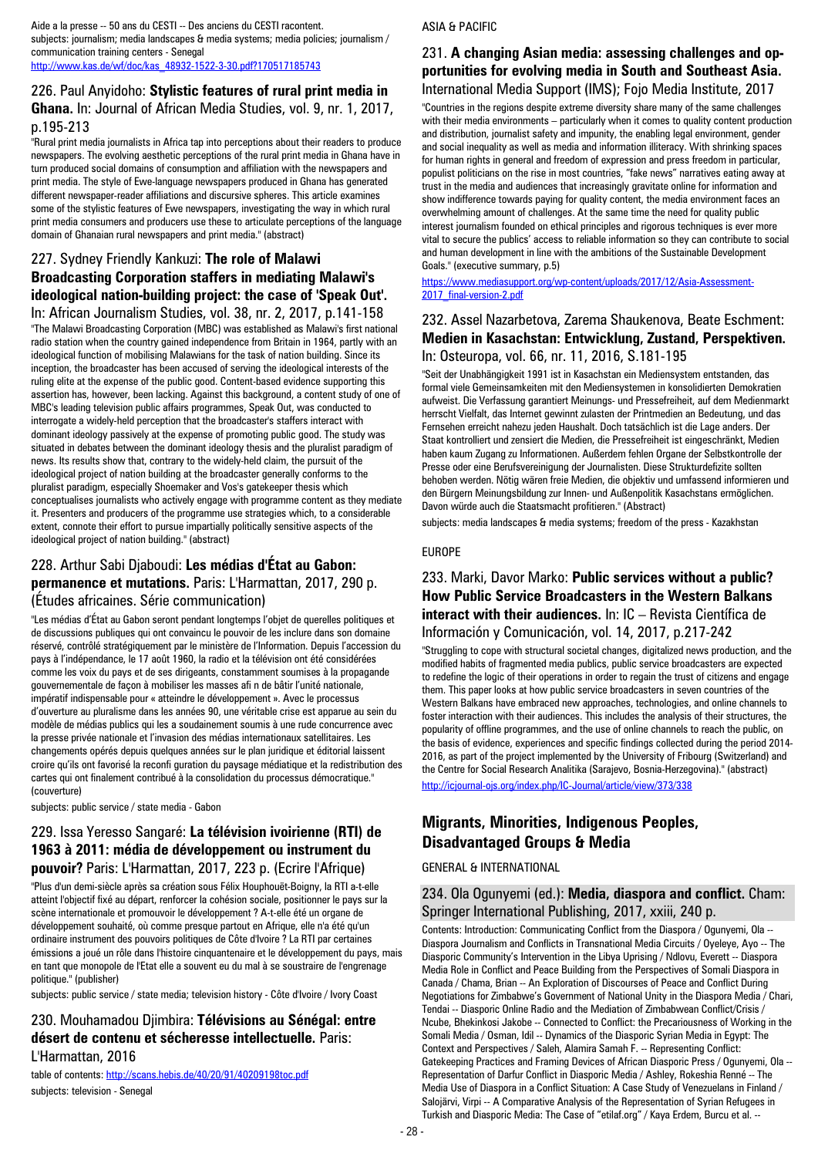Aide a la presse -- 50 ans du CESTI -- Des anciens du CESTI racontent. subjects: journalism; media landscapes & media systems; media policies; journalism / communication training centers - Senegal [http://www.kas.de/wf/doc/kas\\_48932-1522-3-30.pdf?170517185743](http://www.kas.de/wf/doc/kas_48932-1522-3-30.pdf?170517185743)

# 226. Paul Anyidoho: **Stylistic features of rural print media in Ghana.** In: Journal of African Media Studies, vol. 9, nr. 1, 2017, p.195-213

"Rural print media journalists in Africa tap into perceptions about their readers to produce newspapers. The evolving aesthetic perceptions of the rural print media in Ghana have in turn produced social domains of consumption and affiliation with the newspapers and print media. The style of Ewe-language newspapers produced in Ghana has generated different newspaper-reader affiliations and discursive spheres. This article examines some of the stylistic features of Ewe newspapers, investigating the way in which rural print media consumers and producers use these to articulate perceptions of the language domain of Ghanaian rural newspapers and print media." (abstract)

# 227. Sydney Friendly Kankuzi: **The role of Malawi Broadcasting Corporation staffers in mediating Malawi's ideological nation-building project: the case of 'Speak Out'.**

In: African Journalism Studies, vol. 38, nr. 2, 2017, p.141-158 "The Malawi Broadcasting Corporation (MBC) was established as Malawi's first national radio station when the country gained independence from Britain in 1964, partly with an ideological function of mobilising Malawians for the task of nation building. Since its inception, the broadcaster has been accused of serving the ideological interests of the ruling elite at the expense of the public good. Content-based evidence supporting this assertion has, however, been lacking. Against this background, a content study of one of MBC's leading television public affairs programmes, Speak Out, was conducted to interrogate a widely-held perception that the broadcaster's staffers interact with dominant ideology passively at the expense of promoting public good. The study was situated in debates between the dominant ideology thesis and the pluralist paradigm of news. Its results show that, contrary to the widely-held claim, the pursuit of the ideological project of nation building at the broadcaster generally conforms to the pluralist paradigm, especially Shoemaker and Vos's gatekeeper thesis which conceptualises journalists who actively engage with programme content as they mediate it. Presenters and producers of the programme use strategies which, to a considerable extent, connote their effort to pursue impartially politically sensitive aspects of the ideological project of nation building." (abstract)

# 228. Arthur Sabi Djaboudi: **Les médias d'État au Gabon: permanence et mutations.** Paris: L'Harmattan, 2017, 290 p. (Études africaines. Série communication)

"Les médias d'État au Gabon seront pendant longtemps l'objet de querelles politiques et de discussions publiques qui ont convaincu le pouvoir de les inclure dans son domaine réservé, contrôlé stratégiquement par le ministère de l'Information. Depuis l'accession du pays à l'indépendance, le 17 août 1960, la radio et la télévision ont été considérées comme les voix du pays et de ses dirigeants, constamment soumises à la propagande gouvernementale de façon à mobiliser les masses afi n de bâtir l'unité nationale, impératif indispensable pour « atteindre le développement ». Avec le processus d'ouverture au pluralisme dans les années 90, une véritable crise est apparue au sein du modèle de médias publics qui les a soudainement soumis à une rude concurrence avec la presse privée nationale et l'invasion des médias internationaux satellitaires. Les changements opérés depuis quelques années sur le plan juridique et éditorial laissent croire qu'ils ont favorisé la reconfi guration du paysage médiatique et la redistribution des cartes qui ont finalement contribué à la consolidation du processus démocratique." (couverture)

subjects: public service / state media - Gabon

# 229. Issa Yeresso Sangaré: **La télévision ivoirienne (RTI) de 1963 à 2011: média de développement ou instrument du pouvoir?** Paris: L'Harmattan, 2017, 223 p. (Ecrire l'Afrique)

"Plus d'un demi-siècle après sa création sous Félix Houphouët-Boigny, la RTI a-t-elle atteint l'objectif fixé au départ, renforcer la cohésion sociale, positionner le pays sur la scène internationale et promouvoir le développement ? A-t-elle été un organe de développement souhaité, où comme presque partout en Afrique, elle n'a été qu'un ordinaire instrument des pouvoirs politiques de Côte d'Ivoire ? La RTI par certaines émissions a joué un rôle dans l'histoire cinquantenaire et le développement du pays, mais en tant que monopole de l'Etat elle a souvent eu du mal à se soustraire de l'engrenage politique." (publisher)

subjects: public service / state media; television history - Côte d'Ivoire / Ivory Coast

# 230. Mouhamadou Djimbira: **Télévisions au Sénégal: entre désert de contenu et sécheresse intellectuelle.** Paris: L'Harmattan, 2016

table of contents[: http://scans.hebis.de/40/20/91/40209198toc.pdf](http://scans.hebis.de/40/20/91/40209198toc.pdf) subjects: television - Senegal

### ASIA & PACIFIC

# 231. **A changing Asian media: assessing challenges and opportunities for evolving media in South and Southeast Asia.**  International Media Support (IMS); Fojo Media Institute, 2017

"Countries in the regions despite extreme diversity share many of the same challenges with their media environments – particularly when it comes to quality content production and distribution, journalist safety and impunity, the enabling legal environment, gender and social inequality as well as media and information illiteracy. With shrinking spaces for human rights in general and freedom of expression and press freedom in particular, populist politicians on the rise in most countries, "fake news" narratives eating away at trust in the media and audiences that increasingly gravitate online for information and show indifference towards paying for quality content, the media environment faces an overwhelming amount of challenges. At the same time the need for quality public interest journalism founded on ethical principles and rigorous techniques is ever more vital to secure the publics' access to reliable information so they can contribute to social and human development in line with the ambitions of the Sustainable Development Goals." (executive summary, p.5)

[https://www.mediasupport.org/wp-content/uploads/2017/12/Asia-Assessment-](https://www.mediasupport.org/wp-content/uploads/2017/12/Asia-Assessment-2017_final-version-2.pdf)2017 final-version-2.pdf

# 232. Assel Nazarbetova, Zarema Shaukenova, Beate Eschment: **Medien in Kasachstan: Entwicklung, Zustand, Perspektiven.**  In: Osteuropa, vol. 66, nr. 11, 2016, S.181-195

"Seit der Unabhängigkeit 1991 ist in Kasachstan ein Mediensystem entstanden, das formal viele Gemeinsamkeiten mit den Mediensystemen in konsolidierten Demokratien aufweist. Die Verfassung garantiert Meinungs- und Pressefreiheit, auf dem Medienmarkt herrscht Vielfalt, das Internet gewinnt zulasten der Printmedien an Bedeutung, und das Fernsehen erreicht nahezu jeden Haushalt. Doch tatsächlich ist die Lage anders. Der Staat kontrolliert und zensiert die Medien, die Pressefreiheit ist eingeschränkt, Medien haben kaum Zugang zu Informationen. Außerdem fehlen Organe der Selbstkontrolle der Presse oder eine Berufsvereinigung der Journalisten. Diese Strukturdefizite sollten behoben werden. Nötig wären freie Medien, die objektiv und umfassend informieren und den Bürgern Meinungsbildung zur Innen- und Außenpolitik Kasachstans ermöglichen. Davon würde auch die Staatsmacht profitieren." (Abstract)

subjects: media landscapes & media systems; freedom of the press - Kazakhstan

### EUROPE

# 233. Marki, Davor Marko: **Public services without a public? How Public Service Broadcasters in the Western Balkans interact with their audiences.** In: IC – Revista Científica de Información y Comunicación, vol. 14, 2017, p.217-242

"Struggling to cope with structural societal changes, digitalized news production, and the modified habits of fragmented media publics, public service broadcasters are expected to redefine the logic of their operations in order to regain the trust of citizens and engage them. This paper looks at how public service broadcasters in seven countries of the Western Balkans have embraced new approaches, technologies, and online channels to foster interaction with their audiences. This includes the analysis of their structures, the popularity of offline programmes, and the use of online channels to reach the public, on the basis of evidence, experiences and specific findings collected during the period 2014- 2016, as part of the project implemented by the University of Fribourg (Switzerland) and the Centre for Social Research Analitika (Sarajevo, Bosnia-Herzegovina)." (abstract) <http://icjournal-ojs.org/index.php/IC-Journal/article/view/373/338>

# **Migrants, Minorities, Indigenous Peoples, Disadvantaged Groups & Media**

GENERAL & INTERNATIONAL

## 234. Ola Ogunyemi (ed.): **Media, diaspora and conflict.** Cham: Springer International Publishing, 2017, xxiii, 240 p.

Contents: Introduction: Communicating Conflict from the Diaspora / Ogunyemi, Ola -- Diaspora Journalism and Conflicts in Transnational Media Circuits / Oyeleye, Ayo -- The Diasporic Community's Intervention in the Libya Uprising / Ndlovu, Everett -- Diaspora Media Role in Conflict and Peace Building from the Perspectives of Somali Diaspora in Canada / Chama, Brian -- An Exploration of Discourses of Peace and Conflict During Negotiations for Zimbabwe's Government of National Unity in the Diaspora Media / Chari, Tendai -- Diasporic Online Radio and the Mediation of Zimbabwean Conflict/Crisis / Ncube, Bhekinkosi Jakobe -- Connected to Conflict: the Precariousness of Working in the Somali Media / Osman, Idil -- Dynamics of the Diasporic Syrian Media in Egypt: The Context and Perspectives / Saleh, Alamira Samah F. -- Representing Conflict: Gatekeeping Practices and Framing Devices of African Diasporic Press / Ogunyemi, Ola -- Representation of Darfur Conflict in Diasporic Media / Ashley, Rokeshia Renné -- The Media Use of Diaspora in a Conflict Situation: A Case Study of Venezuelans in Finland / Salojärvi, Virpi -- A Comparative Analysis of the Representation of Syrian Refugees in Turkish and Diasporic Media: The Case of "etilaf.org" / Kaya Erdem, Burcu et al. --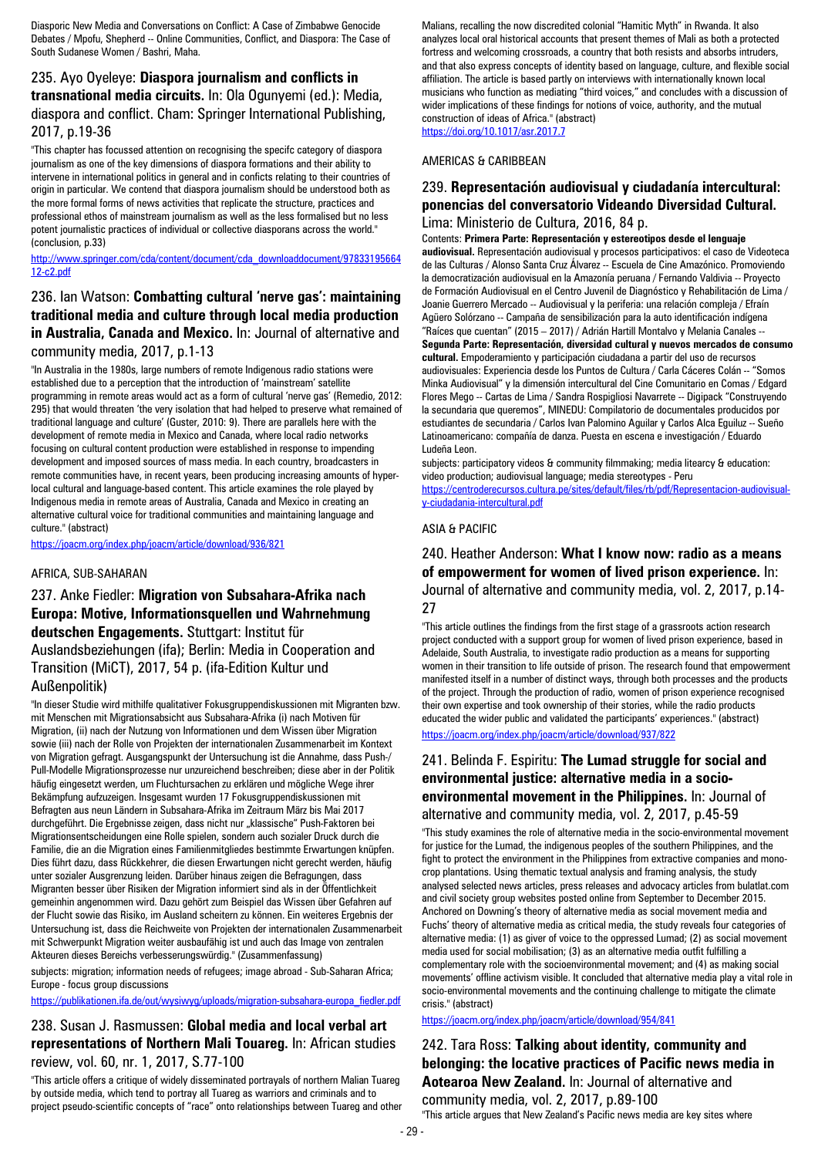Diasporic New Media and Conversations on Conflict: A Case of Zimbabwe Genocide Debates / Mpofu, Shepherd -- Online Communities, Conflict, and Diaspora: The Case of South Sudanese Women / Bashri, Maha.

# 235. Ayo Oyeleye: **Diaspora journalism and conflicts in transnational media circuits.** In: Ola Ogunyemi (ed.): Media, diaspora and conflict. Cham: Springer International Publishing, 2017, p.19-36

"This chapter has focussed attention on recognising the specifc category of diaspora journalism as one of the key dimensions of diaspora formations and their ability to intervene in international politics in general and in conficts relating to their countries of origin in particular. We contend that diaspora journalism should be understood both as the more formal forms of news activities that replicate the structure, practices and professional ethos of mainstream journalism as well as the less formalised but no less potent journalistic practices of individual or collective diasporans across the world." (conclusion, p.33)

#### [http://www.springer.com/cda/content/document/cda\\_downloaddocument/97833195664](http://www.springer.com/cda/content/document/cda_downloaddocument/9783319566412-c2.pdf) [12-c2.pdf](http://www.springer.com/cda/content/document/cda_downloaddocument/9783319566412-c2.pdf)

# 236. Ian Watson: **Combatting cultural 'nerve gas': maintaining traditional media and culture through local media production in Australia, Canada and Mexico.** In: Journal of alternative and community media, 2017, p.1-13

"In Australia in the 1980s, large numbers of remote Indigenous radio stations were established due to a perception that the introduction of 'mainstream' satellite programming in remote areas would act as a form of cultural 'nerve gas' (Remedio, 2012: 295) that would threaten 'the very isolation that had helped to preserve what remained of traditional language and culture' (Guster, 2010: 9). There are parallels here with the development of remote media in Mexico and Canada, where local radio networks focusing on cultural content production were established in response to impending development and imposed sources of mass media. In each country, broadcasters in remote communities have, in recent years, been producing increasing amounts of hyperlocal cultural and language-based content. This article examines the role played by Indigenous media in remote areas of Australia, Canada and Mexico in creating an alternative cultural voice for traditional communities and maintaining language and culture." (abstract)

<https://joacm.org/index.php/joacm/article/download/936/821>

#### AFRICA, SUB-SAHARAN

# 237. Anke Fiedler: **Migration von Subsahara-Afrika nach Europa: Motive, Informationsquellen und Wahrnehmung deutschen Engagements.** Stuttgart: Institut für Auslandsbeziehungen (ifa); Berlin: Media in Cooperation and Transition (MiCT), 2017, 54 p. (ifa-Edition Kultur und Außenpolitik)

"In dieser Studie wird mithilfe qualitativer Fokusgruppendiskussionen mit Migranten bzw. mit Menschen mit Migrationsabsicht aus Subsahara-Afrika (i) nach Motiven für Migration, (ii) nach der Nutzung von Informationen und dem Wissen über Migration sowie (iii) nach der Rolle von Projekten der internationalen Zusammenarbeit im Kontext von Migration gefragt. Ausgangspunkt der Untersuchung ist die Annahme, dass Push-/ Pull-Modelle Migrationsprozesse nur unzureichend beschreiben; diese aber in der Politik häufig eingesetzt werden, um Fluchtursachen zu erklären und mögliche Wege ihrer Bekämpfung aufzuzeigen. Insgesamt wurden 17 Fokusgruppendiskussionen mit Befragten aus neun Ländern in Subsahara-Afrika im Zeitraum März bis Mai 2017 durchgeführt. Die Ergebnisse zeigen, dass nicht nur "klassische" Push-Faktoren bei Migrationsentscheidungen eine Rolle spielen, sondern auch sozialer Druck durch die Familie, die an die Migration eines Familienmitgliedes bestimmte Erwartungen knüpfen. Dies führt dazu, dass Rückkehrer, die diesen Erwartungen nicht gerecht werden, häufig unter sozialer Ausgrenzung leiden. Darüber hinaus zeigen die Befragungen, dass Migranten besser über Risiken der Migration informiert sind als in der Öffentlichkeit gemeinhin angenommen wird. Dazu gehört zum Beispiel das Wissen über Gefahren auf der Flucht sowie das Risiko, im Ausland scheitern zu können. Ein weiteres Ergebnis der Untersuchung ist, dass die Reichweite von Projekten der internationalen Zusammenarbeit mit Schwerpunkt Migration weiter ausbaufähig ist und auch das Image von zentralen Akteuren dieses Bereichs verbesserungswürdig." (Zusammenfassung)

subjects: migration; information needs of refugees; image abroad - Sub-Saharan Africa; Europe - focus group discussions

[https://publikationen.ifa.de/out/wysiwyg/uploads/migration-subsahara-europa\\_fiedler.pdf](https://publikationen.ifa.de/out/wysiwyg/uploads/migration-subsahara-europa_fiedler.pdf)

## 238. Susan J. Rasmussen: **Global media and local verbal art representations of Northern Mali Touareg.** In: African studies review, vol. 60, nr. 1, 2017, S.77-100

"This article offers a critique of widely disseminated portrayals of northern Malian Tuareg by outside media, which tend to portray all Tuareg as warriors and criminals and to project pseudo-scientific concepts of "race" onto relationships between Tuareg and other

Malians, recalling the now discredited colonial "Hamitic Myth" in Rwanda. It also analyzes local oral historical accounts that present themes of Mali as both a protected fortress and welcoming crossroads, a country that both resists and absorbs intruders, and that also express concepts of identity based on language, culture, and flexible social affiliation. The article is based partly on interviews with internationally known local musicians who function as mediating "third voices," and concludes with a discussion of wider implications of these findings for notions of voice, authority, and the mutual construction of ideas of Africa." (abstract) <https://doi.org/10.1017/asr.2017.7>

# AMERICAS & CARIBBEAN

# 239. **Representación audiovisual y ciudadanía intercultural: ponencias del conversatorio Videando Diversidad Cultural.**  Lima: Ministerio de Cultura, 2016, 84 p.

### Contents: **Primera Parte: Representación y estereotipos desde el lenguaje**

**audiovisual.** Representación audiovisual y procesos participativos: el caso de Videoteca de las Culturas / Alonso Santa Cruz Álvarez -- Escuela de Cine Amazónico. Promoviendo la democratización audiovisual en la Amazonía peruana / Fernando Valdivia -- Proyecto de Formación Audiovisual en el Centro Juvenil de Diagnóstico y Rehabilitación de Lima / Joanie Guerrero Mercado -- Audiovisual y la periferia: una relación compleja / Efraín Agüero Solórzano -- Campaña de sensibilización para la auto identificación indígena "Raíces que cuentan" (2015 – 2017) / Adrián Hartill Montalvo y Melania Canales -- **Segunda Parte: Representación, diversidad cultural y nuevos mercados de consumo cultural.** Empoderamiento y participación ciudadana a partir del uso de recursos audiovisuales: Experiencia desde los Puntos de Cultura / Carla Cáceres Colán -- "Somos Minka Audiovisual" y la dimensión intercultural del Cine Comunitario en Comas / Edgard Flores Mego -- Cartas de Lima / Sandra Rospigliosi Navarrete -- Digipack "Construyendo la secundaria que queremos", MINEDU: Compilatorio de documentales producidos por estudiantes de secundaria / Carlos Ivan Palomino Aguilar y Carlos Alca Eguiluz -- Sueño Latinoamericano: compañía de danza. Puesta en escena e investigación / Eduardo Ludeña Leon.

subjects: participatory videos & community filmmaking; media litearcy & education: video production; audiovisual language; media stereotypes - Peru [https://centroderecursos.cultura.pe/sites/default/files/rb/pdf/Representacion-audiovisual](https://centroderecursos.cultura.pe/sites/default/files/rb/pdf/Representacion-audiovisual-y-ciudadania-intercultural.pdf)[y-ciudadania-intercultural.pdf](https://centroderecursos.cultura.pe/sites/default/files/rb/pdf/Representacion-audiovisual-y-ciudadania-intercultural.pdf)

#### ASIA & PACIFIC

# 240. Heather Anderson: **What I know now: radio as a means of empowerment for women of lived prison experience.** In: Journal of alternative and community media, vol. 2, 2017, p.14- 27

"This article outlines the findings from the first stage of a grassroots action research project conducted with a support group for women of lived prison experience, based in Adelaide, South Australia, to investigate radio production as a means for supporting women in their transition to life outside of prison. The research found that empowerment manifested itself in a number of distinct ways, through both processes and the products of the project. Through the production of radio, women of prison experience recognised their own expertise and took ownership of their stories, while the radio products educated the wider public and validated the participants' experiences." (abstract) <https://joacm.org/index.php/joacm/article/download/937/822>

# 241. Belinda F. Espiritu: **The Lumad struggle for social and environmental justice: alternative media in a socioenvironmental movement in the Philippines.** In: Journal of alternative and community media, vol. 2, 2017, p.45-59

"This study examines the role of alternative media in the socio-environmental movement for justice for the Lumad, the indigenous peoples of the southern Philippines, and the fight to protect the environment in the Philippines from extractive companies and monocrop plantations. Using thematic textual analysis and framing analysis, the study analysed selected news articles, press releases and advocacy articles from bulatlat.com and civil society group websites posted online from September to December 2015. Anchored on Downing's theory of alternative media as social movement media and Fuchs' theory of alternative media as critical media, the study reveals four categories of alternative media: (1) as giver of voice to the oppressed Lumad; (2) as social movement media used for social mobilisation; (3) as an alternative media outfit fulfilling a complementary role with the socioenvironmental movement; and (4) as making social movements' offline activism visible. It concluded that alternative media play a vital role in socio-environmental movements and the continuing challenge to mitigate the climate crisis." (abstract)

#### <https://joacm.org/index.php/joacm/article/download/954/841>

242. Tara Ross: **Talking about identity, community and belonging: the locative practices of Pacific news media in Aotearoa New Zealand.** In: Journal of alternative and community media, vol. 2, 2017, p.89-100

"This article argues that New Zealand's Pacific news media are key sites where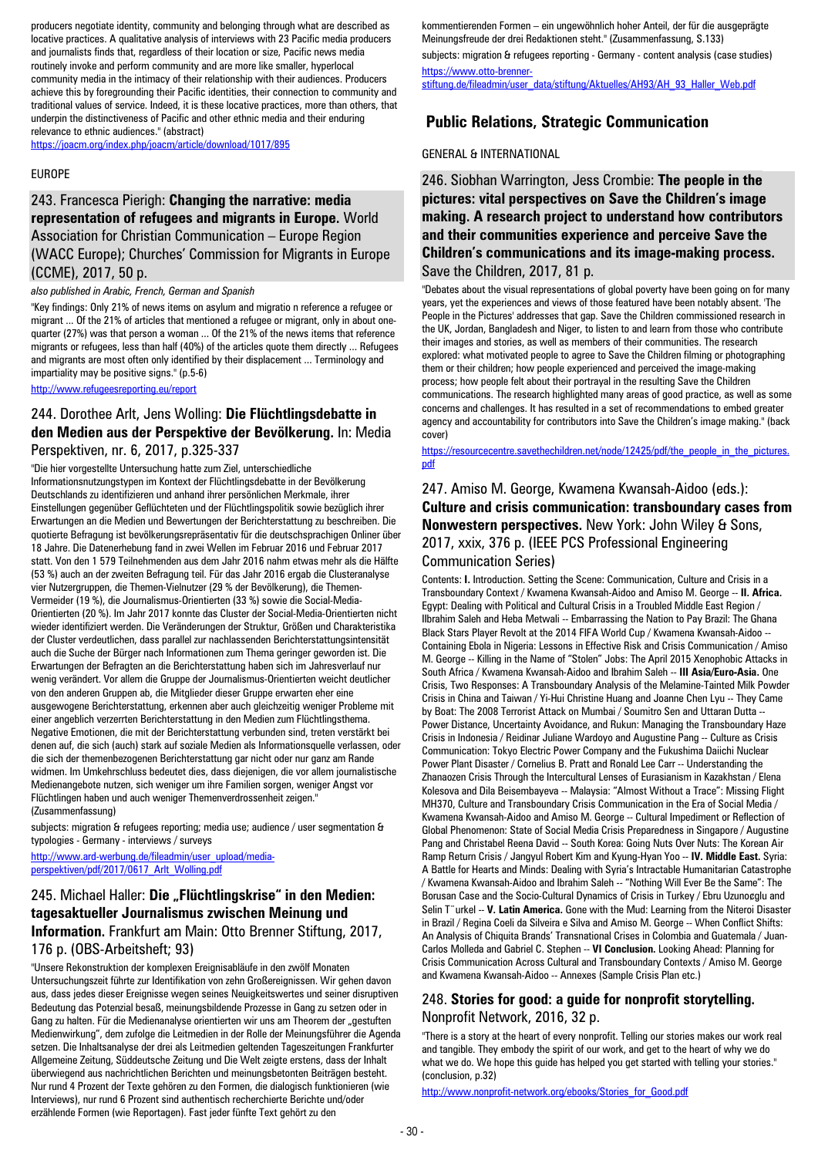producers negotiate identity, community and belonging through what are described as locative practices. A qualitative analysis of interviews with 23 Pacific media producers and journalists finds that, regardless of their location or size, Pacific news media routinely invoke and perform community and are more like smaller, hyperlocal community media in the intimacy of their relationship with their audiences. Producers achieve this by foregrounding their Pacific identities, their connection to community and traditional values of service. Indeed, it is these locative practices, more than others, that underpin the distinctiveness of Pacific and other ethnic media and their enduring relevance to ethnic audiences." (abstract)

<https://joacm.org/index.php/joacm/article/download/1017/895>

#### EUROPE

243. Francesca Pierigh: **Changing the narrative: media representation of refugees and migrants in Europe.** World Association for Christian Communication – Europe Region (WACC Europe); Churches' Commission for Migrants in Europe (CCME), 2017, 50 p.

#### *also published in Arabic, French, German and Spanish*

"Key findings: Only 21% of news items on asylum and migratio n reference a refugee or migrant ... Of the 21% of articles that mentioned a refugee or migrant, only in about onequarter (27%) was that person a woman ... Of the 21% of the news items that reference migrants or refugees, less than half (40%) of the articles quote them directly ... Refugees and migrants are most often only identified by their displacement ... Terminology and impartiality may be positive signs." (p.5-6)

<http://www.refugeesreporting.eu/report>

## 244. Dorothee Arlt, Jens Wolling: **Die Flüchtlingsdebatte in den Medien aus der Perspektive der Bevölkerung.** In: Media Perspektiven, nr. 6, 2017, p.325-337

"Die hier vorgestellte Untersuchung hatte zum Ziel, unterschiedliche Informationsnutzungstypen im Kontext der Flüchtlingsdebatte in der Bevölkerung Deutschlands zu identifizieren und anhand ihrer persönlichen Merkmale, ihrer Einstellungen gegenüber Geflüchteten und der Flüchtlingspolitik sowie bezüglich ihrer Erwartungen an die Medien und Bewertungen der Berichterstattung zu beschreiben. Die quotierte Befragung ist bevölkerungsrepräsentativ für die deutschsprachigen Onliner über 18 Jahre. Die Datenerhebung fand in zwei Wellen im Februar 2016 und Februar 2017 statt. Von den 1 579 Teilnehmenden aus dem Jahr 2016 nahm etwas mehr als die Hälfte (53 %) auch an der zweiten Befragung teil. Für das Jahr 2016 ergab die Clusteranalyse vier Nutzergruppen, die Themen-Vielnutzer (29 % der Bevölkerung), die Themen-Vermeider (19 %), die Journalismus-Orientierten (33 %) sowie die Social-Media-Orientierten (20 %). Im Jahr 2017 konnte das Cluster der Social-Media-Orientierten nicht wieder identifiziert werden. Die Veränderungen der Struktur, Größen und Charakteristika der Cluster verdeutlichen, dass parallel zur nachlassenden Berichterstattungsintensität auch die Suche der Bürger nach Informationen zum Thema geringer geworden ist. Die Erwartungen der Befragten an die Berichterstattung haben sich im Jahresverlauf nur wenig verändert. Vor allem die Gruppe der Journalismus-Orientierten weicht deutlicher von den anderen Gruppen ab, die Mitglieder dieser Gruppe erwarten eher eine ausgewogene Berichterstattung, erkennen aber auch gleichzeitig weniger Probleme mit einer angeblich verzerrten Berichterstattung in den Medien zum Flüchtlingsthema. Negative Emotionen, die mit der Berichterstattung verbunden sind, treten verstärkt bei denen auf, die sich (auch) stark auf soziale Medien als Informationsquelle verlassen, oder die sich der themenbezogenen Berichterstattung gar nicht oder nur ganz am Rande widmen. Im Umkehrschluss bedeutet dies, dass diejenigen, die vor allem journalistische Medienangebote nutzen, sich weniger um ihre Familien sorgen, weniger Angst vor Flüchtlingen haben und auch weniger Themenverdrossenheit zeigen." (Zusammenfassung)

subjects: migration & refugees reporting; media use; audience / user segmentation & typologies - Germany - interviews / surveys

[http://www.ard-werbung.de/fileadmin/user\\_upload/media](http://www.ard-werbung.de/fileadmin/user_upload/media-perspektiven/pdf/2017/0617_Arlt_Wolling.pdf)[perspektiven/pdf/2017/0617\\_Arlt\\_Wolling.pdf](http://www.ard-werbung.de/fileadmin/user_upload/media-perspektiven/pdf/2017/0617_Arlt_Wolling.pdf)

# 245. Michael Haller: Die "Flüchtlingskrise" in den Medien: **tagesaktueller Journalismus zwischen Meinung und Information.** Frankfurt am Main: Otto Brenner Stiftung, 2017, 176 p. (OBS-Arbeitsheft; 93)

"Unsere Rekonstruktion der komplexen Ereignisabläufe in den zwölf Monaten Untersuchungszeit führte zur Identifikation von zehn Großereignissen. Wir gehen davon aus, dass jedes dieser Ereignisse wegen seines Neuigkeitswertes und seiner disruptiven Bedeutung das Potenzial besaß, meinungsbildende Prozesse in Gang zu setzen oder in Gang zu halten. Für die Medienanalyse orientierten wir uns am Theorem der "gestuften Medienwirkung", dem zufolge die Leitmedien in der Rolle der Meinungsführer die Agenda setzen. Die Inhaltsanalyse der drei als Leitmedien geltenden Tageszeitungen Frankfurter Allgemeine Zeitung, Süddeutsche Zeitung und Die Welt zeigte erstens, dass der Inhalt überwiegend aus nachrichtlichen Berichten und meinungsbetonten Beiträgen besteht. Nur rund 4 Prozent der Texte gehören zu den Formen, die dialogisch funktionieren (wie Interviews), nur rund 6 Prozent sind authentisch recherchierte Berichte und/oder erzählende Formen (wie Reportagen). Fast jeder fünfte Text gehört zu den

kommentierenden Formen – ein ungewöhnlich hoher Anteil, der für die ausgeprägte Meinungsfreude der drei Redaktionen steht." (Zusammenfassung, S.133) subjects: migration & refugees reporting - Germany - content analysis (case studies) [https://www.otto-brenner-](https://www.otto-brenner-stiftung.de/fileadmin/user_data/stiftung/Aktuelles/AH93/AH_93_Haller_Web.pdf)

[stiftung.de/fileadmin/user\\_data/stiftung/Aktuelles/AH93/AH\\_93\\_Haller\\_Web.pdf](https://www.otto-brenner-stiftung.de/fileadmin/user_data/stiftung/Aktuelles/AH93/AH_93_Haller_Web.pdf)

# **Public Relations, Strategic Communication**

#### GENERAL & INTERNATIONAL

246. Siobhan Warrington, Jess Crombie: **The people in the pictures: vital perspectives on Save the Children's image making. A research project to understand how contributors and their communities experience and perceive Save the Children's communications and its image-making process.**  Save the Children, 2017, 81 p.

"Debates about the visual representations of global poverty have been going on for many years, yet the experiences and views of those featured have been notably absent. 'The People in the Pictures' addresses that gap. Save the Children commissioned research in the UK, Jordan, Bangladesh and Niger, to listen to and learn from those who contribute their images and stories, as well as members of their communities. The research explored: what motivated people to agree to Save the Children filming or photographing them or their children; how people experienced and perceived the image-making process; how people felt about their portrayal in the resulting Save the Children communications. The research highlighted many areas of good practice, as well as some concerns and challenges. It has resulted in a set of recommendations to embed greater agency and accountability for contributors into Save the Children's image making." (back cover)

[https://resourcecentre.savethechildren.net/node/12425/pdf/the\\_people\\_in\\_the\\_pictures.](https://resourcecentre.savethechildren.net/node/12425/pdf/the_people_in_the_pictures.pdf) [pdf](https://resourcecentre.savethechildren.net/node/12425/pdf/the_people_in_the_pictures.pdf)

# 247. Amiso M. George, Kwamena Kwansah-Aidoo (eds.): **Culture and crisis communication: transboundary cases from Nonwestern perspectives.** New York: John Wiley & Sons, 2017, xxix, 376 p. (IEEE PCS Professional Engineering Communication Series)

Contents: **I.** Introduction. Setting the Scene: Communication, Culture and Crisis in a Transboundary Context / Kwamena Kwansah-Aidoo and Amiso M. George -- **II. Africa.** Egypt: Dealing with Political and Cultural Crisis in a Troubled Middle East Region / IIbrahim Saleh and Heba Metwali -- Embarrassing the Nation to Pay Brazil: The Ghana Black Stars Player Revolt at the 2014 FIFA World Cup / Kwamena Kwansah-Aidoo -- Containing Ebola in Nigeria: Lessons in Effective Risk and Crisis Communication / Amiso M. George -- Killing in the Name of "Stolen" Jobs: The April 2015 Xenophobic Attacks in South Africa / Kwamena Kwansah-Aidoo and Ibrahim Saleh -- **III Asia/Euro-Asia.** One Crisis, Two Responses: A Transboundary Analysis of the Melamine-Tainted Milk Powder Crisis in China and Taiwan / Yi-Hui Christine Huang and Joanne Chen Lyu -- They Came by Boat: The 2008 Terrorist Attack on Mumbai / Soumitro Sen and Uttaran Dutta -Power Distance, Uncertainty Avoidance, and Rukun: Managing the Transboundary Haze Crisis in Indonesia / Reidinar Juliane Wardoyo and Augustine Pang -- Culture as Crisis Communication: Tokyo Electric Power Company and the Fukushima Daiichi Nuclear Power Plant Disaster / Cornelius B. Pratt and Ronald Lee Carr -- Understanding the Zhanaozen Crisis Through the Intercultural Lenses of Eurasianism in Kazakhstan / Elena Kolesova and Dila Beisembayeva -- Malaysia: "Almost Without a Trace": Missing Flight MH370, Culture and Transboundary Crisis Communication in the Era of Social Media / Kwamena Kwansah-Aidoo and Amiso M. George -- Cultural Impediment or Reflection of Global Phenomenon: State of Social Media Crisis Preparedness in Singapore / Augustine Pang and Christabel Reena David -- South Korea: Going Nuts Over Nuts: The Korean Air Ramp Return Crisis / Jangyul Robert Kim and Kyung-Hyan Yoo -- **IV. Middle East.** Syria: A Battle for Hearts and Minds: Dealing with Syria's Intractable Humanitarian Catastrophe / Kwamena Kwansah-Aidoo and Ibrahim Saleh -- "Nothing Will Ever Be the Same": The Borusan Case and the Socio-Cultural Dynamics of Crisis in Turkey / Ebru Uzuno¢glu and Selin T¨urkel -- **V. Latin America.** Gone with the Mud: Learning from the Niteroi Disaster in Brazil / Regina Coeli da Silveira e Silva and Amiso M. George -- When Conflict Shifts: An Analysis of Chiquita Brands' Transnational Crises in Colombia and Guatemala / Juan-Carlos Molleda and Gabriel C. Stephen -- **VI Conclusion.** Looking Ahead: Planning for Crisis Communication Across Cultural and Transboundary Contexts / Amiso M. George and Kwamena Kwansah-Aidoo -- Annexes (Sample Crisis Plan etc.)

# 248. **Stories for good: a guide for nonprofit storytelling.**  Nonprofit Network, 2016, 32 p.

"There is a story at the heart of every nonprofit. Telling our stories makes our work real and tangible. They embody the spirit of our work, and get to the heart of why we do what we do. We hope this guide has helped you get started with telling your stories." (conclusion, p.32)

[http://www.nonprofit-network.org/ebooks/Stories\\_for\\_Good.pdf](http://www.nonprofit-network.org/ebooks/Stories_for_Good.pdf)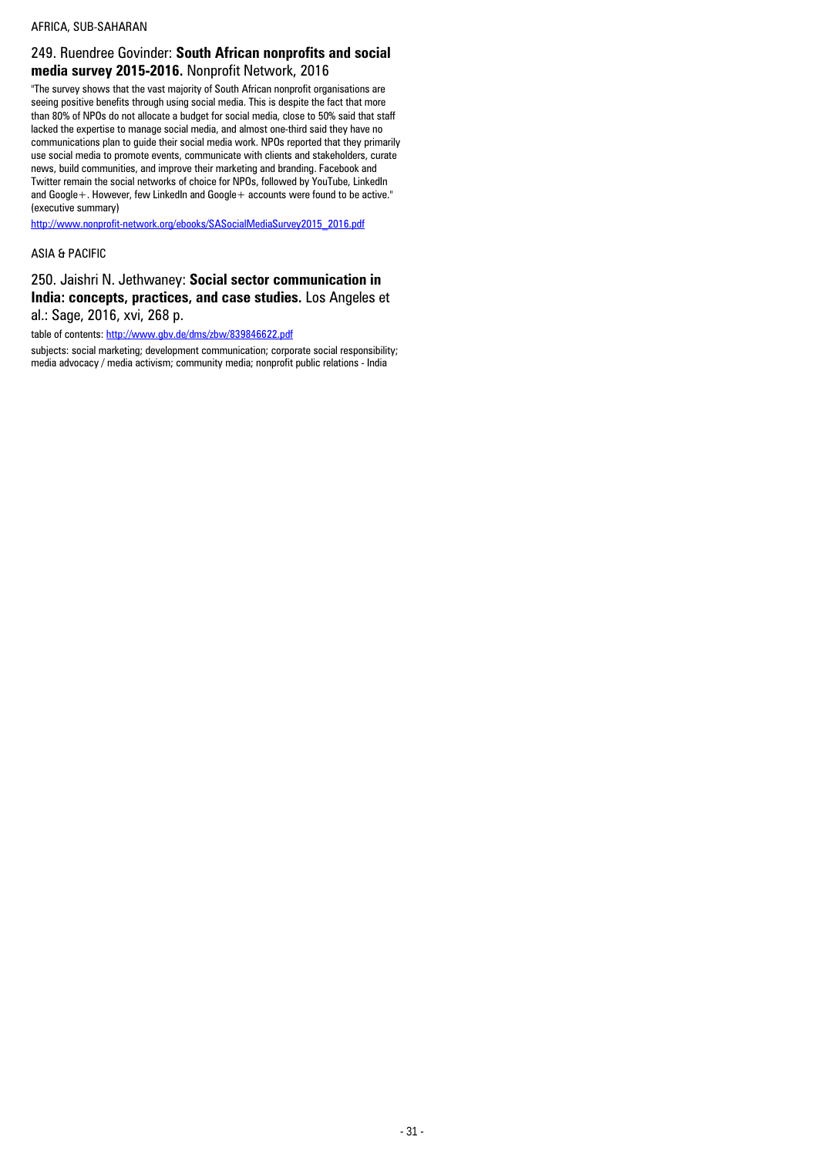#### AFRICA, SUB-SAHARAN

# 249. Ruendree Govinder: **South African nonprofits and social media survey 2015-2016.** Nonprofit Network, 2016

"The survey shows that the vast majority of South African nonprofit organisations are seeing positive benefits through using social media. This is despite the fact that more than 80% of NPOs do not allocate a budget for social media, close to 50% said that staff lacked the expertise to manage social media, and almost one-third said they have no communications plan to guide their social media work. NPOs reported that they primarily use social media to promote events, communicate with clients and stakeholders, curate news, build communities, and improve their marketing and branding. Facebook and Twitter remain the social networks of choice for NPOs, followed by YouTube, LinkedIn and Google+. However, few LinkedIn and Google+ accounts were found to be active." (executive summary)

[http://www.nonprofit-network.org/ebooks/SASocialMediaSurvey2015\\_2016.pdf](http://www.nonprofit-network.org/ebooks/SASocialMediaSurvey2015_2016.pdf)

#### ASIA & PACIFIC

250. Jaishri N. Jethwaney: **Social sector communication in India: concepts, practices, and case studies.** Los Angeles et al.: Sage, 2016, xvi, 268 p.

table of contents[: http://www.gbv.de/dms/zbw/839846622.pdf](http://www.gbv.de/dms/zbw/839846622.pdf)

subjects: social marketing; development communication; corporate social responsibility; media advocacy / media activism; community media; nonprofit public relations - India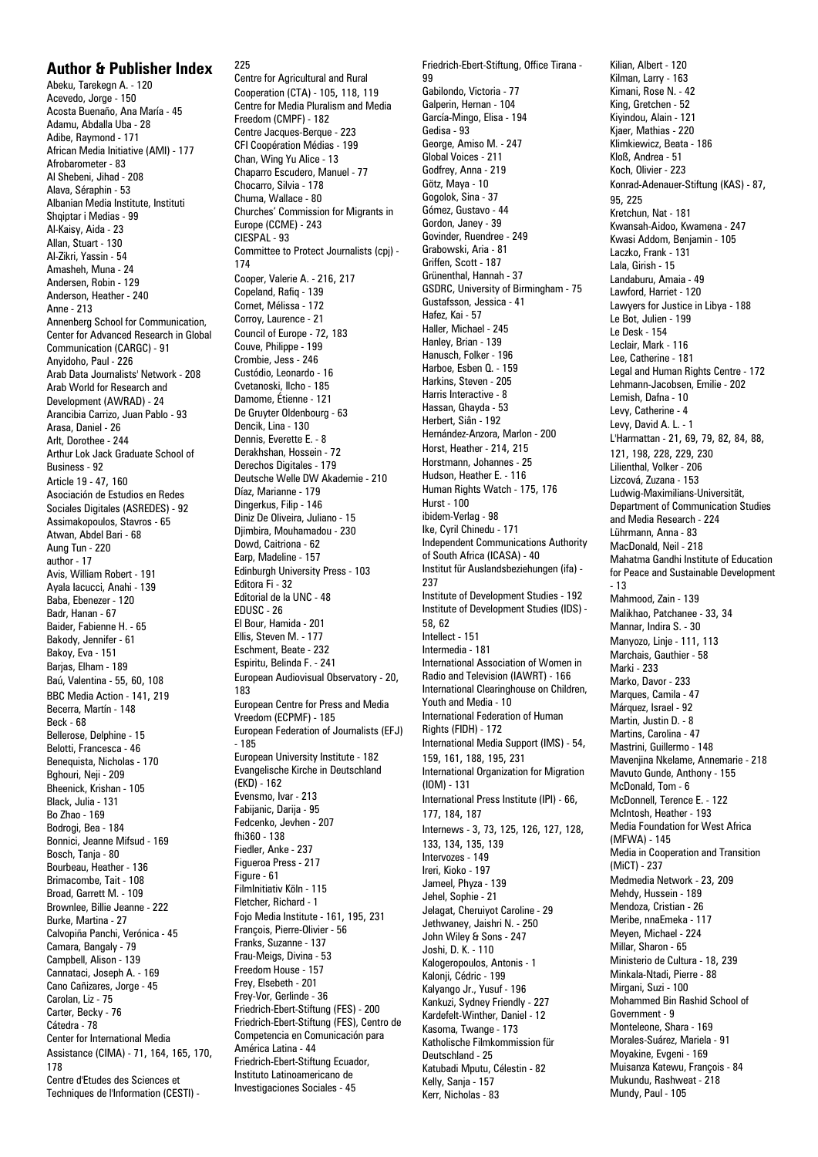#### **Author & Publisher Index**

Abeku, Tarekegn A. - 120 Acevedo, Jorge - 150 Acosta Buenaño, Ana María - 45 Adamu, Abdalla Uba - 28 Adibe, Raymond - 171 African Media Initiative (AMI) - 177 Afrobarometer - 83 Al Shebeni, Jihad - 208 Alava, Séraphin - 53 Albanian Media Institute, Instituti Shqiptar i Medias - 99 Al-Kaisy, Aida - 23 Allan, Stuart - 130 Al-Zikri, Yassin - 54 Amasheh, Muna - 24 Andersen, Robin - 129 Anderson, Heather - 240 Anne - 213 Annenberg School for Communication, Center for Advanced Research in Global Communication (CARGC) - 91 Anyidoho, Paul - 226 Arab Data Journalists' Network - 208 Arab World for Research and Development (AWRAD) - 24 Arancibia Carrizo, Juan Pablo - 93 Arasa, Daniel - 26 Arlt, Dorothee - 244 Arthur Lok Jack Graduate School of Business - 92 Article 19 - 47, 160 Asociación de Estudios en Redes Sociales Digitales (ASREDES) - 92 Assimakopoulos, Stavros - 65 Atwan, Abdel Bari - 68 Aung Tun - 220 author - 17 Avis, William Robert - 191 Ayala Iacucci, Anahi - 139 Baba, Ebenezer - 120 Badr, Hanan - 67 Baider, Fabienne H. - 65 Bakody, Jennifer - 61 Bakoy, Eva - 151 Barjas, Elham - 189 Baú, Valentina - 55, 60, 108 BBC Media Action - 141, 219 Becerra, Martín - 148 Beck - 68 Bellerose, Delphine - 15 Belotti, Francesca - 46 Benequista, Nicholas - 170 Bghouri, Neji - 209 Bheenick, Krishan - 105 Black, Julia - 131 Bo Zhao - 169 Bodrogi, Bea - 184 Bonnici, Jeanne Mifsud - 169 Bosch, Tanja - 80 Bourbeau, Heather - 136 Brimacombe, Tait - 108 Broad, Garrett M. - 109 Brownlee, Billie Jeanne - 222 Burke, Martina - 27 Calvopiña Panchi, Verónica - 45 Camara, Bangaly - 79 Campbell, Alison - 139 Cannataci, Joseph A. - 169 Cano Cañizares, Jorge - 45 Carolan, Liz - 75 Carter, Becky - 76 Cátedra - 78 Center for International Media Assistance (CIMA) - 71, 164, 165, 170, 178 Centre d'Etudes des Sciences et Techniques de l'Information (CESTI) -

#### 225

Centre for Agricultural and Rural Cooperation (CTA) - 105, 118, 119 Centre for Media Pluralism and Media Freedom (CMPF) - 182 Centre Jacques-Berque - 223 CFI Coopération Médias - 199 Chan, Wing Yu Alice - 13 Chaparro Escudero, Manuel - 77 Chocarro, Silvia - 178 Chuma, Wallace - 80 Churches' Commission for Migrants in Europe (CCME) - 243 CIESPAL - 93 Committee to Protect Journalists (cpj) - 174 Cooper, Valerie A. - 216, 217 Copeland, Rafiq - 139 Cornet, Mélissa - 172 Corroy, Laurence - 21 Council of Europe - 72, 183 Couve, Philippe - 199 Crombie, Jess - 246 Custódio, Leonardo - 16 Cvetanoski, Ilcho - 185 Damome, Étienne - 121 De Gruyter Oldenbourg - 63 Dencik, Lina - 130 Dennis, Everette E. - 8 Derakhshan, Hossein - 72 Derechos Digitales - 179 Deutsche Welle DW Akademie - 210 Díaz, Marianne - 179 Dingerkus, Filip - 146 Diniz De Oliveira, Juliano - 15 Djimbira, Mouhamadou - 230 Dowd, Caitriona - 62 Earp, Madeline - 157 Edinburgh University Press - 103 Editora Fi - 32 Editorial de la UNC - 48 EDUSC - 26 El Bour, Hamida - 201 Ellis, Steven M. - 177 Eschment, Beate - 232 Espiritu, Belinda F. - 241 European Audiovisual Observatory - 20, 183 European Centre for Press and Media Vreedom (ECPMF) - 185 European Federation of Journalists (EFJ) - 185 European University Institute - 182 Evangelische Kirche in Deutschland (EKD) - 162 Evensmo, Ivar - 213 Fabijanic, Darija - 95 Fedcenko, Jevhen - 207 fhi360 - 138 Fiedler, Anke - 237 Figueroa Press - 217 Figure - 61 FilmInitiativ Köln - 115 Fletcher, Richard - 1 Fojo Media Institute - 161, 195, 231 François, Pierre-Olivier - 56 Franks, Suzanne - 137 Frau-Meigs, Divina - 53 Freedom House - 157 Frey, Elsebeth - 201 Frey-Vor, Gerlinde - 36 Friedrich-Ebert-Stiftung (FES) - 200 Friedrich-Ebert-Stiftung (FES), Centro de Competencia en Comunicación para América Latina - 44 Friedrich-Ebert-Stiftung Ecuador, Instituto Latinoamericano de Investigaciones Sociales - 45

Friedrich-Ebert-Stiftung, Office Tirana - 99 Gabilondo, Victoria - 77 Galperin, Hernan - 104 García-Mingo, Elisa - 194 Gedisa - 93 George, Amiso M. - 247 Global Voices - 211 Godfrey, Anna - 219 Götz, Maya - 10 Gogolok, Sina - 37 Gómez, Gustavo - 44 Gordon, Janey - 39 Govinder, Ruendree - 249 Grabowski, Aria - 81 Griffen, Scott - 187 Grünenthal, Hannah - 37 GSDRC, University of Birmingham - 75 Gustafsson, Jessica - 41 Hafez, Kai - 57 Haller, Michael - 245 Hanley, Brian - 139 Hanusch, Folker - 196 Harboe, Esben Q. - 159 Harkins, Steven - 205 Harris Interactive - 8 Hassan, Ghayda - 53 Herbert, Siân - 192 Hernández-Anzora, Marlon - 200 Horst, Heather - 214, 215 Horstmann, Johannes - 25 Hudson, Heather E. - 116 Human Rights Watch - 175, 176 Hurst - 100 ibidem-Verlag - 98 Ike, Cyril Chinedu - 171 Independent Communications Authority of South Africa (ICASA) - 40 Institut für Auslandsbeziehungen (ifa) - 237 Institute of Development Studies - 192 Institute of Development Studies (IDS) - 58, 62 Intellect - 151 Intermedia - 181 International Association of Women in Radio and Television (IAWRT) - 166 International Clearinghouse on Children, Youth and Media - 10 International Federation of Human Rights (FIDH) - 172 International Media Support (IMS) - 54, 159, 161, 188, 195, 231 International Organization for Migration (IOM) - 131 International Press Institute (IPI) - 66, 177, 184, 187 Internews - 3, 73, 125, 126, 127, 128, 133, 134, 135, 139 Intervozes - 149 Ireri, Kioko - 197 Jameel, Phyza - 139 Jehel, Sophie - 21 Jelagat, Cheruiyot Caroline - 29 Jethwaney, Jaishri N. - 250 John Wiley & Sons - 247 Joshi, D. K. - 110 Kalogeropoulos, Antonis - 1 Kalonii, Cédric - 199 Kalyango Jr., Yusuf - 196 Kankuzi, Sydney Friendly - 227 Kardefelt-Winther, Daniel - 12 Kasoma, Twange - 173 Katholische Filmkommission für Deutschland - 25 Katubadi Mputu, Célestin - 82 Kelly, Sanja - 157 Kerr, Nicholas - 83

Kilian, Albert - 120 Kilman, Larry - 163 Kimani, Rose N. - 42 King, Gretchen - 52 Kiyindou, Alain - 121 Kjaer, Mathias - 220 Klimkiewicz, Beata - 186 Kloß, Andrea - 51 Koch, Olivier - 223 Konrad-Adenauer-Stiftung (KAS) - 87, 95, 225 Kretchun, Nat - 181 Kwansah-Aidoo, Kwamena - 247 Kwasi Addom, Benjamin - 105 Laczko, Frank - 131 Lala, Girish - 15 Landaburu, Amaia - 49 Lawford, Harriet - 120 Lawyers for Justice in Libya - 188 Le Bot, Julien - 199 Le Desk - 154 Leclair, Mark - 116 Lee, Catherine - 181 Legal and Human Rights Centre - 172 Lehmann-Jacobsen, Emilie - 202 Lemish, Dafna - 10 Levy, Catherine - 4 Levy, David A. L. - 1 L'Harmattan - 21, 69, 79, 82, 84, 88, 121, 198, 228, 229, 230 Lilienthal, Volker - 206 Lizcová, Zuzana - 153 Ludwig-Maximilians-Universität, Department of Communication Studies and Media Research - 224 Lührmann, Anna - 83 MacDonald, Neil - 218 Mahatma Gandhi Institute of Education for Peace and Sustainable Development - 13 Mahmood, Zain - 139 Malikhao, Patchanee - 33, 34 Mannar, Indira S. - 30 Manyozo, Linje - 111, 113 Marchais, Gauthier - 58 Marki - 233 Marko, Davor - 233 Marques, Camila - 47 Márquez, Israel - 92 Martin, Justin D. - 8 Martins, Carolina - 47 Mastrini, Guillermo - 148 Mavenjina Nkelame, Annemarie - 218 Mavuto Gunde, Anthony - 155 McDonald, Tom - 6 McDonnell, Terence E. - 122 McIntosh, Heather - 193 Media Foundation for West Africa (MFWA) - 145 Media in Cooperation and Transition (MiCT) - 237 Medmedia Network - 23, 209 Mehdy, Hussein - 189 Mendoza, Cristian - 26 Meribe, nnaEmeka - 117 Meyen, Michael - 224 Millar, Sharon - 65 Ministerio de Cultura - 18, 239 Minkala-Ntadi, Pierre - 88 Mirgani, Suzi - 100 Mohammed Bin Rashid School of Government - 9 Monteleone, Shara - 169 Morales-Suárez, Mariela - 91 Moyakine, Evgeni - 169 Muisanza Katewu, François - 84 Mukundu, Rashweat - 218 Mundy, Paul - 105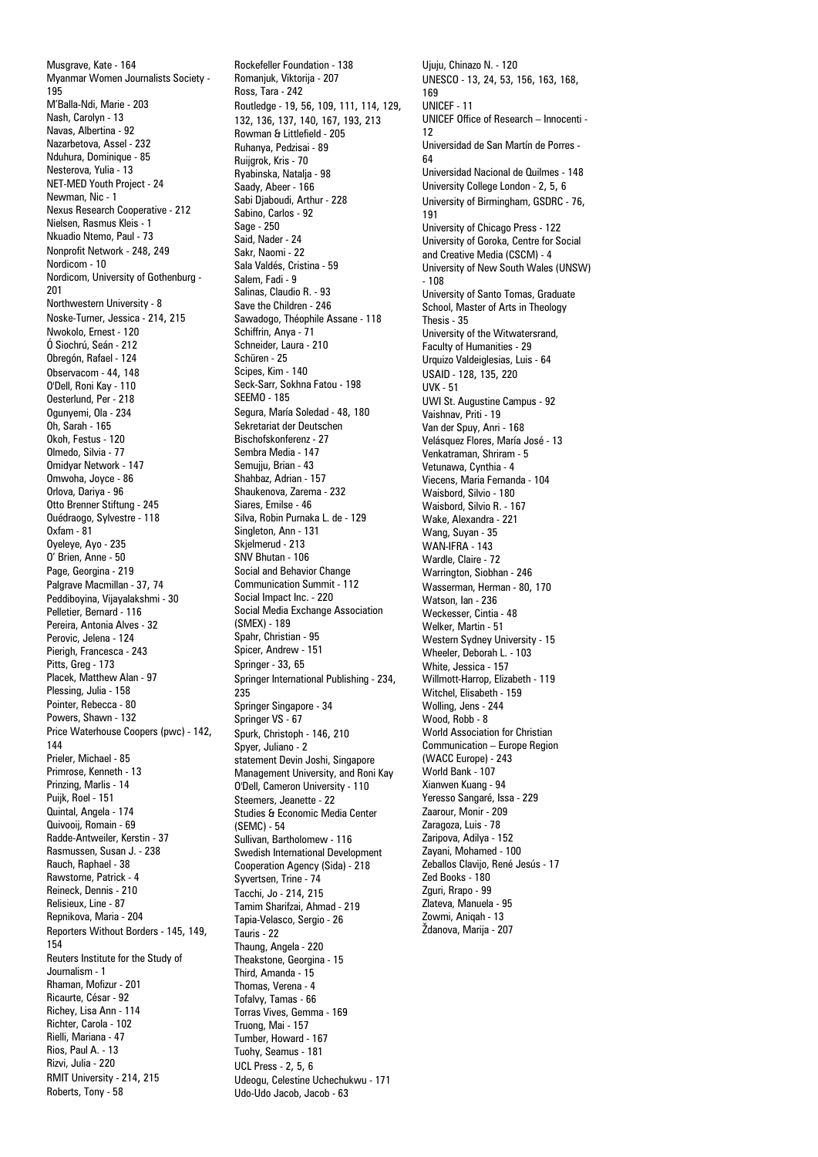Musgrave, Kate - 164 Myanmar Women Journalists Society - 195 M'Balla-Ndi, Marie - 203 Nash, Carolyn - 13 Navas, Albertina - 92 Nazarbetova, Assel - 232 Nduhura, Dominique - 85 Nesterova, Yulia - 13 NET-MED Youth Project - 24 Newman, Nic - 1 Nexus Research Cooperative - 212 Nielsen, Rasmus Kleis - 1 Nkuadio Ntemo, Paul - 73 Nonprofit Network - 248, 249 Nordicom - 10 Nordicom, University of Gothenburg - 201 Northwestern University - 8 Noske-Turner, Jessica - 214, 215 Nwokolo, Ernest - 120 Ó Siochrú, Seán - 212 Obregón, Rafael - 124 Observacom - 44, 148 O'Dell, Roni Kay - 110 Oesterlund, Per - 218 Ogunyemi, Ola - 234 Oh, Sarah - 165 Okoh, Festus - 120 Olmedo, Silvia - 77 Omidyar Network - 147 Omwoha, Joyce - 86 Orlova, Dariya - 96 Otto Brenner Stiftung - 245 Ouédraogo, Sylvestre - 118 Oxfam - 81 Oyeleye, Ayo - 235 O' Brien, Anne - 50 Page, Georgina - 219 Palgrave Macmillan - 37, 74 Peddiboyina, Vijayalakshmi - 30 Pelletier, Bernard - 116 Pereira, Antonia Alves - 32 Perovic, Jelena - 124 Pierigh, Francesca - 243 Pitts, Greg - 173 Placek, Matthew Alan - 97 Plessing, Julia - 158 Pointer, Rebecca - 80 Powers, Shawn - 132 Price Waterhouse Coopers (pwc) - 142, 144 Prieler, Michael - 85 Primrose, Kenneth - 13 Prinzing, Marlis - 14 Puijk, Roel - 151 Quintal, Angela - 174 Quivooij, Romain - 69 Radde-Antweiler, Kerstin - 37 Rasmussen, Susan J. - 238 Rauch, Raphael - 38 Rawstorne, Patrick - 4 Reineck, Dennis - 210 Relisieux, Line - 87 Repnikova, Maria - 204 Reporters Without Borders - 145, 149, 154 Reuters Institute for the Study of Journalism - 1 Rhaman, Mofizur - 201 Ricaurte, César - 92 Richey, Lisa Ann - 114 Richter, Carola - 102 Rielli, Mariana - 47 Rios, Paul A. - 13 Rizvi, Julia - 220 RMIT University - 214, 215 Roberts, Tony - 58

Rockefeller Foundation - 138 Romanjuk, Viktorija - 207 Ross, Tara - 242 Routledge - 19, 56, 109, 111, 114, 129, 132, 136, 137, 140, 167, 193, 213 Rowman & Littlefield - 205 Ruhanya, Pedzisai - 89 Ruijgrok, Kris - 70 Ryabinska, Natalja - 98 Saady, Abeer - 166 Sabi Djaboudi, Arthur - 228 Sabino, Carlos - 92 Sage - 250 Said, Nader - 24 Sakr, Naomi - 22 Sala Valdés, Cristina - 59 Salem, Fadi - 9 Salinas, Claudio R. - 93 Save the Children - 246 Sawadogo, Théophile Assane - 118 Schiffrin, Anya - 71 Schneider, Laura - 210 Schüren - 25 Scipes, Kim - 140 Seck-Sarr, Sokhna Fatou - 198 SEEMO - 185 Segura, María Soledad - 48, 180 Sekretariat der Deutschen Bischofskonferenz - 27 Sembra Media - 147 Semujju, Brian - 43 Shahbaz, Adrian - 157 Shaukenova, Zarema - 232 Siares, Emilse - 46 Silva, Robin Purnaka L. de - 129 Singleton, Ann - 131 Skjelmerud - 213 SNV Bhutan - 106 Social and Behavior Change Communication Summit - 112 Social Impact Inc. - 220 Social Media Exchange Association (SMEX) - 189 Spahr, Christian - 95 Spicer, Andrew - 151 Springer - 33, 65 Springer International Publishing - 234, 235 Springer Singapore - 34 Springer VS - 67 Spurk, Christoph - 146, 210 Spyer, Juliano - 2 statement Devin Joshi, Singapore Management University, and Roni Kay O'Dell, Cameron University - 110 Steemers, Jeanette - 22 Studies & Economic Media Center (SEMC) - 54 Sullivan, Bartholomew - 116 Swedish International Development Cooperation Agency (Sida) - 218 Syvertsen, Trine - 74 Tacchi, Jo - 214, 215 Tamim Sharifzai, Ahmad - 219 Tapia-Velasco, Sergio - 26 Tauris - 22 Thaung, Angela - 220 Theakstone, Georgina - 15 Third, Amanda - 15 Thomas, Verena - 4 Tofalvy, Tamas - 66 Torras Vives, Gemma - 169 Truong, Mai - 157 Tumber, Howard - 167 Tuohy, Seamus - 181 UCL Press - 2, 5, 6 Udeogu, Celestine Uchechukwu - 171

Udo-Udo Jacob, Jacob - 63

Ujuju, Chinazo N. - 120 UNESCO - 13, 24, 53, 156, 163, 168, 169 UNICEF - 11 UNICEF Office of Research – Innocenti - 12 Universidad de San Martín de Porres - 64 Universidad Nacional de Quilmes - 148 University College London - 2, 5, 6 University of Birmingham, GSDRC - 76, 191 University of Chicago Press - 122 University of Goroka, Centre for Social and Creative Media (CSCM) - 4 University of New South Wales (UNSW) - 108 University of Santo Tomas, Graduate School, Master of Arts in Theology Thesis - 35 University of the Witwatersrand, Faculty of Humanities - 29 Urquizo Valdeiglesias, Luis - 64 USAID - 128, 135, 220 UVK - 51 UWI St. Augustine Campus - 92 Vaishnav, Priti - 19 Van der Spuy, Anri - 168 Velásquez Flores, María José - 13 Venkatraman, Shriram - 5 Vetunawa, Cynthia - 4 Viecens, Maria Fernanda - 104 Waisbord, Silvio - 180 Waisbord, Silvio R. - 167 Wake, Alexandra - 221 Wang, Suyan - 35 WAN-IFRA - 143 Wardle, Claire - 72 Warrington, Siobhan - 246 Wasserman, Herman - 80, 170 Watson, Ian - 236 Weckesser, Cintia - 48 Welker, Martin - 51 Western Sydney University - 15 Wheeler, Deborah L. - 103 White, Jessica - 157 Willmott-Harrop, Elizabeth - 119 Witchel, Elisabeth - 159 Wolling, Jens - 244 Wood, Robb - 8 World Association for Christian Communication – Europe Region (WACC Europe) - 243 World Bank - 107 Xianwen Kuang - 94 Yeresso Sangaré, Issa - 229 Zaarour, Monir - 209 Zaragoza, Luis - 78 Zaripova, Adilya - 152 Zayani, Mohamed - 100 Zeballos Clavijo, René Jesús - 17 Zed Books - 180 Zguri, Rrapo - 99 Zlateva, Manuela - 95 Zowmi, Aniqah - 13 Ždanova, Marija - 207